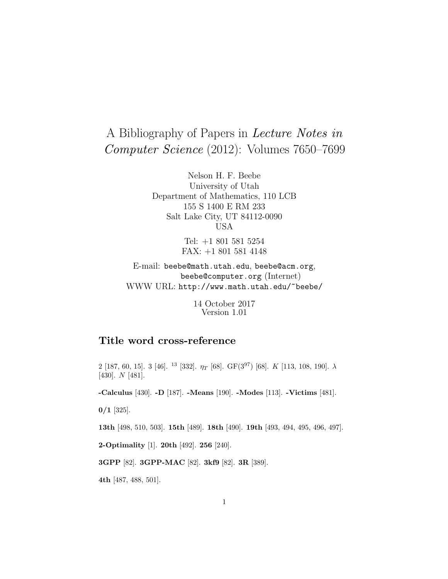# A Bibliography of Papers in Lecture Notes in Computer Science (2012): Volumes 7650–7699

Nelson H. F. Beebe University of Utah Department of Mathematics, 110 LCB 155 S 1400 E RM 233 Salt Lake City, UT 84112-0090 USA

> Tel: +1 801 581 5254 FAX: +1 801 581 4148

E-mail: beebe@math.utah.edu, beebe@acm.org, beebe@computer.org (Internet) WWW URL: http://www.math.utah.edu/~beebe/

> 14 October 2017 Version 1.01

## **Title word cross-reference**

2 [187, 60, 15]. 3 [46]. <sup>13</sup> [332].  $\eta_T$  [68]. GF(3<sup>97</sup>) [68]. K [113, 108, 190].  $\lambda$ [430]. N [481].

**-Calculus** [430]. **-D** [187]. **-Means** [190]. **-Modes** [113]. **-Victims** [481].

**0/1** [325].

**13th** [498, 510, 503]. **15th** [489]. **18th** [490]. **19th** [493, 494, 495, 496, 497].

**2-Optimality** [1]. **20th** [492]. **256** [240].

**3GPP** [82]. **3GPP-MAC** [82]. **3kf9** [82]. **3R** [389].

**4th** [487, 488, 501].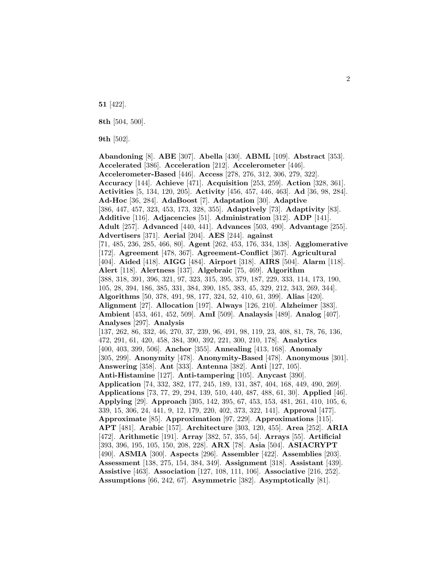**51** [422].

**8th** [504, 500].

**9th** [502].

**Abandoning** [8]. **ABE** [307]. **Abella** [430]. **ABML** [109]. **Abstract** [353]. **Accelerated** [386]. **Acceleration** [212]. **Accelerometer** [446]. **Accelerometer-Based** [446]. **Access** [278, 276, 312, 306, 279, 322]. **Accuracy** [144]. **Achieve** [471]. **Acquisition** [253, 259]. **Action** [328, 361]. **Activities** [5, 134, 120, 205]. **Activity** [456, 457, 446, 463]. **Ad** [36, 98, 284]. **Ad-Hoc** [36, 284]. **AdaBoost** [7]. **Adaptation** [30]. **Adaptive** [386, 447, 457, 323, 453, 173, 328, 355]. **Adaptively** [73]. **Adaptivity** [83]. **Additive** [116]. **Adjacencies** [51]. **Administration** [312]. **ADP** [141]. **Adult** [257]. **Advanced** [440, 441]. **Advances** [503, 490]. **Advantage** [255]. **Advertisers** [371]. **Aerial** [204]. **AES** [244]. **against** [71, 485, 236, 285, 466, 80]. **Agent** [262, 453, 176, 334, 138]. **Agglomerative** [172]. **Agreement** [478, 367]. **Agreement-Conflict** [367]. **Agricultural** [404]. **Aided** [418]. **AIGG** [484]. **Airport** [318]. **AIRS** [504]. **Alarm** [118]. **Alert** [118]. **Alertness** [137]. **Algebraic** [75, 469]. **Algorithm** [388, 318, 391, 396, 321, 97, 323, 315, 395, 379, 187, 229, 333, 114, 173, 190, 105, 28, 394, 186, 385, 331, 384, 390, 185, 383, 45, 329, 212, 343, 269, 344]. **Algorithms** [50, 378, 491, 98, 177, 324, 52, 410, 61, 399]. **Alias** [420]. **Alignment** [27]. **Allocation** [197]. **Always** [126, 210]. **Alzheimer** [383]. **Ambient** [453, 461, 452, 509]. **AmI** [509]. **Analaysis** [489]. **Analog** [407]. **Analyses** [297]. **Analysis** [137, 262, 86, 332, 46, 270, 37, 239, 96, 491, 98, 119, 23, 408, 81, 78, 76, 136, 472, 291, 61, 420, 458, 384, 390, 392, 221, 300, 210, 178]. **Analytics** [400, 403, 399, 506]. **Anchor** [355]. **Annealing** [413, 168]. **Anomaly** [305, 299]. **Anonymity** [478]. **Anonymity-Based** [478]. **Anonymous** [301]. **Answering** [358]. **Ant** [333]. **Antenna** [382]. **Anti** [127, 105]. **Anti-Histamine** [127]. **Anti-tampering** [105]. **Anycast** [390]. **Application** [74, 332, 382, 177, 245, 189, 131, 387, 404, 168, 449, 490, 269]. **Applications** [73, 77, 29, 294, 139, 510, 440, 487, 488, 61, 30]. **Applied** [46]. **Applying** [29]. **Approach** [305, 142, 395, 67, 453, 153, 481, 261, 410, 105, 6, 339, 15, 306, 24, 441, 9, 12, 179, 220, 402, 373, 322, 141]. **Approval** [477]. **Approximate** [85]. **Approximation** [97, 229]. **Approximations** [115]. **APT** [481]. **Arabic** [157]. **Architecture** [303, 120, 455]. **Area** [252]. **ARIA** [472]. **Arithmetic** [191]. **Array** [382, 57, 355, 54]. **Arrays** [55]. **Artificial** [393, 396, 195, 105, 150, 208, 228]. **ARX** [78]. **Asia** [504]. **ASIACRYPT** [490]. **ASMIA** [300]. **Aspects** [296]. **Assembler** [422]. **Assemblies** [203]. **Assessment** [138, 275, 154, 384, 349]. **Assignment** [318]. **Assistant** [439]. **Assistive** [463]. **Association** [127, 108, 111, 106]. **Associative** [216, 252]. **Assumptions** [66, 242, 67]. **Asymmetric** [382]. **Asymptotically** [81].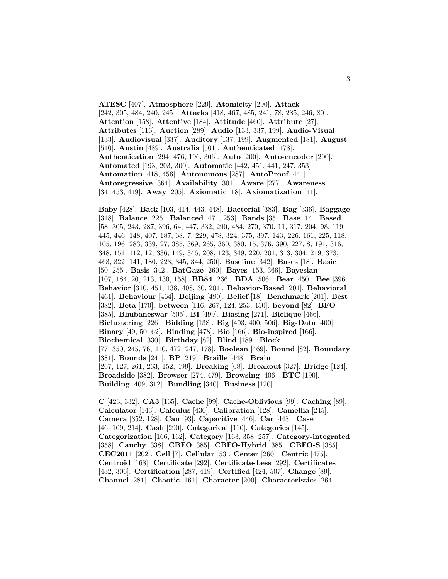**ATESC** [407]. **Atmosphere** [229]. **Atomicity** [290]. **Attack** [242, 305, 484, 240, 245]. **Attacks** [418, 467, 485, 241, 78, 285, 246, 80]. **Attention** [158]. **Attentive** [184]. **Attitude** [460]. **Attribute** [27]. **Attributes** [116]. **Auction** [289]. **Audio** [133, 337, 199]. **Audio-Visual** [133]. **Audiovisual** [337]. **Auditory** [137, 199]. **Augmented** [181]. **August** [510]. **Austin** [489]. **Australia** [501]. **Authenticated** [478]. **Authentication** [294, 476, 196, 306]. **Auto** [200]. **Auto-encoder** [200]. **Automated** [193, 203, 300]. **Automatic** [442, 451, 441, 247, 353]. **Automation** [418, 456]. **Autonomous** [287]. **AutoProof** [441]. **Autoregressive** [364]. **Availability** [301]. **Aware** [277]. **Awareness** [34, 453, 449]. **Away** [205]. **Axiomatic** [18]. **Axiomatization** [41].

**Baby** [428]. **Back** [103, 414, 443, 448]. **Bacterial** [383]. **Bag** [336]. **Baggage** [318]. **Balance** [225]. **Balanced** [471, 253]. **Bands** [35]. **Base** [14]. **Based** [58, 305, 243, 287, 396, 64, 447, 332, 290, 484, 270, 370, 11, 317, 204, 98, 119, 445, 446, 148, 407, 187, 68, 7, 229, 478, 324, 375, 397, 143, 226, 161, 225, 118, 105, 196, 283, 339, 27, 385, 369, 265, 360, 380, 15, 376, 390, 227, 8, 191, 316, 348, 151, 112, 12, 336, 149, 346, 208, 123, 349, 220, 201, 313, 304, 219, 373, 463, 322, 141, 180, 223, 345, 344, 250]. **Baseline** [342]. **Bases** [18]. **Basic** [50, 255]. **Basis** [342]. **BatGaze** [260]. **Bayes** [153, 366]. **Bayesian** [107, 184, 20, 213, 130, 158]. **BB84** [236]. **BDA** [506]. **Bear** [450]. **Bee** [396]. **Behavior** [310, 451, 138, 408, 30, 201]. **Behavior-Based** [201]. **Behavioral** [461]. **Behaviour** [464]. **Beijing** [490]. **Belief** [18]. **Benchmark** [201]. **Best** [382]. **Beta** [170]. **between** [116, 267, 124, 253, 450]. **beyond** [82]. **BFO** [385]. **Bhubaneswar** [505]. **BI** [499]. **Biasing** [271]. **Biclique** [466]. **Biclustering** [226]. **Bidding** [138]. **Big** [403, 400, 506]. **Big-Data** [400]. **Binary** [49, 50, 62]. **Binding** [478]. **Bio** [166]. **Bio-inspired** [166]. **Biochemical** [330]. **Birthday** [82]. **Blind** [189]. **Block** [77, 350, 245, 76, 410, 472, 247, 178]. **Boolean** [469]. **Bound** [82]. **Boundary** [381]. **Bounds** [241]. **BP** [219]. **Braille** [448]. **Brain** [267, 127, 261, 263, 152, 499]. **Breaking** [68]. **Breakout** [327]. **Bridge** [124]. **Broadside** [382]. **Browser** [274, 479]. **Browsing** [406]. **BTC** [190]. **Building** [409, 312]. **Bundling** [340]. **Business** [120].

**C** [423, 332]. **CA3** [165]. **Cache** [99]. **Cache-Oblivious** [99]. **Caching** [89]. **Calculator** [143]. **Calculus** [430]. **Calibration** [128]. **Camellia** [245]. **Camera** [352, 128]. **Can** [93]. **Capacitive** [446]. **Car** [448]. **Case** [46, 109, 214]. **Cash** [290]. **Categorical** [110]. **Categories** [145]. **Categorization** [166, 162]. **Category** [163, 358, 257]. **Category-integrated** [358]. **Cauchy** [338]. **CBFO** [385]. **CBFO-Hybrid** [385]. **CBFO-S** [385]. **CEC2011** [202]. **Cell** [7]. **Cellular** [53]. **Center** [260]. **Centric** [475]. **Centroid** [168]. **Certificate** [292]. **Certificate-Less** [292]. **Certificates** [432, 306]. **Certification** [287, 419]. **Certified** [424, 507]. **Change** [89]. **Channel** [281]. **Chaotic** [161]. **Character** [200]. **Characteristics** [264].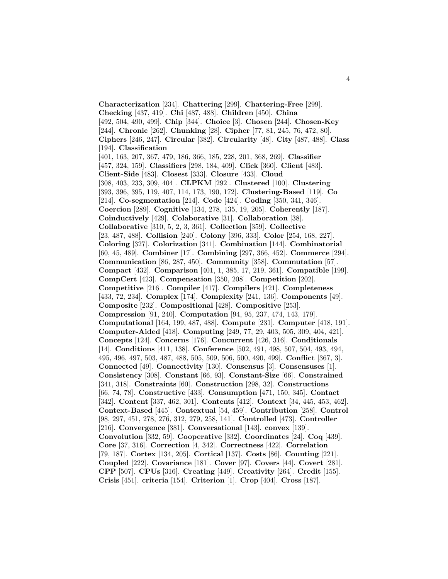**Characterization** [234]. **Chattering** [299]. **Chattering-Free** [299]. **Checking** [437, 419]. **Chi** [487, 488]. **Children** [450]. **China** [492, 504, 490, 499]. **Chip** [344]. **Choice** [3]. **Chosen** [244]. **Chosen-Key** [244]. **Chronic** [262]. **Chunking** [28]. **Cipher** [77, 81, 245, 76, 472, 80]. **Ciphers** [246, 247]. **Circular** [382]. **Circularity** [48]. **City** [487, 488]. **Class** [194]. **Classification** [401, 163, 207, 367, 479, 186, 366, 185, 228, 201, 368, 269]. **Classifier** [457, 324, 159]. **Classifiers** [298, 184, 409]. **Click** [360]. **Client** [483]. **Client-Side** [483]. **Closest** [333]. **Closure** [433]. **Cloud** [308, 403, 233, 309, 404]. **CLPKM** [292]. **Clustered** [100]. **Clustering** [393, 396, 395, 119, 407, 114, 173, 190, 172]. **Clustering-Based** [119]. **Co** [214]. **Co-segmentation** [214]. **Code** [424]. **Coding** [350, 341, 346]. **Coercion** [289]. **Cognitive** [134, 278, 135, 19, 205]. **Coherently** [187]. **Coinductively** [429]. **Colaborative** [31]. **Collaboration** [38]. **Collaborative** [310, 5, 2, 3, 361]. **Collection** [359]. **Collective** [23, 487, 488]. **Collision** [240]. **Colony** [396, 333]. **Color** [254, 168, 227]. **Coloring** [327]. **Colorization** [341]. **Combination** [144]. **Combinatorial** [60, 45, 489]. **Combiner** [17]. **Combining** [297, 366, 452]. **Commerce** [294]. **Communication** [86, 287, 450]. **Community** [358]. **Commutation** [57]. **Compact** [432]. **Comparison** [401, 1, 385, 17, 219, 361]. **Compatible** [199]. **CompCert** [423]. **Compensation** [350, 208]. **Competition** [202]. **Competitive** [216]. **Compiler** [417]. **Compilers** [421]. **Completeness** [433, 72, 234]. **Complex** [174]. **Complexity** [241, 136]. **Components** [49]. **Composite** [232]. **Compositional** [428]. **Compositive** [253]. **Compression** [91, 240]. **Computation** [94, 95, 237, 474, 143, 179]. **Computational** [164, 199, 487, 488]. **Compute** [231]. **Computer** [418, 191]. **Computer-Aided** [418]. **Computing** [249, 77, 29, 403, 505, 309, 404, 421]. **Concepts** [124]. **Concerns** [176]. **Concurrent** [426, 316]. **Conditionals** [14]. **Conditions** [411, 138]. **Conference** [502, 491, 498, 507, 504, 493, 494, 495, 496, 497, 503, 487, 488, 505, 509, 506, 500, 490, 499]. **Conflict** [367, 3]. **Connected** [49]. **Connectivity** [130]. **Consensus** [3]. **Consensuses** [1]. **Consistency** [308]. **Constant** [66, 93]. **Constant-Size** [66]. **Constrained** [341, 318]. **Constraints** [60]. **Construction** [298, 32]. **Constructions** [66, 74, 78]. **Constructive** [433]. **Consumption** [471, 150, 345]. **Contact** [342]. **Content** [337, 462, 301]. **Contents** [412]. **Context** [34, 445, 453, 462]. **Context-Based** [445]. **Contextual** [54, 459]. **Contribution** [258]. **Control** [98, 297, 451, 278, 276, 312, 279, 258, 141]. **Controlled** [473]. **Controller** [216]. **Convergence** [381]. **Conversational** [143]. **convex** [139]. **Convolution** [332, 59]. **Cooperative** [332]. **Coordinates** [24]. **Coq** [439]. **Core** [37, 316]. **Correction** [4, 342]. **Correctness** [422]. **Correlation** [79, 187]. **Cortex** [134, 205]. **Cortical** [137]. **Costs** [86]. **Counting** [221]. **Coupled** [222]. **Covariance** [181]. **Cover** [97]. **Covers** [44]. **Covert** [281]. **CPP** [507]. **CPUs** [316]. **Creating** [449]. **Creativity** [264]. **Credit** [155]. **Crisis** [451]. **criteria** [154]. **Criterion** [1]. **Crop** [404]. **Cross** [187].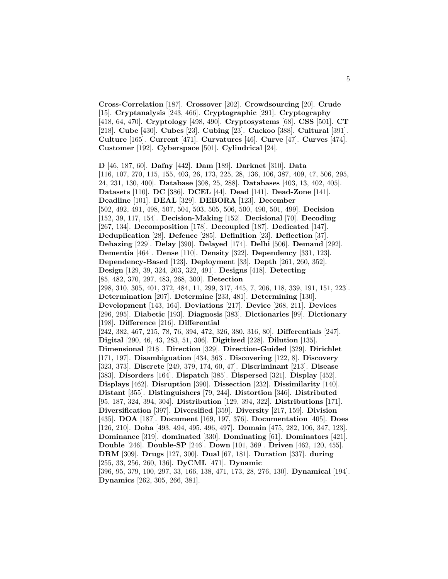**Cross-Correlation** [187]. **Crossover** [202]. **Crowdsourcing** [20]. **Crude** [15]. **Cryptanalysis** [243, 466]. **Cryptographic** [291]. **Cryptography** [418, 64, 470]. **Cryptology** [498, 490]. **Cryptosystems** [68]. **CSS** [501]. **CT** [218]. **Cube** [430]. **Cubes** [23]. **Cubing** [23]. **Cuckoo** [388]. **Cultural** [391]. **Culture** [165]. **Current** [471]. **Curvatures** [46]. **Curve** [47]. **Curves** [474]. **Customer** [192]. **Cyberspace** [501]. **Cylindrical** [24].

**D** [46, 187, 60]. **Dafny** [442]. **Dam** [189]. **Darknet** [310]. **Data** [116, 107, 270, 115, 155, 403, 26, 173, 225, 28, 136, 106, 387, 409, 47, 506, 295, 24, 231, 130, 400]. **Database** [308, 25, 288]. **Databases** [403, 13, 402, 405]. **Datasets** [110]. **DC** [386]. **DCEL** [44]. **Dead** [141]. **Dead-Zone** [141]. **Deadline** [101]. **DEAL** [329]. **DEBORA** [123]. **December** [502, 492, 491, 498, 507, 504, 503, 505, 506, 500, 490, 501, 499]. **Decision** [152, 39, 117, 154]. **Decision-Making** [152]. **Decisional** [70]. **Decoding** [267, 134]. **Decomposition** [178]. **Decoupled** [187]. **Dedicated** [147]. **Deduplication** [28]. **Defence** [285]. **Definition** [23]. **Deflection** [37]. **Dehazing** [229]. **Delay** [390]. **Delayed** [174]. **Delhi** [506]. **Demand** [292]. **Dementia** [464]. **Dense** [110]. **Density** [322]. **Dependency** [331, 123]. **Dependency-Based** [123]. **Deployment** [33]. **Depth** [261, 260, 352]. **Design** [129, 39, 324, 203, 322, 491]. **Designs** [418]. **Detecting** [85, 482, 370, 297, 483, 268, 300]. **Detection** [298, 310, 305, 401, 372, 484, 11, 299, 317, 445, 7, 206, 118, 339, 191, 151, 223]. **Determination** [207]. **Determine** [233, 481]. **Determining** [130]. **Development** [143, 164]. **Deviations** [217]. **Device** [268, 211]. **Devices** [296, 295]. **Diabetic** [193]. **Diagnosis** [383]. **Dictionaries** [99]. **Dictionary** [198]. **Difference** [216]. **Differential** [242, 382, 467, 215, 78, 76, 394, 472, 326, 380, 316, 80]. **Differentials** [247]. **Digital** [290, 46, 43, 283, 51, 306]. **Digitized** [228]. **Dilution** [135]. **Dimensional** [218]. **Direction** [329]. **Direction-Guided** [329]. **Dirichlet** [171, 197]. **Disambiguation** [434, 363]. **Discovering** [122, 8]. **Discovery** [323, 373]. **Discrete** [249, 379, 174, 60, 47]. **Discriminant** [213]. **Disease** [383]. **Disorders** [164]. **Dispatch** [385]. **Dispersed** [321]. **Display** [452]. **Displays** [462]. **Disruption** [390]. **Dissection** [232]. **Dissimilarity** [140]. **Distant** [355]. **Distinguishers** [79, 244]. **Distortion** [346]. **Distributed** [95, 187, 324, 394, 304]. **Distribution** [129, 394, 322]. **Distributions** [171]. **Diversification** [397]. **Diversified** [359]. **Diversity** [217, 159]. **Division** [435]. **DOA** [187]. **Document** [169, 197, 376]. **Documentation** [405]. **Does** [126, 210]. **Doha** [493, 494, 495, 496, 497]. **Domain** [475, 282, 106, 347, 123]. **Dominance** [319]. **dominated** [330]. **Dominating** [61]. **Dominators** [421]. **Double** [246]. **Double-SP** [246]. **Down** [101, 369]. **Driven** [462, 120, 455]. **DRM** [309]. **Drugs** [127, 300]. **Dual** [67, 181]. **Duration** [337]. **during** [255, 33, 256, 260, 136]. **DyCML** [471]. **Dynamic** [396, 95, 379, 100, 297, 33, 166, 138, 471, 173, 28, 276, 130]. **Dynamical** [194]. **Dynamics** [262, 305, 266, 381].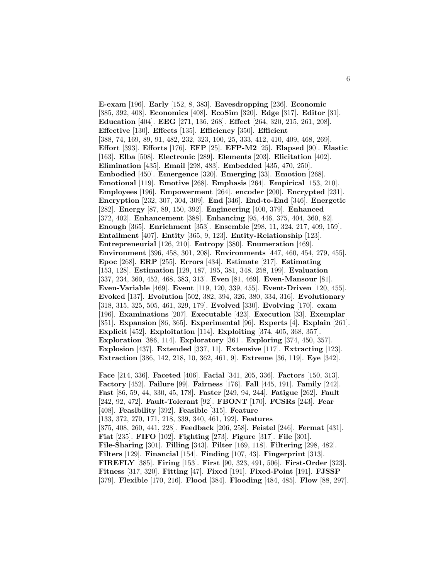**E-exam** [196]. **Early** [152, 8, 383]. **Eavesdropping** [236]. **Economic** [385, 392, 408]. **Economics** [408]. **EcoSim** [320]. **Edge** [317]. **Editor** [31]. **Education** [404]. **EEG** [271, 136, 268]. **Effect** [264, 320, 215, 261, 208]. **Effective** [130]. **Effects** [135]. **Efficiency** [350]. **Efficient** [388, 74, 169, 89, 91, 482, 232, 323, 100, 25, 333, 412, 410, 409, 468, 269]. **Effort** [393]. **Efforts** [176]. **EFP** [25]. **EFP-M2** [25]. **Elapsed** [90]. **Elastic** [163]. **Elba** [508]. **Electronic** [289]. **Elements** [203]. **Elicitation** [402]. **Elimination** [435]. **Email** [298, 483]. **Embedded** [435, 470, 250]. **Embodied** [450]. **Emergence** [320]. **Emerging** [33]. **Emotion** [268]. **Emotional** [119]. **Emotive** [268]. **Emphasis** [264]. **Empirical** [153, 210]. **Employees** [196]. **Empowerment** [264]. **encoder** [200]. **Encrypted** [231]. **Encryption** [232, 307, 304, 309]. **End** [346]. **End-to-End** [346]. **Energetic** [282]. **Energy** [87, 89, 150, 392]. **Engineering** [400, 379]. **Enhanced** [372, 402]. **Enhancement** [388]. **Enhancing** [95, 446, 375, 404, 360, 82]. **Enough** [365]. **Enrichment** [353]. **Ensemble** [298, 11, 324, 217, 409, 159]. **Entailment** [407]. **Entity** [365, 9, 123]. **Entity-Relationship** [123]. **Entrepreneurial** [126, 210]. **Entropy** [380]. **Enumeration** [469]. **Environment** [396, 458, 301, 208]. **Environments** [447, 460, 454, 279, 455]. **Epoc** [268]. **ERP** [255]. **Errors** [434]. **Estimate** [217]. **Estimating** [153, 128]. **Estimation** [129, 187, 195, 381, 348, 258, 199]. **Evaluation** [337, 234, 360, 452, 468, 383, 313]. **Even** [81, 469]. **Even-Mansour** [81]. **Even-Variable** [469]. **Event** [119, 120, 339, 455]. **Event-Driven** [120, 455]. **Evoked** [137]. **Evolution** [502, 382, 394, 326, 380, 334, 316]. **Evolutionary** [318, 315, 325, 505, 461, 329, 179]. **Evolved** [330]. **Evolving** [170]. **exam** [196]. **Examinations** [207]. **Executable** [423]. **Execution** [33]. **Exemplar** [351]. **Expansion** [86, 365]. **Experimental** [96]. **Experts** [4]. **Explain** [261]. **Explicit** [452]. **Exploitation** [114]. **Exploiting** [374, 405, 368, 357]. **Exploration** [386, 114]. **Exploratory** [361]. **Exploring** [374, 450, 357]. **Explosion** [437]. **Extended** [337, 11]. **Extensive** [117]. **Extracting** [123]. **Extraction** [386, 142, 218, 10, 362, 461, 9]. **Extreme** [36, 119]. **Eye** [342].

**Face** [214, 336]. **Faceted** [406]. **Facial** [341, 205, 336]. **Factors** [150, 313]. **Factory** [452]. **Failure** [99]. **Fairness** [176]. **Fall** [445, 191]. **Family** [242]. **Fast** [86, 59, 44, 330, 45, 178]. **Faster** [249, 94, 244]. **Fatigue** [262]. **Fault** [242, 92, 472]. **Fault-Tolerant** [92]. **FBONT** [170]. **FCSRs** [243]. **Fear** [408]. **Feasibility** [392]. **Feasible** [315]. **Feature** [133, 372, 270, 171, 218, 339, 340, 461, 192]. **Features** [375, 408, 260, 441, 228]. **Feedback** [206, 258]. **Feistel** [246]. **Fermat** [431]. **Fiat** [235]. **FIFO** [102]. **Fighting** [273]. **Figure** [317]. **File** [301]. **File-Sharing** [301]. **Filling** [343]. **Filter** [169, 118]. **Filtering** [298, 482]. **Filters** [129]. **Financial** [154]. **Finding** [107, 43]. **Fingerprint** [313]. **FIREFLY** [385]. **Firing** [153]. **First** [90, 323, 491, 506]. **First-Order** [323]. **Fitness** [317, 320]. **Fitting** [47]. **Fixed** [191]. **Fixed-Point** [191]. **FJSSP** [379]. **Flexible** [170, 216]. **Flood** [384]. **Flooding** [484, 485]. **Flow** [88, 297].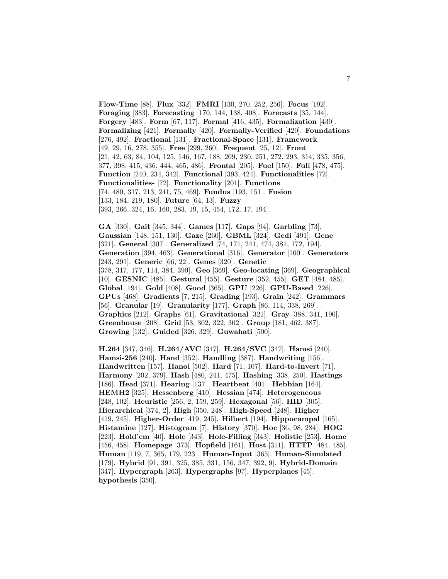**Flow-Time** [88]. **Flux** [332]. **FMRI** [130, 270, 252, 256]. **Focus** [192]. **Foraging** [383]. **Forecasting** [170, 144, 138, 408]. **Forecasts** [35, 144]. **Forgery** [483]. **Form** [67, 117]. **Formal** [416, 435]. **Formalization** [430]. **Formalizing** [421]. **Formally** [420]. **Formally-Verified** [420]. **Foundations** [276, 492]. **Fractional** [131]. **Fractional-Space** [131]. **Framework** [49, 29, 16, 278, 355]. **Free** [299, 260]. **Frequent** [25, 12]. **Front** [21, 42, 63, 84, 104, 125, 146, 167, 188, 209, 230, 251, 272, 293, 314, 335, 356, 377, 398, 415, 436, 444, 465, 486]. **Frontal** [205]. **Fuel** [150]. **Full** [478, 475]. **Function** [240, 234, 342]. **Functional** [393, 424]. **Functionalities** [72]. **Functionalities-** [72]. **Functionality** [201]. **Functions** [74, 480, 317, 213, 241, 75, 469]. **Fundus** [193, 151]. **Fusion** [133, 184, 219, 180]. **Future** [64, 13]. **Fuzzy** [393, 266, 324, 16, 160, 283, 19, 15, 454, 172, 17, 194].

**GA** [330]. **Gait** [345, 344]. **Games** [117]. **Gaps** [94]. **Garbling** [73]. **Gaussian** [148, 151, 130]. **Gaze** [260]. **GBML** [324]. **Gedi** [491]. **Gene** [321]. **General** [307]. **Generalized** [74, 171, 241, 474, 381, 172, 194]. **Generation** [394, 463]. **Generational** [316]. **Generator** [100]. **Generators** [243, 291]. **Generic** [66, 22]. **Genes** [320]. **Genetic** [378, 317, 177, 114, 384, 390]. **Geo** [369]. **Geo-locating** [369]. **Geographical** [10]. **GESNIC** [485]. **Gestural** [455]. **Gesture** [352, 455]. **GET** [484, 485]. **Global** [194]. **Gold** [408]. **Good** [365]. **GPU** [226]. **GPU-Based** [226]. **GPUs** [468]. **Gradients** [7, 215]. **Grading** [193]. **Grain** [242]. **Grammars** [56]. **Granular** [19]. **Granularity** [177]. **Graph** [86, 114, 338, 269]. **Graphics** [212]. **Graphs** [61]. **Gravitational** [321]. **Gray** [388, 341, 190]. **Greenhouse** [208]. **Grid** [53, 302, 322, 302]. **Group** [181, 462, 387]. **Growing** [132]. **Guided** [326, 329]. **Guwahati** [500].

**H.264** [347, 346]. **H.264/AVC** [347]. **H.264/SVC** [347]. **Hamsi** [240]. **Hamsi-256** [240]. **Hand** [352]. **Handling** [387]. **Handwriting** [156]. **Handwritten** [157]. **Hanoi** [502]. **Hard** [71, 107]. **Hard-to-Invert** [71]. **Harmony** [202, 379]. **Hash** [480, 241, 475]. **Hashing** [338, 250]. **Hastings** [186]. **Head** [371]. **Hearing** [137]. **Heartbeat** [401]. **Hebbian** [164]. **HEMH2** [325]. **Hessenberg** [410]. **Hessian** [474]. **Heterogeneous** [248, 102]. **Heuristic** [256, 2, 159, 259]. **Hexagonal** [56]. **HID** [305]. **Hierarchical** [374, 2]. **High** [350, 248]. **High-Speed** [248]. **Higher** [419, 245]. **Higher-Order** [419, 245]. **Hilbert** [194]. **Hippocampal** [165]. **Histamine** [127]. **Histogram** [7]. **History** [370]. **Hoc** [36, 98, 284]. **HOG** [223]. **Hold'em** [40]. **Hole** [343]. **Hole-Filling** [343]. **Holistic** [253]. **Home** [456, 458]. **Homepage** [373]. **Hopfield** [161]. **Host** [311]. **HTTP** [484, 485]. **Human** [119, 7, 365, 179, 223]. **Human-Input** [365]. **Human-Simulated** [179]. **Hybrid** [91, 391, 325, 385, 331, 156, 347, 392, 9]. **Hybrid-Domain** [347]. **Hypergraph** [263]. **Hypergraphs** [97]. **Hyperplanes** [45]. **hypothesis** [350].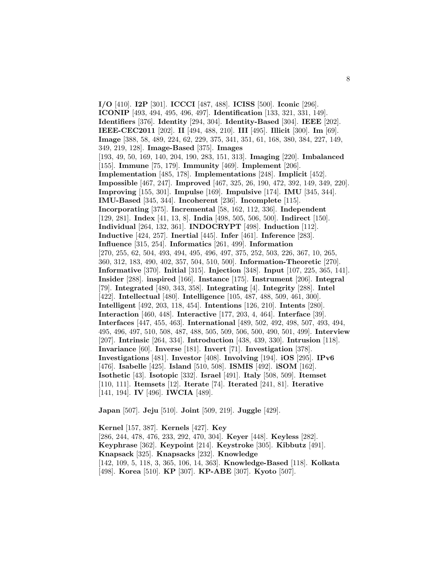**I/O** [410]. **I2P** [301]. **ICCCI** [487, 488]. **ICISS** [500]. **Iconic** [296]. **ICONIP** [493, 494, 495, 496, 497]. **Identification** [133, 321, 331, 149]. **Identifiers** [376]. **Identity** [294, 304]. **Identity-Based** [304]. **IEEE** [202]. **IEEE-CEC2011** [202]. **II** [494, 488, 210]. **III** [495]. **Illicit** [300]. **Im** [69]. **Image** [388, 58, 489, 224, 62, 229, 375, 341, 351, 61, 168, 380, 384, 227, 149, 349, 219, 128]. **Image-Based** [375]. **Images** [193, 49, 50, 169, 140, 204, 190, 283, 151, 313]. **Imaging** [220]. **Imbalanced** [155]. **Immune** [75, 179]. **Immunity** [469]. **Implement** [206]. **Implementation** [485, 178]. **Implementations** [248]. **Implicit** [452]. **Impossible** [467, 247]. **Improved** [467, 325, 26, 190, 472, 392, 149, 349, 220]. **Improving** [155, 301]. **Impulse** [169]. **Impulsive** [174]. **IMU** [345, 344]. **IMU-Based** [345, 344]. **Incoherent** [236]. **Incomplete** [115]. **Incorporating** [375]. **Incremental** [58, 162, 112, 336]. **Independent** [129, 281]. **Index** [41, 13, 8]. **India** [498, 505, 506, 500]. **Indirect** [150]. **Individual** [264, 132, 361]. **INDOCRYPT** [498]. **Induction** [112]. **Inductive** [424, 257]. **Inertial** [445]. **Infer** [461]. **Inference** [283]. **Influence** [315, 254]. **Informatics** [261, 499]. **Information** [270, 255, 62, 504, 493, 494, 495, 496, 497, 375, 252, 503, 226, 367, 10, 265, 360, 312, 183, 490, 402, 357, 504, 510, 500]. **Information-Theoretic** [270]. **Informative** [370]. **Initial** [315]. **Injection** [348]. **Input** [107, 225, 365, 141]. **Insider** [288]. **inspired** [166]. **Instance** [175]. **Instrument** [206]. **Integral** [79]. **Integrated** [480, 343, 358]. **Integrating** [4]. **Integrity** [288]. **Intel** [422]. **Intellectual** [480]. **Intelligence** [105, 487, 488, 509, 461, 300]. **Intelligent** [492, 203, 118, 454]. **Intentions** [126, 210]. **Intents** [280]. **Interaction** [460, 448]. **Interactive** [177, 203, 4, 464]. **Interface** [39]. **Interfaces** [447, 455, 463]. **International** [489, 502, 492, 498, 507, 493, 494, 495, 496, 497, 510, 508, 487, 488, 505, 509, 506, 500, 490, 501, 499]. **Interview** [207]. **Intrinsic** [264, 334]. **Introduction** [438, 439, 330]. **Intrusion** [118]. **Invariance** [60]. **Inverse** [181]. **Invert** [71]. **Investigation** [378]. **Investigations** [481]. **Investor** [408]. **Involving** [194]. **iOS** [295]. **IPv6** [476]. **Isabelle** [425]. **Island** [510, 508]. **ISMIS** [492]. **iSOM** [162]. **Isothetic** [43]. **Isotopic** [332]. **Israel** [491]. **Italy** [508, 509]. **Itemset** [110, 111]. **Itemsets** [12]. **Iterate** [74]. **Iterated** [241, 81]. **Iterative** [141, 194]. **IV** [496]. **IWCIA** [489].

**Japan** [507]. **Jeju** [510]. **Joint** [509, 219]. **Juggle** [429].

**Kernel** [157, 387]. **Kernels** [427]. **Key** [286, 244, 478, 476, 233, 292, 470, 304]. **Keyer** [448]. **Keyless** [282]. **Keyphrase** [362]. **Keypoint** [214]. **Keystroke** [305]. **Kibbutz** [491]. **Knapsack** [325]. **Knapsacks** [232]. **Knowledge** [142, 109, 5, 118, 3, 365, 106, 14, 363]. **Knowledge-Based** [118]. **Kolkata** [498]. **Korea** [510]. **KP** [307]. **KP-ABE** [307]. **Kyoto** [507].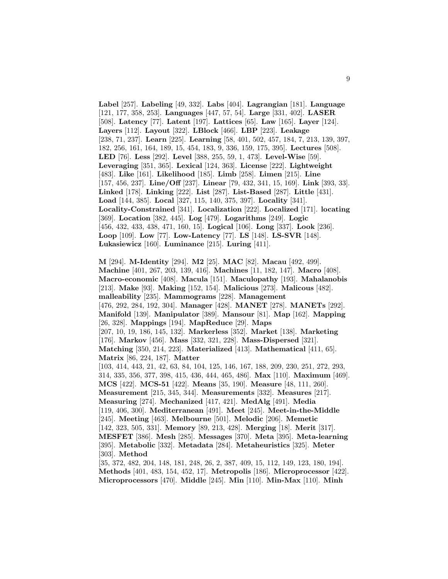**Label** [257]. **Labeling** [49, 332]. **Labs** [404]. **Lagrangian** [181]. **Language** [121, 177, 358, 253]. **Languages** [447, 57, 54]. **Large** [331, 402]. **LASER** [508]. **Latency** [77]. **Latent** [197]. **Lattices** [65]. **Law** [165]. **Layer** [124]. **Layers** [112]. **Layout** [322]. **LBlock** [466]. **LBP** [223]. **Leakage** [238, 71, 237]. **Learn** [225]. **Learning** [58, 401, 502, 457, 184, 7, 213, 139, 397, 182, 256, 161, 164, 189, 15, 454, 183, 9, 336, 159, 175, 395]. **Lectures** [508]. **LED** [76]. **Less** [292]. **Level** [388, 255, 59, 1, 473]. **Level-Wise** [59]. **Leveraging** [351, 365]. **Lexical** [124, 363]. **License** [222]. **Lightweight** [483]. **Like** [161]. **Likelihood** [185]. **Limb** [258]. **Limen** [215]. **Line** [157, 456, 237]. **Line/Off** [237]. **Linear** [79, 432, 341, 15, 169]. **Link** [393, 33]. **Linked** [178]. **Linking** [222]. **List** [287]. **List-Based** [287]. **Little** [431]. **Load** [144, 385]. **Local** [327, 115, 140, 375, 397]. **Locality** [341]. **Locality-Constrained** [341]. **Localization** [222]. **Localized** [171]. **locating** [369]. **Location** [382, 445]. **Log** [479]. **Logarithms** [249]. **Logic** [456, 432, 433, 438, 471, 160, 15]. **Logical** [106]. **Long** [337]. **Look** [236]. **Loop** [109]. **Low** [77]. **Low-Latency** [77]. **LS** [148]. **LS-SVR** [148]. **Lukasiewicz** [160]. **Luminance** [215]. **Luring** [411].

**M** [294]. **M-Identity** [294]. **M2** [25]. **MAC** [82]. **Macau** [492, 499]. **Machine** [401, 267, 203, 139, 416]. **Machines** [11, 182, 147]. **Macro** [408]. **Macro-economic** [408]. **Macula** [151]. **Maculopathy** [193]. **Mahalanobis** [213]. **Make** [93]. **Making** [152, 154]. **Malicious** [273]. **Malicous** [482]. **malleability** [235]. **Mammograms** [228]. **Management** [476, 292, 284, 192, 304]. **Manager** [428]. **MANET** [278]. **MANETs** [292]. **Manifold** [139]. **Manipulator** [389]. **Mansour** [81]. **Map** [162]. **Mapping** [26, 328]. **Mappings** [194]. **MapReduce** [29]. **Maps** [207, 10, 19, 186, 145, 132]. **Markerless** [352]. **Market** [138]. **Marketing** [176]. **Markov** [456]. **Mass** [332, 321, 228]. **Mass-Dispersed** [321]. **Matching** [350, 214, 223]. **Materialized** [413]. **Mathematical** [411, 65]. **Matrix** [86, 224, 187]. **Matter** [103, 414, 443, 21, 42, 63, 84, 104, 125, 146, 167, 188, 209, 230, 251, 272, 293, 314, 335, 356, 377, 398, 415, 436, 444, 465, 486]. **Max** [110]. **Maximum** [469]. **MCS** [422]. **MCS-51** [422]. **Means** [35, 190]. **Measure** [48, 111, 260]. **Measurement** [215, 345, 344]. **Measurements** [332]. **Measures** [217]. **Measuring** [274]. **Mechanized** [417, 421]. **MedAlg** [491]. **Media** [119, 406, 300]. **Mediterranean** [491]. **Meet** [245]. **Meet-in-the-Middle** [245]. **Meeting** [463]. **Melbourne** [501]. **Melodic** [206]. **Memetic** [142, 323, 505, 331]. **Memory** [89, 213, 428]. **Merging** [18]. **Merit** [317]. **MESFET** [386]. **Mesh** [285]. **Messages** [370]. **Meta** [395]. **Meta-learning** [395]. **Metabolic** [332]. **Metadata** [284]. **Metaheuristics** [325]. **Meter** [303]. **Method** [35, 372, 482, 204, 148, 181, 248, 26, 2, 387, 409, 15, 112, 149, 123, 180, 194].

**Methods** [401, 483, 154, 452, 17]. **Metropolis** [186]. **Microprocessor** [422]. **Microprocessors** [470]. **Middle** [245]. **Min** [110]. **Min-Max** [110]. **Minh**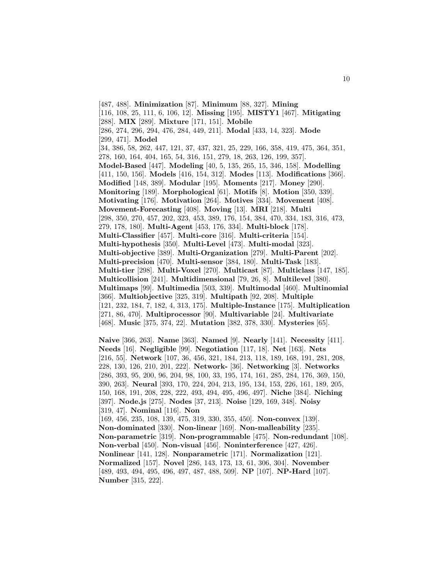- [487, 488]. **Minimization** [87]. **Minimum** [88, 327]. **Mining**
- [116, 108, 25, 111, 6, 106, 12]. **Missing** [195]. **MISTY1** [467]. **Mitigating**
- [288]. **MIX** [289]. **Mixture** [171, 151]. **Mobile**
- [286, 274, 296, 294, 476, 284, 449, 211]. **Modal** [433, 14, 323]. **Mode** [299, 471]. **Model**

[34, 386, 58, 262, 447, 121, 37, 437, 321, 25, 229, 166, 358, 419, 475, 364, 351, 278, 160, 164, 404, 165, 54, 316, 151, 279, 18, 263, 126, 199, 357]. **Model-Based** [447]. **Modeling** [40, 5, 135, 265, 15, 346, 158]. **Modelling** [411, 150, 156]. **Models** [416, 154, 312]. **Modes** [113]. **Modifications** [366]. **Modified** [148, 389]. **Modular** [195]. **Moments** [217]. **Money** [290]. **Monitoring** [189]. **Morphological** [61]. **Motifs** [8]. **Motion** [350, 339]. **Motivating** [176]. **Motivation** [264]. **Motives** [334]. **Movement** [408]. **Movement-Forecasting** [408]. **Moving** [13]. **MRI** [218]. **Multi** [298, 350, 270, 457, 202, 323, 453, 389, 176, 154, 384, 470, 334, 183, 316, 473, 279, 178, 180]. **Multi-Agent** [453, 176, 334]. **Multi-block** [178]. **Multi-Classifier** [457]. **Multi-core** [316]. **Multi-criteria** [154]. **Multi-hypothesis** [350]. **Multi-Level** [473]. **Multi-modal** [323]. **Multi-objective** [389]. **Multi-Organization** [279]. **Multi-Parent** [202]. **Multi-precision** [470]. **Multi-sensor** [384, 180]. **Multi-Task** [183]. **Multi-tier** [298]. **Multi-Voxel** [270]. **Multicast** [87]. **Multiclass** [147, 185]. **Multicollision** [241]. **Multidimensional** [79, 26, 8]. **Multilevel** [380]. **Multimaps** [99]. **Multimedia** [503, 339]. **Multimodal** [460]. **Multinomial** [366]. **Multiobjective** [325, 319]. **Multipath** [92, 208]. **Multiple** [121, 232, 184, 7, 182, 4, 313, 175]. **Multiple-Instance** [175]. **Multiplication** [271, 86, 470]. **Multiprocessor** [90]. **Multivariable** [24]. **Multivariate** [468]. **Music** [375, 374, 22]. **Mutation** [382, 378, 330]. **Mysteries** [65].

**Naive** [366, 263]. **Name** [363]. **Named** [9]. **Nearly** [141]. **Necessity** [411]. **Needs** [16]. **Negligible** [99]. **Negotiation** [117, 18]. **Net** [163]. **Nets** [216, 55]. **Network** [107, 36, 456, 321, 184, 213, 118, 189, 168, 191, 281, 208, 228, 130, 126, 210, 201, 222]. **Network-** [36]. **Networking** [3]. **Networks** [286, 393, 95, 200, 96, 204, 98, 100, 33, 195, 174, 161, 285, 284, 176, 369, 150, 390, 263]. **Neural** [393, 170, 224, 204, 213, 195, 134, 153, 226, 161, 189, 205, 150, 168, 191, 208, 228, 222, 493, 494, 495, 496, 497]. **Niche** [384]. **Niching** [397]. **Node.js** [275]. **Nodes** [37, 213]. **Noise** [129, 169, 348]. **Noisy** [319, 47]. **Nominal** [116]. **Non** [169, 456, 235, 108, 139, 475, 319, 330, 355, 450]. **Non-convex** [139]. **Non-dominated** [330]. **Non-linear** [169]. **Non-malleability** [235]. **Non-parametric** [319]. **Non-programmable** [475]. **Non-redundant** [108]. **Non-verbal** [450]. **Non-visual** [456]. **Noninterference** [427, 426]. **Nonlinear** [141, 128]. **Nonparametric** [171]. **Normalization** [121]. **Normalized** [157]. **Novel** [286, 143, 173, 13, 61, 306, 304]. **November** [489, 493, 494, 495, 496, 497, 487, 488, 509]. **NP** [107]. **NP-Hard** [107]. **Number** [315, 222].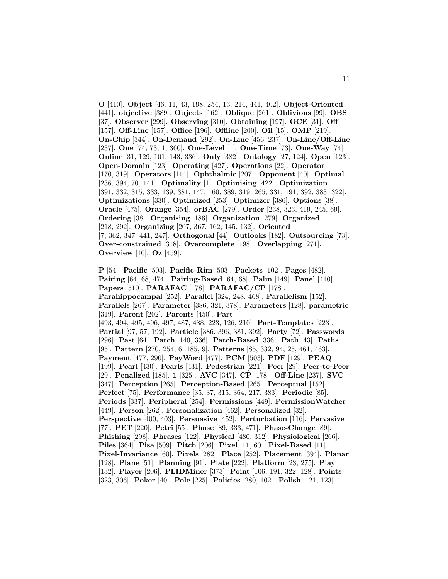**O** [410]. **Object** [46, 11, 43, 198, 254, 13, 214, 441, 402]. **Object-Oriented** [441]. **objective** [389]. **Objects** [162]. **Oblique** [261]. **Oblivious** [99]. **OBS** [37]. **Observer** [299]. **Observing** [310]. **Obtaining** [197]. **OCE** [31]. **Off** [157]. **Off-Line** [157]. **Office** [196]. **Offline** [200]. **Oil** [15]. **OMP** [219]. **On-Chip** [344]. **On-Demand** [292]. **On-Line** [456, 237]. **On-Line/Off-Line** [237]. **One** [74, 73, 1, 360]. **One-Level** [1]. **One-Time** [73]. **One-Way** [74]. **Online** [31, 129, 101, 143, 336]. **Only** [382]. **Ontology** [27, 124]. **Open** [123]. **Open-Domain** [123]. **Operating** [427]. **Operations** [22]. **Operator** [170, 319]. **Operators** [114]. **Ophthalmic** [207]. **Opponent** [40]. **Optimal** [236, 394, 70, 141]. **Optimality** [1]. **Optimising** [422]. **Optimization** [391, 332, 315, 333, 139, 381, 147, 160, 389, 319, 265, 331, 191, 392, 383, 322]. **Optimizations** [330]. **Optimized** [253]. **Optimizer** [386]. **Options** [38]. **Oracle** [475]. **Orange** [354]. **orBAC** [279]. **Order** [238, 323, 419, 245, 69]. **Ordering** [38]. **Organising** [186]. **Organization** [279]. **Organized** [218, 292]. **Organizing** [207, 367, 162, 145, 132]. **Oriented** [7, 362, 347, 441, 247]. **Orthogonal** [44]. **Outlooks** [182]. **Outsourcing** [73]. **Over-constrained** [318]. **Overcomplete** [198]. **Overlapping** [271]. **Overview** [10]. **Oz** [459].

**P** [54]. **Pacific** [503]. **Pacific-Rim** [503]. **Packets** [102]. **Pages** [482]. **Pairing** [64, 68, 474]. **Pairing-Based** [64, 68]. **Palm** [149]. **Panel** [410]. **Papers** [510]. **PARAFAC** [178]. **PARAFAC/CP** [178]. **Parahippocampal** [252]. **Parallel** [324, 248, 468]. **Parallelism** [152]. **Parallels** [267]. **Parameter** [386, 321, 378]. **Parameters** [128]. **parametric** [319]. **Parent** [202]. **Parents** [450]. **Part** [493, 494, 495, 496, 497, 487, 488, 223, 126, 210]. **Part-Templates** [223]. **Partial** [97, 57, 192]. **Particle** [386, 396, 381, 392]. **Party** [72]. **Passwords** [296]. **Past** [64]. **Patch** [140, 336]. **Patch-Based** [336]. **Path** [43]. **Paths** [95]. **Pattern** [270, 254, 6, 185, 9]. **Patterns** [85, 332, 94, 25, 461, 463]. **Payment** [477, 290]. **PayWord** [477]. **PCM** [503]. **PDF** [129]. **PEAQ** [199]. **Pearl** [430]. **Pearls** [431]. **Pedestrian** [221]. **Peer** [29]. **Peer-to-Peer** [29]. **Penalized** [185]. **1** [325]. **AVC** [347]. **CP** [178]. **Off-Line** [237]. **SVC** [347]. **Perception** [265]. **Perception-Based** [265]. **Perceptual** [152]. **Perfect** [75]. **Performance** [35, 37, 315, 364, 217, 383]. **Periodic** [85]. **Periods** [337]. **Peripheral** [254]. **Permissions** [449]. **PermissionWatcher** [449]. **Person** [262]. **Personalization** [462]. **Personalized** [32]. **Perspective** [400, 403]. **Persuasive** [452]. **Perturbation** [116]. **Pervasive** [77]. **PET** [220]. **Petri** [55]. **Phase** [89, 333, 471]. **Phase-Change** [89]. **Phishing** [298]. **Phrases** [122]. **Physical** [480, 312]. **Physiological** [266]. **Piles** [364]. **Pisa** [509]. **Pitch** [206]. **Pixel** [11, 60]. **Pixel-Based** [11]. **Pixel-Invariance** [60]. **Pixels** [282]. **Place** [252]. **Placement** [394]. **Planar** [128]. **Plane** [51]. **Planning** [91]. **Plate** [222]. **Platform** [23, 275]. **Play** [132]. **Player** [206]. **PLIDMiner** [373]. **Point** [106, 191, 322, 128]. **Points** [323, 306]. **Poker** [40]. **Pole** [225]. **Policies** [280, 102]. **Polish** [121, 123].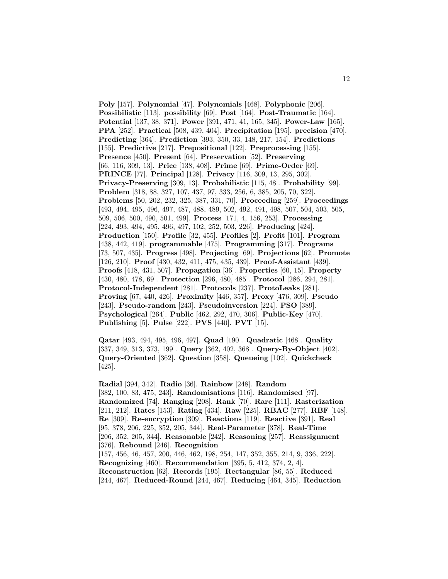**Poly** [157]. **Polynomial** [47]. **Polynomials** [468]. **Polyphonic** [206]. **Possibilistic** [113]. **possibility** [69]. **Post** [164]. **Post-Traumatic** [164]. **Potential** [137, 38, 371]. **Power** [391, 471, 41, 165, 345]. **Power-Law** [165]. **PPA** [252]. **Practical** [508, 439, 404]. **Precipitation** [195]. **precision** [470]. **Predicting** [364]. **Prediction** [393, 350, 33, 148, 217, 154]. **Predictions** [155]. **Predictive** [217]. **Prepositional** [122]. **Preprocessing** [155]. **Presence** [450]. **Present** [64]. **Preservation** [52]. **Preserving** [66, 116, 309, 13]. **Price** [138, 408]. **Prime** [69]. **Prime-Order** [69]. **PRINCE** [77]. **Principal** [128]. **Privacy** [116, 309, 13, 295, 302]. **Privacy-Preserving** [309, 13]. **Probabilistic** [115, 48]. **Probability** [99]. **Problem** [318, 88, 327, 107, 437, 97, 333, 256, 6, 385, 205, 70, 322]. **Problems** [50, 202, 232, 325, 387, 331, 70]. **Proceeding** [259]. **Proceedings** [493, 494, 495, 496, 497, 487, 488, 489, 502, 492, 491, 498, 507, 504, 503, 505, 509, 506, 500, 490, 501, 499]. **Process** [171, 4, 156, 253]. **Processing** [224, 493, 494, 495, 496, 497, 102, 252, 503, 226]. **Producing** [424]. **Production** [150]. **Profile** [32, 455]. **Profiles** [2]. **Profit** [101]. **Program** [438, 442, 419]. **programmable** [475]. **Programming** [317]. **Programs** [73, 507, 435]. **Progress** [498]. **Projecting** [69]. **Projections** [62]. **Promote** [126, 210]. **Proof** [430, 432, 411, 475, 435, 439]. **Proof-Assistant** [439]. **Proofs** [418, 431, 507]. **Propagation** [36]. **Properties** [60, 15]. **Property** [430, 480, 478, 69]. **Protection** [296, 480, 485]. **Protocol** [286, 294, 281]. **Protocol-Independent** [281]. **Protocols** [237]. **ProtoLeaks** [281]. **Proving** [67, 440, 426]. **Proximity** [446, 357]. **Proxy** [476, 309]. **Pseudo** [243]. **Pseudo-random** [243]. **Pseudoinversion** [224]. **PSO** [389]. **Psychological** [264]. **Public** [462, 292, 470, 306]. **Public-Key** [470]. **Publishing** [5]. **Pulse** [222]. **PVS** [440]. **PVT** [15].

**Qatar** [493, 494, 495, 496, 497]. **Quad** [190]. **Quadratic** [468]. **Quality** [337, 349, 313, 373, 199]. **Query** [362, 402, 368]. **Query-By-Object** [402]. **Query-Oriented** [362]. **Question** [358]. **Queueing** [102]. **Quickcheck** [425].

**Radial** [394, 342]. **Radio** [36]. **Rainbow** [248]. **Random** [382, 100, 83, 475, 243]. **Randomisations** [116]. **Randomised** [97]. **Randomized** [74]. **Ranging** [208]. **Rank** [70]. **Rare** [111]. **Rasterization** [211, 212]. **Rates** [153]. **Rating** [434]. **Raw** [225]. **RBAC** [277]. **RBF** [148]. **Re** [309]. **Re-encryption** [309]. **Reactions** [119]. **Reactive** [391]. **Real** [95, 378, 206, 225, 352, 205, 344]. **Real-Parameter** [378]. **Real-Time** [206, 352, 205, 344]. **Reasonable** [242]. **Reasoning** [257]. **Reassignment** [376]. **Rebound** [246]. **Recognition** [157, 456, 46, 457, 200, 446, 462, 198, 254, 147, 352, 355, 214, 9, 336, 222]. **Recognizing** [460]. **Recommendation** [395, 5, 412, 374, 2, 4]. **Reconstruction** [62]. **Records** [195]. **Rectangular** [86, 55]. **Reduced** [244, 467]. **Reduced-Round** [244, 467]. **Reducing** [464, 345]. **Reduction**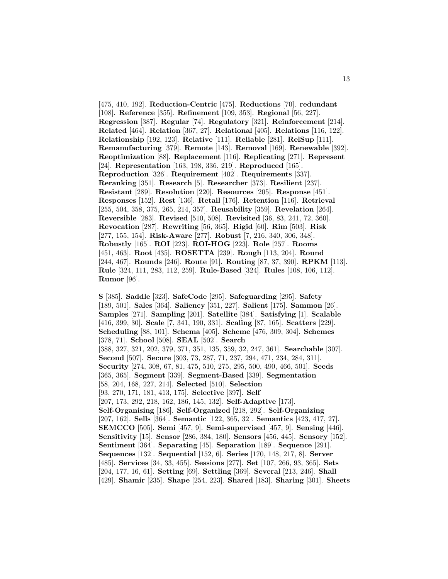[475, 410, 192]. **Reduction-Centric** [475]. **Reductions** [70]. **redundant** [108]. **Reference** [355]. **Refinement** [109, 353]. **Regional** [56, 227]. **Regression** [387]. **Regular** [74]. **Regulatory** [321]. **Reinforcement** [214]. **Related** [464]. **Relation** [367, 27]. **Relational** [405]. **Relations** [116, 122]. **Relationship** [192, 123]. **Relative** [111]. **Reliable** [281]. **RelSup** [111]. **Remanufacturing** [379]. **Remote** [143]. **Removal** [169]. **Renewable** [392]. **Reoptimization** [88]. **Replacement** [116]. **Replicating** [271]. **Represent** [24]. **Representation** [163, 198, 336, 219]. **Reproduced** [165]. **Reproduction** [326]. **Requirement** [402]. **Requirements** [337]. **Reranking** [351]. **Research** [5]. **Researcher** [373]. **Resilient** [237]. **Resistant** [289]. **Resolution** [220]. **Resources** [205]. **Response** [451]. **Responses** [152]. **Rest** [136]. **Retail** [176]. **Retention** [116]. **Retrieval** [255, 504, 358, 375, 265, 214, 357]. **Reusability** [359]. **Revelation** [264]. **Reversible** [283]. **Revised** [510, 508]. **Revisited** [36, 83, 241, 72, 360]. **Revocation** [287]. **Rewriting** [56, 365]. **Rigid** [60]. **Rim** [503]. **Risk** [277, 155, 154]. **Risk-Aware** [277]. **Robust** [7, 216, 340, 306, 348]. **Robustly** [165]. **ROI** [223]. **ROI-HOG** [223]. **Role** [257]. **Rooms** [451, 463]. **Root** [435]. **ROSETTA** [239]. **Rough** [113, 204]. **Round** [244, 467]. **Rounds** [246]. **Route** [91]. **Routing** [87, 37, 390]. **RPKM** [113]. **Rule** [324, 111, 283, 112, 259]. **Rule-Based** [324]. **Rules** [108, 106, 112]. **Rumor** [96].

**S** [385]. **Saddle** [323]. **SafeCode** [295]. **Safeguarding** [295]. **Safety** [189, 501]. **Sales** [364]. **Saliency** [351, 227]. **Salient** [175]. **Sammon** [26]. **Samples** [271]. **Sampling** [201]. **Satellite** [384]. **Satisfying** [1]. **Scalable** [416, 399, 30]. **Scale** [7, 341, 190, 331]. **Scaling** [87, 165]. **Scatters** [229]. **Scheduling** [88, 101]. **Schema** [405]. **Scheme** [476, 309, 304]. **Schemes** [378, 71]. **School** [508]. **SEAL** [502]. **Search** [388, 327, 321, 202, 379, 371, 351, 135, 359, 32, 247, 361]. **Searchable** [307]. **Second** [507]. **Secure** [303, 73, 287, 71, 237, 294, 471, 234, 284, 311]. **Security** [274, 308, 67, 81, 475, 510, 275, 295, 500, 490, 466, 501]. **Seeds** [365, 365]. **Segment** [339]. **Segment-Based** [339]. **Segmentation** [58, 204, 168, 227, 214]. **Selected** [510]. **Selection** [93, 270, 171, 181, 413, 175]. **Selective** [397]. **Self** [207, 173, 292, 218, 162, 186, 145, 132]. **Self-Adaptive** [173]. **Self-Organising** [186]. **Self-Organized** [218, 292]. **Self-Organizing** [207, 162]. **Sells** [364]. **Semantic** [122, 365, 32]. **Semantics** [423, 417, 27]. **SEMCCO** [505]. **Semi** [457, 9]. **Semi-supervised** [457, 9]. **Sensing** [446]. **Sensitivity** [15]. **Sensor** [286, 384, 180]. **Sensors** [456, 445]. **Sensory** [152]. **Sentiment** [364]. **Separating** [45]. **Separation** [189]. **Sequence** [291]. **Sequences** [132]. **Sequential** [152, 6]. **Series** [170, 148, 217, 8]. **Server** [485]. **Services** [34, 33, 455]. **Sessions** [277]. **Set** [107, 266, 93, 365]. **Sets** [204, 177, 16, 61]. **Setting** [69]. **Settling** [369]. **Several** [213, 246]. **Shall** [429]. **Shamir** [235]. **Shape** [254, 223]. **Shared** [183]. **Sharing** [301]. **Sheets**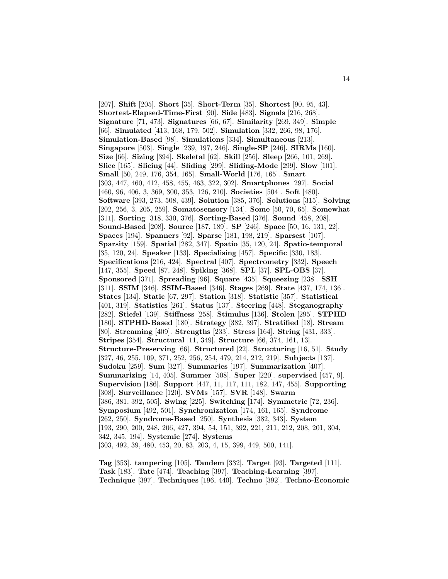[207]. **Shift** [205]. **Short** [35]. **Short-Term** [35]. **Shortest** [90, 95, 43]. **Shortest-Elapsed-Time-First** [90]. **Side** [483]. **Signals** [216, 268]. **Signature** [71, 473]. **Signatures** [66, 67]. **Similarity** [269, 349]. **Simple** [66]. **Simulated** [413, 168, 179, 502]. **Simulation** [332, 266, 98, 176]. **Simulation-Based** [98]. **Simulations** [334]. **Simultaneous** [213]. **Singapore** [503]. **Single** [239, 197, 246]. **Single-SP** [246]. **SIRMs** [160]. **Size** [66]. **Sizing** [394]. **Skeletal** [62]. **Skill** [256]. **Sleep** [266, 101, 269]. **Slice** [165]. **Slicing** [44]. **Sliding** [299]. **Sliding-Mode** [299]. **Slow** [101]. **Small** [50, 249, 176, 354, 165]. **Small-World** [176, 165]. **Smart** [303, 447, 460, 412, 458, 455, 463, 322, 302]. **Smartphones** [297]. **Social** [460, 96, 406, 3, 369, 300, 353, 126, 210]. **Societies** [504]. **Soft** [480]. **Software** [393, 273, 508, 439]. **Solution** [385, 376]. **Solutions** [315]. **Solving** [202, 256, 3, 205, 259]. **Somatosensory** [134]. **Some** [50, 70, 65]. **Somewhat** [311]. **Sorting** [318, 330, 376]. **Sorting-Based** [376]. **Sound** [458, 208]. **Sound-Based** [208]. **Source** [187, 189]. **SP** [246]. **Space** [50, 16, 131, 22]. **Spaces** [194]. **Spanners** [92]. **Sparse** [181, 198, 219]. **Sparsest** [107]. **Sparsity** [159]. **Spatial** [282, 347]. **Spatio** [35, 120, 24]. **Spatio-temporal** [35, 120, 24]. **Speaker** [133]. **Specialising** [457]. **Specific** [330, 183]. **Specifications** [216, 424]. **Spectral** [407]. **Spectrometry** [332]. **Speech** [147, 355]. **Speed** [87, 248]. **Spiking** [368]. **SPL** [37]. **SPL-OBS** [37]. **Sponsored** [371]. **Spreading** [96]. **Square** [435]. **Squeezing** [238]. **SSH** [311]. **SSIM** [346]. **SSIM-Based** [346]. **Stages** [269]. **State** [437, 174, 136]. **States** [134]. **Static** [67, 297]. **Station** [318]. **Statistic** [357]. **Statistical** [401, 319]. **Statistics** [261]. **Status** [137]. **Steering** [448]. **Steganography** [282]. **Stiefel** [139]. **Stiffness** [258]. **Stimulus** [136]. **Stolen** [295]. **STPHD** [180]. **STPHD-Based** [180]. **Strategy** [382, 397]. **Stratified** [18]. **Stream** [80]. **Streaming** [409]. **Strengths** [233]. **Stress** [164]. **String** [431, 333]. **Stripes** [354]. **Structural** [11, 349]. **Structure** [66, 374, 161, 13]. **Structure-Preserving** [66]. **Structured** [22]. **Structuring** [16, 51]. **Study** [327, 46, 255, 109, 371, 252, 256, 254, 479, 214, 212, 219]. **Subjects** [137]. **Sudoku** [259]. **Sum** [327]. **Summaries** [197]. **Summarization** [407]. **Summarizing** [14, 405]. **Summer** [508]. **Super** [220]. **supervised** [457, 9]. **Supervision** [186]. **Support** [447, 11, 117, 111, 182, 147, 455]. **Supporting** [308]. **Surveillance** [120]. **SVMs** [157]. **SVR** [148]. **Swarm** [386, 381, 392, 505]. **Swing** [225]. **Switching** [174]. **Symmetric** [72, 236]. **Symposium** [492, 501]. **Synchronization** [174, 161, 165]. **Syndrome** [262, 250]. **Syndrome-Based** [250]. **Synthesis** [382, 343]. **System** [193, 290, 200, 248, 206, 427, 394, 54, 151, 392, 221, 211, 212, 208, 201, 304, 342, 345, 194]. **Systemic** [274]. **Systems** [303, 492, 39, 480, 453, 20, 83, 203, 4, 15, 399, 449, 500, 141].

**Tag** [353]. **tampering** [105]. **Tandem** [332]. **Target** [93]. **Targeted** [111]. **Task** [183]. **Tate** [474]. **Teaching** [397]. **Teaching-Learning** [397]. **Technique** [397]. **Techniques** [196, 440]. **Techno** [392]. **Techno-Economic**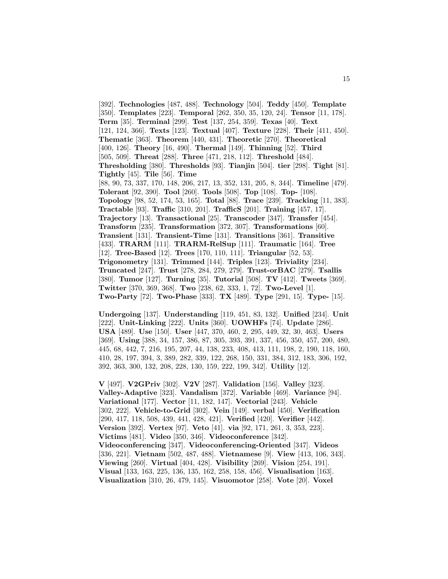[392]. **Technologies** [487, 488]. **Technology** [504]. **Teddy** [450]. **Template** [350]. **Templates** [223]. **Temporal** [262, 350, 35, 120, 24]. **Tensor** [11, 178]. **Term** [35]. **Terminal** [299]. **Test** [137, 254, 359]. **Texas** [40]. **Text** [121, 124, 366]. **Texts** [123]. **Textual** [407]. **Texture** [228]. **Their** [411, 450]. **Thematic** [363]. **Theorem** [440, 431]. **Theoretic** [270]. **Theoretical** [400, 126]. **Theory** [16, 490]. **Thermal** [149]. **Thinning** [52]. **Third** [505, 509]. **Threat** [288]. **Three** [471, 218, 112]. **Threshold** [484]. **Thresholding** [380]. **Thresholds** [93]. **Tianjin** [504]. **tier** [298]. **Tight** [81]. **Tightly** [45]. **Tile** [56]. **Time** [88, 90, 73, 337, 170, 148, 206, 217, 13, 352, 131, 205, 8, 344]. **Timeline** [479]. **Tolerant** [92, 390]. **Tool** [260]. **Tools** [508]. **Top** [108]. **Top-** [108]. **Topology** [98, 52, 174, 53, 165]. **Total** [88]. **Trace** [239]. **Tracking** [11, 383]. **Tractable** [93]. **Traffic** [310, 201]. **TrafficS** [201]. **Training** [457, 17]. **Trajectory** [13]. **Transactional** [25]. **Transcoder** [347]. **Transfer** [454]. **Transform** [235]. **Transformation** [372, 307]. **Transformations** [60]. **Transient** [131]. **Transient-Time** [131]. **Transitions** [361]. **Transitive** [433]. **TRARM** [111]. **TRARM-RelSup** [111]. **Traumatic** [164]. **Tree** [12]. **Tree-Based** [12]. **Trees** [170, 110, 111]. **Triangular** [52, 53]. **Trigonometry** [131]. **Trimmed** [144]. **Triples** [123]. **Triviality** [234]. **Truncated** [247]. **Trust** [278, 284, 279, 279]. **Trust-orBAC** [279]. **Tsallis** [380]. **Tumor** [127]. **Turning** [35]. **Tutorial** [508]. **TV** [412]. **Tweets** [369]. **Twitter** [370, 369, 368]. **Two** [238, 62, 333, 1, 72]. **Two-Level** [1]. **Two-Party** [72]. **Two-Phase** [333]. **TX** [489]. **Type** [291, 15]. **Type-** [15].

**Undergoing** [137]. **Understanding** [119, 451, 83, 132]. **Unified** [234]. **Unit** [222]. **Unit-Linking** [222]. **Units** [360]. **UOWHFs** [74]. **Update** [286]. **USA** [489]. **Use** [150]. **User** [447, 370, 460, 2, 295, 449, 32, 30, 463]. **Users** [369]. **Using** [388, 34, 157, 386, 87, 305, 393, 391, 337, 456, 350, 457, 200, 480, 445, 68, 442, 7, 216, 195, 207, 44, 138, 233, 408, 413, 111, 198, 2, 190, 118, 160, 410, 28, 197, 394, 3, 389, 282, 339, 122, 268, 150, 331, 384, 312, 183, 306, 192, 392, 363, 300, 132, 208, 228, 130, 159, 222, 199, 342]. **Utility** [12].

**V** [497]. **V2GPriv** [302]. **V2V** [287]. **Validation** [156]. **Valley** [323]. **Valley-Adaptive** [323]. **Vandalism** [372]. **Variable** [469]. **Variance** [94]. **Variational** [177]. **Vector** [11, 182, 147]. **Vectorial** [243]. **Vehicle** [302, 222]. **Vehicle-to-Grid** [302]. **Vein** [149]. **verbal** [450]. **Verification** [290, 417, 118, 508, 439, 441, 428, 421]. **Verified** [420]. **Verifier** [442]. **Version** [392]. **Vertex** [97]. **Veto** [41]. **via** [92, 171, 261, 3, 353, 223]. **Victims** [481]. **Video** [350, 346]. **Videoconference** [342]. **Videoconferencing** [347]. **Videoconferencing-Oriented** [347]. **Videos** [336, 221]. **Vietnam** [502, 487, 488]. **Vietnamese** [9]. **View** [413, 106, 343]. **Viewing** [260]. **Virtual** [404, 428]. **Visibility** [269]. **Vision** [254, 191]. **Visual** [133, 163, 225, 136, 135, 162, 258, 158, 456]. **Visualisation** [163]. **Visualization** [310, 26, 479, 145]. **Visuomotor** [258]. **Vote** [20]. **Voxel**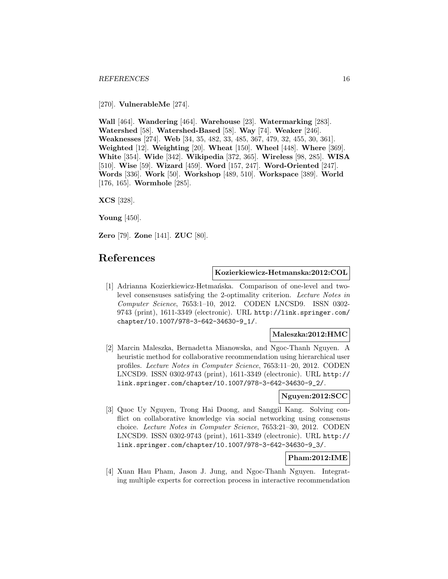[270]. **VulnerableMe** [274].

**Wall** [464]. **Wandering** [464]. **Warehouse** [23]. **Watermarking** [283]. **Watershed** [58]. **Watershed-Based** [58]. **Way** [74]. **Weaker** [246]. **Weaknesses** [274]. **Web** [34, 35, 482, 33, 485, 367, 479, 32, 455, 30, 361]. **Weighted** [12]. **Weighting** [20]. **Wheat** [150]. **Wheel** [448]. **Where** [369]. **White** [354]. **Wide** [342]. **Wikipedia** [372, 365]. **Wireless** [98, 285]. **WISA** [510]. **Wise** [59]. **Wizard** [459]. **Word** [157, 247]. **Word-Oriented** [247]. **Words** [336]. **Work** [50]. **Workshop** [489, 510]. **Workspace** [389]. **World** [176, 165]. **Wormhole** [285].

**XCS** [328].

**Young** [450].

**Zero** [79]. **Zone** [141]. **ZUC** [80].

## **References**

#### **Kozierkiewicz-Hetmanska:2012:COL**

[1] Adrianna Kozierkiewicz-Hetmańska. Comparison of one-level and twolevel consensuses satisfying the 2-optimality criterion. Lecture Notes in Computer Science, 7653:1–10, 2012. CODEN LNCSD9. ISSN 0302- 9743 (print), 1611-3349 (electronic). URL http://link.springer.com/ chapter/10.1007/978-3-642-34630-9\_1/.

#### **Maleszka:2012:HMC**

[2] Marcin Maleszka, Bernadetta Mianowska, and Ngoc-Thanh Nguyen. A heuristic method for collaborative recommendation using hierarchical user profiles. Lecture Notes in Computer Science, 7653:11–20, 2012. CODEN LNCSD9. ISSN 0302-9743 (print), 1611-3349 (electronic). URL http:// link.springer.com/chapter/10.1007/978-3-642-34630-9\_2/.

## **Nguyen:2012:SCC**

[3] Quoc Uy Nguyen, Trong Hai Duong, and Sanggil Kang. Solving conflict on collaborative knowledge via social networking using consensus choice. Lecture Notes in Computer Science, 7653:21–30, 2012. CODEN LNCSD9. ISSN 0302-9743 (print), 1611-3349 (electronic). URL http:// link.springer.com/chapter/10.1007/978-3-642-34630-9\_3/.

## **Pham:2012:IME**

[4] Xuan Hau Pham, Jason J. Jung, and Ngoc-Thanh Nguyen. Integrating multiple experts for correction process in interactive recommendation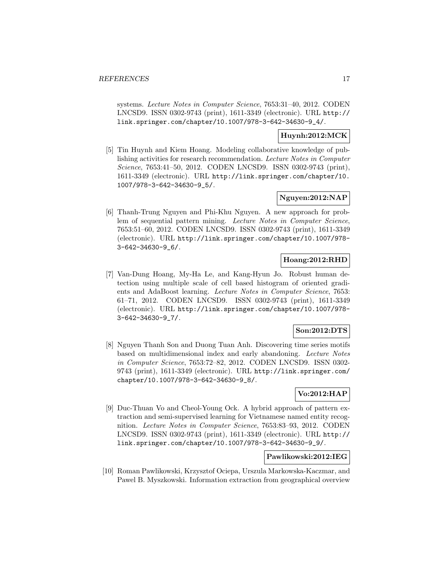systems. Lecture Notes in Computer Science, 7653:31–40, 2012. CODEN LNCSD9. ISSN 0302-9743 (print), 1611-3349 (electronic). URL http:// link.springer.com/chapter/10.1007/978-3-642-34630-9\_4/.

#### **Huynh:2012:MCK**

[5] Tin Huynh and Kiem Hoang. Modeling collaborative knowledge of publishing activities for research recommendation. Lecture Notes in Computer Science, 7653:41–50, 2012. CODEN LNCSD9. ISSN 0302-9743 (print), 1611-3349 (electronic). URL http://link.springer.com/chapter/10. 1007/978-3-642-34630-9\_5/.

## **Nguyen:2012:NAP**

[6] Thanh-Trung Nguyen and Phi-Khu Nguyen. A new approach for problem of sequential pattern mining. Lecture Notes in Computer Science, 7653:51–60, 2012. CODEN LNCSD9. ISSN 0302-9743 (print), 1611-3349 (electronic). URL http://link.springer.com/chapter/10.1007/978- 3-642-34630-9\_6/.

#### **Hoang:2012:RHD**

[7] Van-Dung Hoang, My-Ha Le, and Kang-Hyun Jo. Robust human detection using multiple scale of cell based histogram of oriented gradients and AdaBoost learning. Lecture Notes in Computer Science, 7653: 61–71, 2012. CODEN LNCSD9. ISSN 0302-9743 (print), 1611-3349 (electronic). URL http://link.springer.com/chapter/10.1007/978- 3-642-34630-9\_7/.

#### **Son:2012:DTS**

[8] Nguyen Thanh Son and Duong Tuan Anh. Discovering time series motifs based on multidimensional index and early abandoning. Lecture Notes in Computer Science, 7653:72–82, 2012. CODEN LNCSD9. ISSN 0302- 9743 (print), 1611-3349 (electronic). URL http://link.springer.com/ chapter/10.1007/978-3-642-34630-9\_8/.

## **Vo:2012:HAP**

[9] Duc-Thuan Vo and Cheol-Young Ock. A hybrid approach of pattern extraction and semi-supervised learning for Vietnamese named entity recognition. Lecture Notes in Computer Science, 7653:83–93, 2012. CODEN LNCSD9. ISSN 0302-9743 (print), 1611-3349 (electronic). URL http:// link.springer.com/chapter/10.1007/978-3-642-34630-9\_9/.

#### **Pawlikowski:2012:IEG**

[10] Roman Pawlikowski, Krzysztof Ociepa, Urszula Markowska-Kaczmar, and Pawel B. Myszkowski. Information extraction from geographical overview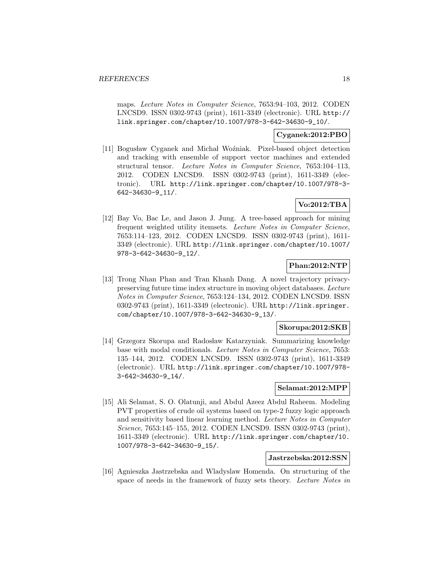maps. Lecture Notes in Computer Science, 7653:94–103, 2012. CODEN LNCSD9. ISSN 0302-9743 (print), 1611-3349 (electronic). URL http:// link.springer.com/chapter/10.1007/978-3-642-34630-9\_10/.

#### **Cyganek:2012:PBO**

[11] Bogusław Cyganek and Michał Woźniak. Pixel-based object detection and tracking with ensemble of support vector machines and extended structural tensor. Lecture Notes in Computer Science, 7653:104–113, 2012. CODEN LNCSD9. ISSN 0302-9743 (print), 1611-3349 (electronic). URL http://link.springer.com/chapter/10.1007/978-3- 642-34630-9\_11/.

## **Vo:2012:TBA**

[12] Bay Vo, Bac Le, and Jason J. Jung. A tree-based approach for mining frequent weighted utility itemsets. Lecture Notes in Computer Science, 7653:114–123, 2012. CODEN LNCSD9. ISSN 0302-9743 (print), 1611- 3349 (electronic). URL http://link.springer.com/chapter/10.1007/ 978-3-642-34630-9\_12/.

## **Phan:2012:NTP**

[13] Trong Nhan Phan and Tran Khanh Dang. A novel trajectory privacypreserving future time index structure in moving object databases. Lecture Notes in Computer Science, 7653:124–134, 2012. CODEN LNCSD9. ISSN 0302-9743 (print), 1611-3349 (electronic). URL http://link.springer. com/chapter/10.1007/978-3-642-34630-9\_13/.

## **Skorupa:2012:SKB**

[14] Grzegorz Skorupa and Radosław Katarzyniak. Summarizing knowledge base with modal conditionals. Lecture Notes in Computer Science, 7653: 135–144, 2012. CODEN LNCSD9. ISSN 0302-9743 (print), 1611-3349 (electronic). URL http://link.springer.com/chapter/10.1007/978- 3-642-34630-9\_14/.

## **Selamat:2012:MPP**

[15] Ali Selamat, S. O. Olatunji, and Abdul Azeez Abdul Raheem. Modeling PVT properties of crude oil systems based on type-2 fuzzy logic approach and sensitivity based linear learning method. Lecture Notes in Computer Science, 7653:145–155, 2012. CODEN LNCSD9. ISSN 0302-9743 (print), 1611-3349 (electronic). URL http://link.springer.com/chapter/10. 1007/978-3-642-34630-9\_15/.

#### **Jastrzebska:2012:SSN**

[16] Agnieszka Jastrzebska and Wladyslaw Homenda. On structuring of the space of needs in the framework of fuzzy sets theory. Lecture Notes in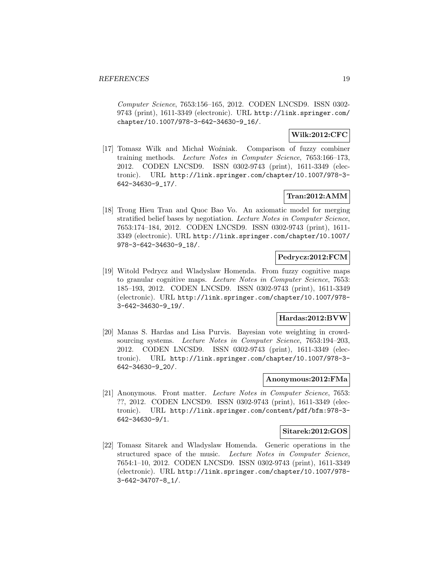Computer Science, 7653:156–165, 2012. CODEN LNCSD9. ISSN 0302- 9743 (print), 1611-3349 (electronic). URL http://link.springer.com/ chapter/10.1007/978-3-642-34630-9\_16/.

## **Wilk:2012:CFC**

[17] Tomasz Wilk and Michał Woźniak. Comparison of fuzzy combiner training methods. Lecture Notes in Computer Science, 7653:166–173, 2012. CODEN LNCSD9. ISSN 0302-9743 (print), 1611-3349 (electronic). URL http://link.springer.com/chapter/10.1007/978-3- 642-34630-9\_17/.

## **Tran:2012:AMM**

[18] Trong Hieu Tran and Quoc Bao Vo. An axiomatic model for merging stratified belief bases by negotiation. Lecture Notes in Computer Science, 7653:174–184, 2012. CODEN LNCSD9. ISSN 0302-9743 (print), 1611- 3349 (electronic). URL http://link.springer.com/chapter/10.1007/ 978-3-642-34630-9\_18/.

## **Pedrycz:2012:FCM**

[19] Witold Pedrycz and Wladyslaw Homenda. From fuzzy cognitive maps to granular cognitive maps. Lecture Notes in Computer Science, 7653: 185–193, 2012. CODEN LNCSD9. ISSN 0302-9743 (print), 1611-3349 (electronic). URL http://link.springer.com/chapter/10.1007/978- 3-642-34630-9\_19/.

#### **Hardas:2012:BVW**

[20] Manas S. Hardas and Lisa Purvis. Bayesian vote weighting in crowdsourcing systems. Lecture Notes in Computer Science, 7653:194–203, 2012. CODEN LNCSD9. ISSN 0302-9743 (print), 1611-3349 (electronic). URL http://link.springer.com/chapter/10.1007/978-3- 642-34630-9\_20/.

#### **Anonymous:2012:FMa**

[21] Anonymous. Front matter. Lecture Notes in Computer Science, 7653: ??, 2012. CODEN LNCSD9. ISSN 0302-9743 (print), 1611-3349 (electronic). URL http://link.springer.com/content/pdf/bfm:978-3- 642-34630-9/1.

#### **Sitarek:2012:GOS**

[22] Tomasz Sitarek and Wladyslaw Homenda. Generic operations in the structured space of the music. Lecture Notes in Computer Science, 7654:1–10, 2012. CODEN LNCSD9. ISSN 0302-9743 (print), 1611-3349 (electronic). URL http://link.springer.com/chapter/10.1007/978- 3-642-34707-8\_1/.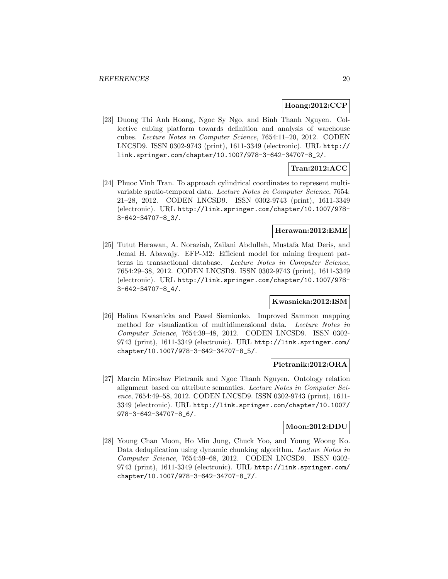#### **Hoang:2012:CCP**

[23] Duong Thi Anh Hoang, Ngoc Sy Ngo, and Binh Thanh Nguyen. Collective cubing platform towards definition and analysis of warehouse cubes. Lecture Notes in Computer Science, 7654:11–20, 2012. CODEN LNCSD9. ISSN 0302-9743 (print), 1611-3349 (electronic). URL http:// link.springer.com/chapter/10.1007/978-3-642-34707-8\_2/.

## **Tran:2012:ACC**

[24] Phuoc Vinh Tran. To approach cylindrical coordinates to represent multivariable spatio-temporal data. Lecture Notes in Computer Science, 7654: 21–28, 2012. CODEN LNCSD9. ISSN 0302-9743 (print), 1611-3349 (electronic). URL http://link.springer.com/chapter/10.1007/978- 3-642-34707-8\_3/.

#### **Herawan:2012:EME**

[25] Tutut Herawan, A. Noraziah, Zailani Abdullah, Mustafa Mat Deris, and Jemal H. Abawajy. EFP-M2: Efficient model for mining frequent patterns in transactional database. Lecture Notes in Computer Science, 7654:29–38, 2012. CODEN LNCSD9. ISSN 0302-9743 (print), 1611-3349 (electronic). URL http://link.springer.com/chapter/10.1007/978- 3-642-34707-8\_4/.

## **Kwasnicka:2012:ISM**

[26] Halina Kwasnicka and Pawel Siemionko. Improved Sammon mapping method for visualization of multidimensional data. Lecture Notes in Computer Science, 7654:39–48, 2012. CODEN LNCSD9. ISSN 0302- 9743 (print), 1611-3349 (electronic). URL http://link.springer.com/ chapter/10.1007/978-3-642-34707-8\_5/.

#### **Pietranik:2012:ORA**

[27] Marcin Mirosław Pietranik and Ngoc Thanh Nguyen. Ontology relation alignment based on attribute semantics. Lecture Notes in Computer Science, 7654:49–58, 2012. CODEN LNCSD9. ISSN 0302-9743 (print), 1611- 3349 (electronic). URL http://link.springer.com/chapter/10.1007/ 978-3-642-34707-8\_6/.

#### **Moon:2012:DDU**

[28] Young Chan Moon, Ho Min Jung, Chuck Yoo, and Young Woong Ko. Data deduplication using dynamic chunking algorithm. Lecture Notes in Computer Science, 7654:59–68, 2012. CODEN LNCSD9. ISSN 0302- 9743 (print), 1611-3349 (electronic). URL http://link.springer.com/ chapter/10.1007/978-3-642-34707-8\_7/.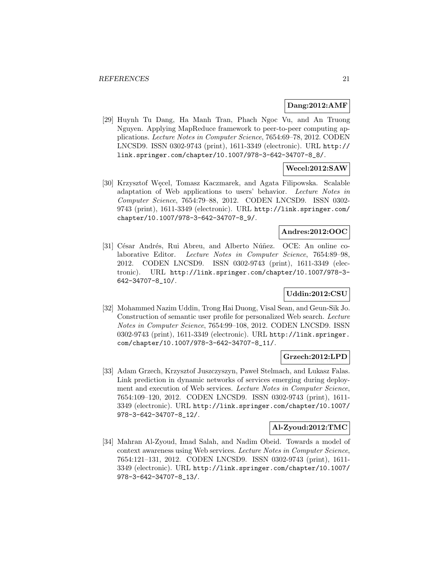#### **Dang:2012:AMF**

[29] Huynh Tu Dang, Ha Manh Tran, Phach Ngoc Vu, and An Truong Nguyen. Applying MapReduce framework to peer-to-peer computing applications. Lecture Notes in Computer Science, 7654:69–78, 2012. CODEN LNCSD9. ISSN 0302-9743 (print), 1611-3349 (electronic). URL http:// link.springer.com/chapter/10.1007/978-3-642-34707-8\_8/.

## **Wecel:2012:SAW**

[30] Krzysztof Węcel, Tomasz Kaczmarek, and Agata Filipowska. Scalable adaptation of Web applications to users' behavior. Lecture Notes in Computer Science, 7654:79–88, 2012. CODEN LNCSD9. ISSN 0302- 9743 (print), 1611-3349 (electronic). URL http://link.springer.com/ chapter/10.1007/978-3-642-34707-8\_9/.

## **Andres:2012:OOC**

[31] César Andrés, Rui Abreu, and Alberto Núñez. OCE: An online colaborative Editor. Lecture Notes in Computer Science, 7654:89–98, 2012. CODEN LNCSD9. ISSN 0302-9743 (print), 1611-3349 (electronic). URL http://link.springer.com/chapter/10.1007/978-3- 642-34707-8\_10/.

## **Uddin:2012:CSU**

[32] Mohammed Nazim Uddin, Trong Hai Duong, Visal Sean, and Geun-Sik Jo. Construction of semantic user profile for personalized Web search. Lecture Notes in Computer Science, 7654:99–108, 2012. CODEN LNCSD9. ISSN 0302-9743 (print), 1611-3349 (electronic). URL http://link.springer. com/chapter/10.1007/978-3-642-34707-8\_11/.

#### **Grzech:2012:LPD**

[33] Adam Grzech, Krzysztof Juszczyszyn, Paweł Stelmach, and Lukasz Falas. Link prediction in dynamic networks of services emerging during deployment and execution of Web services. Lecture Notes in Computer Science, 7654:109–120, 2012. CODEN LNCSD9. ISSN 0302-9743 (print), 1611- 3349 (electronic). URL http://link.springer.com/chapter/10.1007/ 978-3-642-34707-8\_12/.

#### **Al-Zyoud:2012:TMC**

[34] Mahran Al-Zyoud, Imad Salah, and Nadim Obeid. Towards a model of context awareness using Web services. Lecture Notes in Computer Science, 7654:121–131, 2012. CODEN LNCSD9. ISSN 0302-9743 (print), 1611- 3349 (electronic). URL http://link.springer.com/chapter/10.1007/ 978-3-642-34707-8\_13/.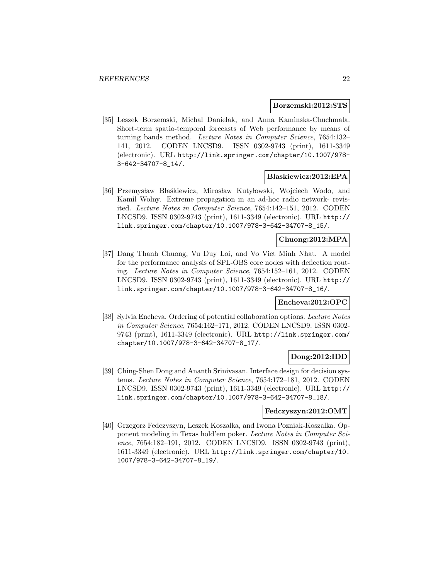#### **Borzemski:2012:STS**

[35] Leszek Borzemski, Michal Danielak, and Anna Kaminska-Chuchmala. Short-term spatio-temporal forecasts of Web performance by means of turning bands method. Lecture Notes in Computer Science, 7654:132– 141, 2012. CODEN LNCSD9. ISSN 0302-9743 (print), 1611-3349 (electronic). URL http://link.springer.com/chapter/10.1007/978- 3-642-34707-8\_14/.

#### **Blaskiewicz:2012:EPA**

[36] Przemysław Błaśkiewicz, Mirosław Kutyłowski, Wojciech Wodo, and Kamil Wolny. Extreme propagation in an ad-hoc radio network- revisited. Lecture Notes in Computer Science, 7654:142–151, 2012. CODEN LNCSD9. ISSN 0302-9743 (print), 1611-3349 (electronic). URL http:// link.springer.com/chapter/10.1007/978-3-642-34707-8\_15/.

## **Chuong:2012:MPA**

[37] Dang Thanh Chuong, Vu Duy Loi, and Vo Viet Minh Nhat. A model for the performance analysis of SPL-OBS core nodes with deflection routing. Lecture Notes in Computer Science, 7654:152–161, 2012. CODEN LNCSD9. ISSN 0302-9743 (print), 1611-3349 (electronic). URL http:// link.springer.com/chapter/10.1007/978-3-642-34707-8\_16/.

#### **Encheva:2012:OPC**

[38] Sylvia Encheva. Ordering of potential collaboration options. Lecture Notes in Computer Science, 7654:162–171, 2012. CODEN LNCSD9. ISSN 0302- 9743 (print), 1611-3349 (electronic). URL http://link.springer.com/ chapter/10.1007/978-3-642-34707-8\_17/.

#### **Dong:2012:IDD**

[39] Ching-Shen Dong and Ananth Srinivasan. Interface design for decision systems. Lecture Notes in Computer Science, 7654:172–181, 2012. CODEN LNCSD9. ISSN 0302-9743 (print), 1611-3349 (electronic). URL http:// link.springer.com/chapter/10.1007/978-3-642-34707-8\_18/.

#### **Fedczyszyn:2012:OMT**

[40] Grzegorz Fedczyszyn, Leszek Koszalka, and Iwona Pozniak-Koszalka. Opponent modeling in Texas hold'em poker. Lecture Notes in Computer Science, 7654:182–191, 2012. CODEN LNCSD9. ISSN 0302-9743 (print), 1611-3349 (electronic). URL http://link.springer.com/chapter/10. 1007/978-3-642-34707-8\_19/.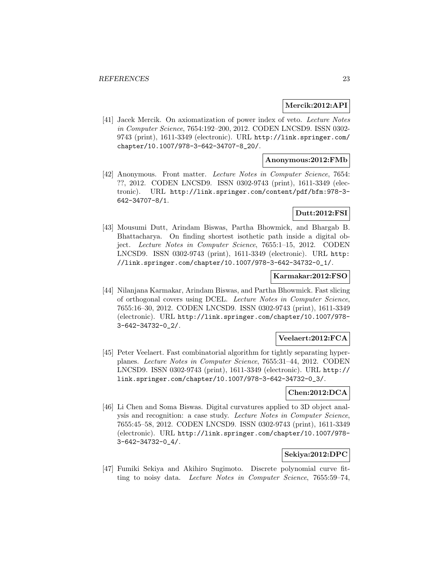#### **Mercik:2012:API**

[41] Jacek Mercik. On axiomatization of power index of veto. Lecture Notes in Computer Science, 7654:192–200, 2012. CODEN LNCSD9. ISSN 0302- 9743 (print), 1611-3349 (electronic). URL http://link.springer.com/ chapter/10.1007/978-3-642-34707-8\_20/.

#### **Anonymous:2012:FMb**

[42] Anonymous. Front matter. Lecture Notes in Computer Science, 7654: ??, 2012. CODEN LNCSD9. ISSN 0302-9743 (print), 1611-3349 (electronic). URL http://link.springer.com/content/pdf/bfm:978-3- 642-34707-8/1.

## **Dutt:2012:FSI**

[43] Mousumi Dutt, Arindam Biswas, Partha Bhowmick, and Bhargab B. Bhattacharya. On finding shortest isothetic path inside a digital object. Lecture Notes in Computer Science, 7655:1–15, 2012. CODEN LNCSD9. ISSN 0302-9743 (print), 1611-3349 (electronic). URL http: //link.springer.com/chapter/10.1007/978-3-642-34732-0\_1/.

#### **Karmakar:2012:FSO**

[44] Nilanjana Karmakar, Arindam Biswas, and Partha Bhowmick. Fast slicing of orthogonal covers using DCEL. Lecture Notes in Computer Science, 7655:16–30, 2012. CODEN LNCSD9. ISSN 0302-9743 (print), 1611-3349 (electronic). URL http://link.springer.com/chapter/10.1007/978- 3-642-34732-0\_2/.

## **Veelaert:2012:FCA**

[45] Peter Veelaert. Fast combinatorial algorithm for tightly separating hyperplanes. Lecture Notes in Computer Science, 7655:31–44, 2012. CODEN LNCSD9. ISSN 0302-9743 (print), 1611-3349 (electronic). URL http:// link.springer.com/chapter/10.1007/978-3-642-34732-0\_3/.

## **Chen:2012:DCA**

[46] Li Chen and Soma Biswas. Digital curvatures applied to 3D object analysis and recognition: a case study. Lecture Notes in Computer Science, 7655:45–58, 2012. CODEN LNCSD9. ISSN 0302-9743 (print), 1611-3349 (electronic). URL http://link.springer.com/chapter/10.1007/978- 3-642-34732-0\_4/.

#### **Sekiya:2012:DPC**

[47] Fumiki Sekiya and Akihiro Sugimoto. Discrete polynomial curve fitting to noisy data. Lecture Notes in Computer Science, 7655:59–74,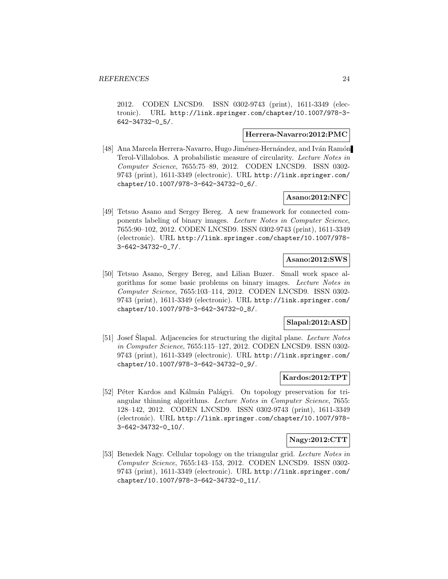2012. CODEN LNCSD9. ISSN 0302-9743 (print), 1611-3349 (electronic). URL http://link.springer.com/chapter/10.1007/978-3- 642-34732-0\_5/.

#### **Herrera-Navarro:2012:PMC**

[48] Ana Marcela Herrera-Navarro, Hugo Jiménez-Hernández, and Iván Ramón Terol-Villalobos. A probabilistic measure of circularity. Lecture Notes in Computer Science, 7655:75–89, 2012. CODEN LNCSD9. ISSN 0302- 9743 (print), 1611-3349 (electronic). URL http://link.springer.com/ chapter/10.1007/978-3-642-34732-0\_6/.

## **Asano:2012:NFC**

[49] Tetsuo Asano and Sergey Bereg. A new framework for connected components labeling of binary images. Lecture Notes in Computer Science, 7655:90–102, 2012. CODEN LNCSD9. ISSN 0302-9743 (print), 1611-3349 (electronic). URL http://link.springer.com/chapter/10.1007/978- 3-642-34732-0\_7/.

## **Asano:2012:SWS**

[50] Tetsuo Asano, Sergey Bereg, and Lilian Buzer. Small work space algorithms for some basic problems on binary images. Lecture Notes in Computer Science, 7655:103–114, 2012. CODEN LNCSD9. ISSN 0302- 9743 (print), 1611-3349 (electronic). URL http://link.springer.com/ chapter/10.1007/978-3-642-34732-0\_8/.

#### **Slapal:2012:ASD**

[51] Josef Slapal. Adjacencies for structuring the digital plane. Lecture Notes in Computer Science, 7655:115–127, 2012. CODEN LNCSD9. ISSN 0302- 9743 (print), 1611-3349 (electronic). URL http://link.springer.com/ chapter/10.1007/978-3-642-34732-0\_9/.

## **Kardos:2012:TPT**

[52] Péter Kardos and Kálmán Palágyi. On topology preservation for triangular thinning algorithms. Lecture Notes in Computer Science, 7655: 128–142, 2012. CODEN LNCSD9. ISSN 0302-9743 (print), 1611-3349 (electronic). URL http://link.springer.com/chapter/10.1007/978- 3-642-34732-0\_10/.

#### **Nagy:2012:CTT**

[53] Benedek Nagy. Cellular topology on the triangular grid. Lecture Notes in Computer Science, 7655:143–153, 2012. CODEN LNCSD9. ISSN 0302- 9743 (print), 1611-3349 (electronic). URL http://link.springer.com/ chapter/10.1007/978-3-642-34732-0\_11/.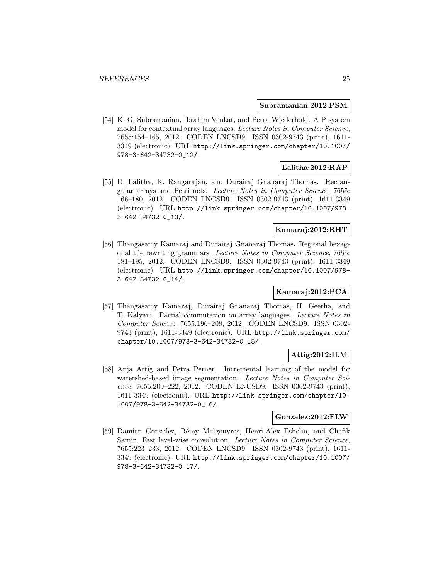#### **Subramanian:2012:PSM**

[54] K. G. Subramanian, Ibrahim Venkat, and Petra Wiederhold. A P system model for contextual array languages. Lecture Notes in Computer Science, 7655:154–165, 2012. CODEN LNCSD9. ISSN 0302-9743 (print), 1611- 3349 (electronic). URL http://link.springer.com/chapter/10.1007/ 978-3-642-34732-0\_12/.

#### **Lalitha:2012:RAP**

[55] D. Lalitha, K. Rangarajan, and Durairaj Gnanaraj Thomas. Rectangular arrays and Petri nets. Lecture Notes in Computer Science, 7655: 166–180, 2012. CODEN LNCSD9. ISSN 0302-9743 (print), 1611-3349 (electronic). URL http://link.springer.com/chapter/10.1007/978- 3-642-34732-0\_13/.

#### **Kamaraj:2012:RHT**

[56] Thangasamy Kamaraj and Durairaj Gnanaraj Thomas. Regional hexagonal tile rewriting grammars. Lecture Notes in Computer Science, 7655: 181–195, 2012. CODEN LNCSD9. ISSN 0302-9743 (print), 1611-3349 (electronic). URL http://link.springer.com/chapter/10.1007/978- 3-642-34732-0\_14/.

## **Kamaraj:2012:PCA**

[57] Thangasamy Kamaraj, Durairaj Gnanaraj Thomas, H. Geetha, and T. Kalyani. Partial commutation on array languages. Lecture Notes in Computer Science, 7655:196–208, 2012. CODEN LNCSD9. ISSN 0302- 9743 (print), 1611-3349 (electronic). URL http://link.springer.com/ chapter/10.1007/978-3-642-34732-0\_15/.

## **Attig:2012:ILM**

[58] Anja Attig and Petra Perner. Incremental learning of the model for watershed-based image segmentation. Lecture Notes in Computer Science, 7655:209–222, 2012. CODEN LNCSD9. ISSN 0302-9743 (print), 1611-3349 (electronic). URL http://link.springer.com/chapter/10. 1007/978-3-642-34732-0\_16/.

## **Gonzalez:2012:FLW**

[59] Damien Gonzalez, R´emy Malgouyres, Henri-Alex Esbelin, and Chafik Samir. Fast level-wise convolution. Lecture Notes in Computer Science, 7655:223–233, 2012. CODEN LNCSD9. ISSN 0302-9743 (print), 1611- 3349 (electronic). URL http://link.springer.com/chapter/10.1007/ 978-3-642-34732-0\_17/.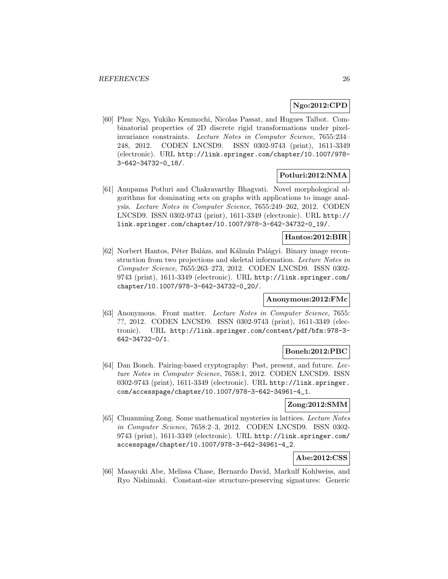## **Ngo:2012:CPD**

[60] Phuc Ngo, Yukiko Kenmochi, Nicolas Passat, and Hugues Talbot. Combinatorial properties of 2D discrete rigid transformations under pixelinvariance constraints. Lecture Notes in Computer Science, 7655:234– 248, 2012. CODEN LNCSD9. ISSN 0302-9743 (print), 1611-3349 (electronic). URL http://link.springer.com/chapter/10.1007/978- 3-642-34732-0\_18/.

## **Potluri:2012:NMA**

[61] Anupama Potluri and Chakravarthy Bhagvati. Novel morphological algorithms for dominating sets on graphs with applications to image analysis. Lecture Notes in Computer Science, 7655:249–262, 2012. CODEN LNCSD9. ISSN 0302-9743 (print), 1611-3349 (electronic). URL http:// link.springer.com/chapter/10.1007/978-3-642-34732-0\_19/.

#### **Hantos:2012:BIR**

[62] Norbert Hantos, Péter Balázs, and Kálmán Palágyi. Binary image reconstruction from two projections and skeletal information. Lecture Notes in Computer Science, 7655:263–273, 2012. CODEN LNCSD9. ISSN 0302- 9743 (print), 1611-3349 (electronic). URL http://link.springer.com/ chapter/10.1007/978-3-642-34732-0\_20/.

#### **Anonymous:2012:FMc**

[63] Anonymous. Front matter. Lecture Notes in Computer Science, 7655: ??, 2012. CODEN LNCSD9. ISSN 0302-9743 (print), 1611-3349 (electronic). URL http://link.springer.com/content/pdf/bfm:978-3- 642-34732-0/1.

#### **Boneh:2012:PBC**

[64] Dan Boneh. Pairing-based cryptography: Past, present, and future. Lecture Notes in Computer Science, 7658:1, 2012. CODEN LNCSD9. ISSN 0302-9743 (print), 1611-3349 (electronic). URL http://link.springer. com/accesspage/chapter/10.1007/978-3-642-34961-4\_1.

## **Zong:2012:SMM**

[65] Chuanming Zong. Some mathematical mysteries in lattices. Lecture Notes in Computer Science, 7658:2–3, 2012. CODEN LNCSD9. ISSN 0302- 9743 (print), 1611-3349 (electronic). URL http://link.springer.com/ accesspage/chapter/10.1007/978-3-642-34961-4\_2.

## **Abe:2012:CSS**

[66] Masayuki Abe, Melissa Chase, Bernardo David, Markulf Kohlweiss, and Ryo Nishimaki. Constant-size structure-preserving signatures: Generic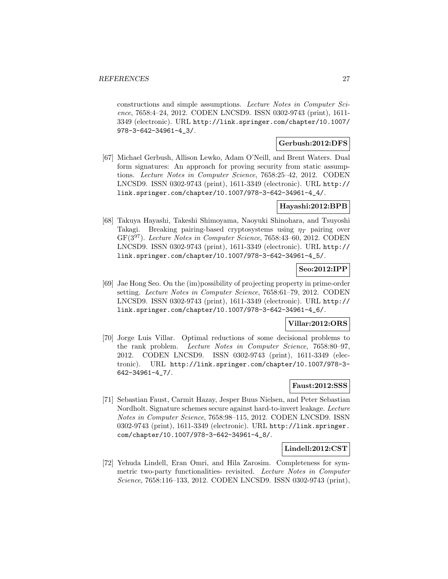constructions and simple assumptions. Lecture Notes in Computer Science, 7658:4–24, 2012. CODEN LNCSD9. ISSN 0302-9743 (print), 1611- 3349 (electronic). URL http://link.springer.com/chapter/10.1007/ 978-3-642-34961-4\_3/.

#### **Gerbush:2012:DFS**

[67] Michael Gerbush, Allison Lewko, Adam O'Neill, and Brent Waters. Dual form signatures: An approach for proving security from static assumptions. Lecture Notes in Computer Science, 7658:25–42, 2012. CODEN LNCSD9. ISSN 0302-9743 (print), 1611-3349 (electronic). URL http:// link.springer.com/chapter/10.1007/978-3-642-34961-4\_4/.

#### **Hayashi:2012:BPB**

[68] Takuya Hayashi, Takeshi Shimoyama, Naoyuki Shinohara, and Tsuyoshi Takagi. Breaking pairing-based cryptosystems using  $\eta_T$  pairing over GF(3<sup>97</sup>). Lecture Notes in Computer Science, 7658:43–60, 2012. CODEN LNCSD9. ISSN 0302-9743 (print), 1611-3349 (electronic). URL http:// link.springer.com/chapter/10.1007/978-3-642-34961-4\_5/.

#### **Seo:2012:IPP**

[69] Jae Hong Seo. On the (im)possibility of projecting property in prime-order setting. Lecture Notes in Computer Science, 7658:61–79, 2012. CODEN LNCSD9. ISSN 0302-9743 (print), 1611-3349 (electronic). URL http:// link.springer.com/chapter/10.1007/978-3-642-34961-4\_6/.

## **Villar:2012:ORS**

[70] Jorge Luis Villar. Optimal reductions of some decisional problems to the rank problem. Lecture Notes in Computer Science, 7658:80–97, 2012. CODEN LNCSD9. ISSN 0302-9743 (print), 1611-3349 (electronic). URL http://link.springer.com/chapter/10.1007/978-3- 642-34961-4\_7/.

## **Faust:2012:SSS**

[71] Sebastian Faust, Carmit Hazay, Jesper Buus Nielsen, and Peter Sebastian Nordholt. Signature schemes secure against hard-to-invert leakage. Lecture Notes in Computer Science, 7658:98–115, 2012. CODEN LNCSD9. ISSN 0302-9743 (print), 1611-3349 (electronic). URL http://link.springer. com/chapter/10.1007/978-3-642-34961-4\_8/.

#### **Lindell:2012:CST**

[72] Yehuda Lindell, Eran Omri, and Hila Zarosim. Completeness for symmetric two-party functionalities- revisited. Lecture Notes in Computer Science, 7658:116–133, 2012. CODEN LNCSD9. ISSN 0302-9743 (print),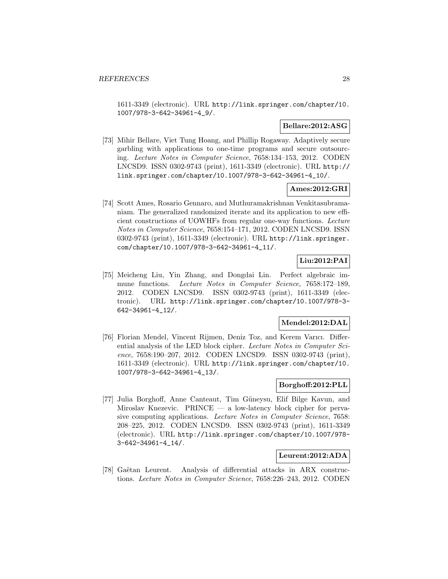1611-3349 (electronic). URL http://link.springer.com/chapter/10. 1007/978-3-642-34961-4\_9/.

#### **Bellare:2012:ASG**

[73] Mihir Bellare, Viet Tung Hoang, and Phillip Rogaway. Adaptively secure garbling with applications to one-time programs and secure outsourcing. Lecture Notes in Computer Science, 7658:134–153, 2012. CODEN LNCSD9. ISSN 0302-9743 (print), 1611-3349 (electronic). URL http:// link.springer.com/chapter/10.1007/978-3-642-34961-4\_10/.

#### **Ames:2012:GRI**

[74] Scott Ames, Rosario Gennaro, and Muthuramakrishnan Venkitasubramaniam. The generalized randomized iterate and its application to new efficient constructions of UOWHFs from regular one-way functions. Lecture Notes in Computer Science, 7658:154–171, 2012. CODEN LNCSD9. ISSN 0302-9743 (print), 1611-3349 (electronic). URL http://link.springer. com/chapter/10.1007/978-3-642-34961-4\_11/.

## **Liu:2012:PAI**

[75] Meicheng Liu, Yin Zhang, and Dongdai Lin. Perfect algebraic immune functions. Lecture Notes in Computer Science, 7658:172–189, 2012. CODEN LNCSD9. ISSN 0302-9743 (print), 1611-3349 (electronic). URL http://link.springer.com/chapter/10.1007/978-3- 642-34961-4\_12/.

## **Mendel:2012:DAL**

[76] Florian Mendel, Vincent Rijmen, Deniz Toz, and Kerem Varıcı. Differential analysis of the LED block cipher. Lecture Notes in Computer Science, 7658:190–207, 2012. CODEN LNCSD9. ISSN 0302-9743 (print), 1611-3349 (electronic). URL http://link.springer.com/chapter/10. 1007/978-3-642-34961-4\_13/.

## **Borghoff:2012:PLL**

[77] Julia Borghoff, Anne Canteaut, Tim G¨uneysu, Elif Bilge Kavun, and Miroslav Knezevic. PRINCE — a low-latency block cipher for pervasive computing applications. Lecture Notes in Computer Science, 7658: 208–225, 2012. CODEN LNCSD9. ISSN 0302-9743 (print), 1611-3349 (electronic). URL http://link.springer.com/chapter/10.1007/978- 3-642-34961-4\_14/.

#### **Leurent:2012:ADA**

[78] Gaëtan Leurent. Analysis of differential attacks in ARX constructions. Lecture Notes in Computer Science, 7658:226–243, 2012. CODEN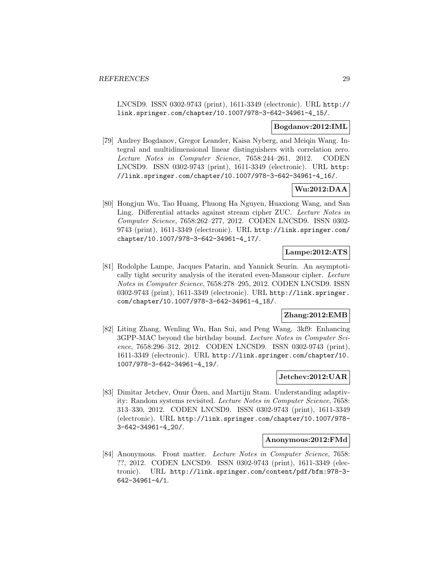LNCSD9. ISSN 0302-9743 (print), 1611-3349 (electronic). URL http:// link.springer.com/chapter/10.1007/978-3-642-34961-4\_15/.

#### **Bogdanov:2012:IML**

[79] Andrey Bogdanov, Gregor Leander, Kaisa Nyberg, and Meiqin Wang. Integral and multidimensional linear distinguishers with correlation zero. Lecture Notes in Computer Science, 7658:244–261, 2012. CODEN LNCSD9. ISSN 0302-9743 (print), 1611-3349 (electronic). URL http: //link.springer.com/chapter/10.1007/978-3-642-34961-4\_16/.

## **Wu:2012:DAA**

[80] Hongjun Wu, Tao Huang, Phuong Ha Nguyen, Huaxiong Wang, and San Ling. Differential attacks against stream cipher ZUC. Lecture Notes in Computer Science, 7658:262–277, 2012. CODEN LNCSD9. ISSN 0302- 9743 (print), 1611-3349 (electronic). URL http://link.springer.com/ chapter/10.1007/978-3-642-34961-4\_17/.

## **Lampe:2012:ATS**

[81] Rodolphe Lampe, Jacques Patarin, and Yannick Seurin. An asymptotically tight security analysis of the iterated even-Mansour cipher. Lecture Notes in Computer Science, 7658:278–295, 2012. CODEN LNCSD9. ISSN 0302-9743 (print), 1611-3349 (electronic). URL http://link.springer. com/chapter/10.1007/978-3-642-34961-4\_18/.

## **Zhang:2012:EMB**

[82] Liting Zhang, Wenling Wu, Han Sui, and Peng Wang. 3kf9: Enhancing 3GPP-MAC beyond the birthday bound. Lecture Notes in Computer Science, 7658:296–312, 2012. CODEN LNCSD9. ISSN 0302-9743 (print), 1611-3349 (electronic). URL http://link.springer.com/chapter/10. 1007/978-3-642-34961-4\_19/.

#### **Jetchev:2012:UAR**

[83] Dimitar Jetchev, Onur Ozen, and Martijn Stam. Understanding adaptivity: Random systems revisited. Lecture Notes in Computer Science, 7658: 313–330, 2012. CODEN LNCSD9. ISSN 0302-9743 (print), 1611-3349 (electronic). URL http://link.springer.com/chapter/10.1007/978- 3-642-34961-4\_20/.

#### **Anonymous:2012:FMd**

[84] Anonymous. Front matter. Lecture Notes in Computer Science, 7658: ??, 2012. CODEN LNCSD9. ISSN 0302-9743 (print), 1611-3349 (electronic). URL http://link.springer.com/content/pdf/bfm:978-3- 642-34961-4/1.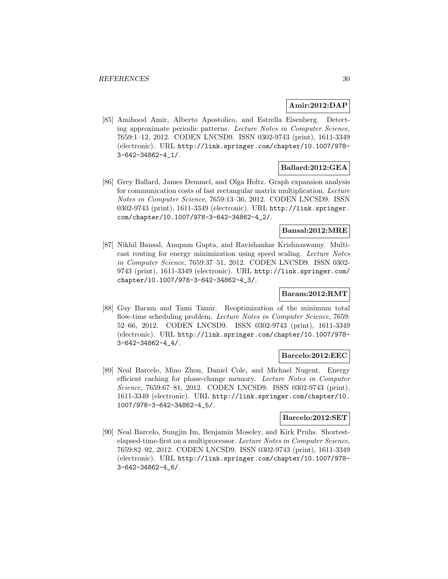#### **Amir:2012:DAP**

[85] Amihood Amir, Alberto Apostolico, and Estrella Eisenberg. Detecting approximate periodic patterns. Lecture Notes in Computer Science, 7659:1–12, 2012. CODEN LNCSD9. ISSN 0302-9743 (print), 1611-3349 (electronic). URL http://link.springer.com/chapter/10.1007/978- 3-642-34862-4\_1/.

#### **Ballard:2012:GEA**

[86] Grey Ballard, James Demmel, and Olga Holtz. Graph expansion analysis for communication costs of fast rectangular matrix multiplication. Lecture Notes in Computer Science, 7659:13–36, 2012. CODEN LNCSD9. ISSN 0302-9743 (print), 1611-3349 (electronic). URL http://link.springer. com/chapter/10.1007/978-3-642-34862-4\_2/.

#### **Bansal:2012:MRE**

[87] Nikhil Bansal, Anupam Gupta, and Ravishankar Krishnaswamy. Multicast routing for energy minimization using speed scaling. Lecture Notes in Computer Science, 7659:37–51, 2012. CODEN LNCSD9. ISSN 0302- 9743 (print), 1611-3349 (electronic). URL http://link.springer.com/ chapter/10.1007/978-3-642-34862-4\_3/.

#### **Baram:2012:RMT**

[88] Guy Baram and Tami Tamir. Reoptimization of the minimum total flow-time scheduling problem. Lecture Notes in Computer Science, 7659: 52–66, 2012. CODEN LNCSD9. ISSN 0302-9743 (print), 1611-3349 (electronic). URL http://link.springer.com/chapter/10.1007/978- 3-642-34862-4\_4/.

#### **Barcelo:2012:EEC**

[89] Neal Barcelo, Miao Zhou, Daniel Cole, and Michael Nugent. Energy efficient caching for phase-change memory. Lecture Notes in Computer Science, 7659:67–81, 2012. CODEN LNCSD9. ISSN 0302-9743 (print), 1611-3349 (electronic). URL http://link.springer.com/chapter/10. 1007/978-3-642-34862-4\_5/.

#### **Barcelo:2012:SET**

[90] Neal Barcelo, Sungjin Im, Benjamin Moseley, and Kirk Pruhs. Shortestelapsed-time-first on a multiprocessor. Lecture Notes in Computer Science, 7659:82–92, 2012. CODEN LNCSD9. ISSN 0302-9743 (print), 1611-3349 (electronic). URL http://link.springer.com/chapter/10.1007/978- 3-642-34862-4\_6/.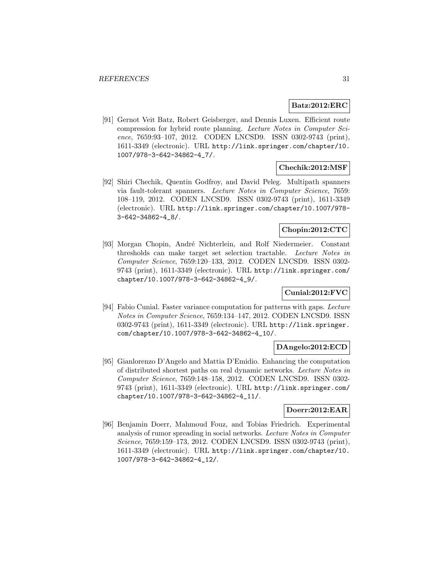#### **Batz:2012:ERC**

[91] Gernot Veit Batz, Robert Geisberger, and Dennis Luxen. Efficient route compression for hybrid route planning. Lecture Notes in Computer Science, 7659:93–107, 2012. CODEN LNCSD9. ISSN 0302-9743 (print), 1611-3349 (electronic). URL http://link.springer.com/chapter/10. 1007/978-3-642-34862-4\_7/.

#### **Chechik:2012:MSF**

[92] Shiri Chechik, Quentin Godfroy, and David Peleg. Multipath spanners via fault-tolerant spanners. Lecture Notes in Computer Science, 7659: 108–119, 2012. CODEN LNCSD9. ISSN 0302-9743 (print), 1611-3349 (electronic). URL http://link.springer.com/chapter/10.1007/978- 3-642-34862-4\_8/.

## **Chopin:2012:CTC**

[93] Morgan Chopin, André Nichterlein, and Rolf Niedermeier. Constant thresholds can make target set selection tractable. Lecture Notes in Computer Science, 7659:120–133, 2012. CODEN LNCSD9. ISSN 0302- 9743 (print), 1611-3349 (electronic). URL http://link.springer.com/ chapter/10.1007/978-3-642-34862-4\_9/.

## **Cunial:2012:FVC**

[94] Fabio Cunial. Faster variance computation for patterns with gaps. Lecture Notes in Computer Science, 7659:134–147, 2012. CODEN LNCSD9. ISSN 0302-9743 (print), 1611-3349 (electronic). URL http://link.springer. com/chapter/10.1007/978-3-642-34862-4\_10/.

#### **DAngelo:2012:ECD**

[95] Gianlorenzo D'Angelo and Mattia D'Emidio. Enhancing the computation of distributed shortest paths on real dynamic networks. Lecture Notes in Computer Science, 7659:148–158, 2012. CODEN LNCSD9. ISSN 0302- 9743 (print), 1611-3349 (electronic). URL http://link.springer.com/ chapter/10.1007/978-3-642-34862-4\_11/.

## **Doerr:2012:EAR**

[96] Benjamin Doerr, Mahmoud Fouz, and Tobias Friedrich. Experimental analysis of rumor spreading in social networks. Lecture Notes in Computer Science, 7659:159–173, 2012. CODEN LNCSD9. ISSN 0302-9743 (print), 1611-3349 (electronic). URL http://link.springer.com/chapter/10. 1007/978-3-642-34862-4\_12/.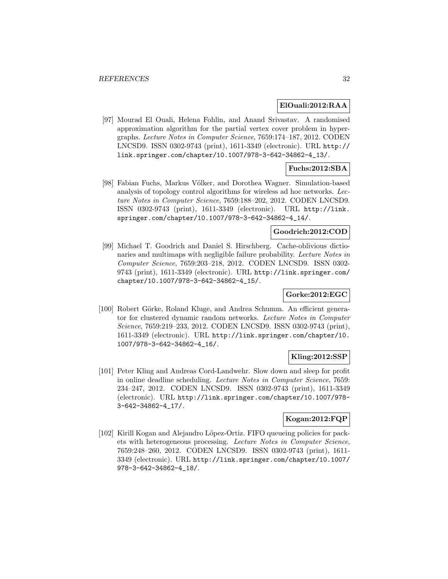#### **ElOuali:2012:RAA**

[97] Mourad El Ouali, Helena Fohlin, and Anand Srivastav. A randomised approximation algorithm for the partial vertex cover problem in hypergraphs. Lecture Notes in Computer Science, 7659:174–187, 2012. CODEN LNCSD9. ISSN 0302-9743 (print), 1611-3349 (electronic). URL http:// link.springer.com/chapter/10.1007/978-3-642-34862-4\_13/.

## **Fuchs:2012:SBA**

[98] Fabian Fuchs, Markus Völker, and Dorothea Wagner. Simulation-based analysis of topology control algorithms for wireless ad hoc networks. Lecture Notes in Computer Science, 7659:188–202, 2012. CODEN LNCSD9. ISSN 0302-9743 (print), 1611-3349 (electronic). URL http://link. springer.com/chapter/10.1007/978-3-642-34862-4\_14/.

#### **Goodrich:2012:COD**

[99] Michael T. Goodrich and Daniel S. Hirschberg. Cache-oblivious dictionaries and multimaps with negligible failure probability. Lecture Notes in Computer Science, 7659:203–218, 2012. CODEN LNCSD9. ISSN 0302- 9743 (print), 1611-3349 (electronic). URL http://link.springer.com/ chapter/10.1007/978-3-642-34862-4\_15/.

## **Gorke:2012:EGC**

[100] Robert Görke, Roland Kluge, and Andrea Schumm. An efficient generator for clustered dynamic random networks. Lecture Notes in Computer Science, 7659:219–233, 2012. CODEN LNCSD9. ISSN 0302-9743 (print), 1611-3349 (electronic). URL http://link.springer.com/chapter/10. 1007/978-3-642-34862-4\_16/.

#### **Kling:2012:SSP**

[101] Peter Kling and Andreas Cord-Landwehr. Slow down and sleep for profit in online deadline scheduling. Lecture Notes in Computer Science, 7659: 234–247, 2012. CODEN LNCSD9. ISSN 0302-9743 (print), 1611-3349 (electronic). URL http://link.springer.com/chapter/10.1007/978- 3-642-34862-4\_17/.

## **Kogan:2012:FQP**

[102] Kirill Kogan and Alejandro López-Ortiz. FIFO queueing policies for packets with heterogeneous processing. Lecture Notes in Computer Science, 7659:248–260, 2012. CODEN LNCSD9. ISSN 0302-9743 (print), 1611- 3349 (electronic). URL http://link.springer.com/chapter/10.1007/ 978-3-642-34862-4\_18/.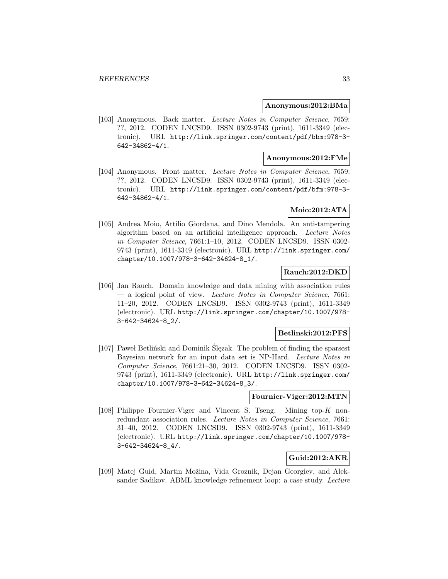#### **Anonymous:2012:BMa**

[103] Anonymous. Back matter. Lecture Notes in Computer Science, 7659: ??, 2012. CODEN LNCSD9. ISSN 0302-9743 (print), 1611-3349 (electronic). URL http://link.springer.com/content/pdf/bbm:978-3- 642-34862-4/1.

#### **Anonymous:2012:FMe**

[104] Anonymous. Front matter. Lecture Notes in Computer Science, 7659: ??, 2012. CODEN LNCSD9. ISSN 0302-9743 (print), 1611-3349 (electronic). URL http://link.springer.com/content/pdf/bfm:978-3- 642-34862-4/1.

#### **Moio:2012:ATA**

[105] Andrea Moio, Attilio Giordana, and Dino Mendola. An anti-tampering algorithm based on an artificial intelligence approach. Lecture Notes in Computer Science, 7661:1–10, 2012. CODEN LNCSD9. ISSN 0302- 9743 (print), 1611-3349 (electronic). URL http://link.springer.com/ chapter/10.1007/978-3-642-34624-8\_1/.

## **Rauch:2012:DKD**

[106] Jan Rauch. Domain knowledge and data mining with association rules  $-$  a logical point of view. Lecture Notes in Computer Science, 7661: 11–20, 2012. CODEN LNCSD9. ISSN 0302-9743 (print), 1611-3349 (electronic). URL http://link.springer.com/chapter/10.1007/978- 3-642-34624-8\_2/.

#### **Betlinski:2012:PFS**

[107] Pawel Betliński and Dominik Slęzak. The problem of finding the sparsest Bayesian network for an input data set is NP-Hard. Lecture Notes in Computer Science, 7661:21–30, 2012. CODEN LNCSD9. ISSN 0302- 9743 (print), 1611-3349 (electronic). URL http://link.springer.com/ chapter/10.1007/978-3-642-34624-8\_3/.

#### **Fournier-Viger:2012:MTN**

[108] Philippe Fournier-Viger and Vincent S. Tseng. Mining top-K nonredundant association rules. Lecture Notes in Computer Science, 7661: 31–40, 2012. CODEN LNCSD9. ISSN 0302-9743 (print), 1611-3349 (electronic). URL http://link.springer.com/chapter/10.1007/978- 3-642-34624-8\_4/.

## **Guid:2012:AKR**

[109] Matej Guid, Martin Možina, Vida Groznik, Dejan Georgiev, and Aleksander Sadikov. ABML knowledge refinement loop: a case study. Lecture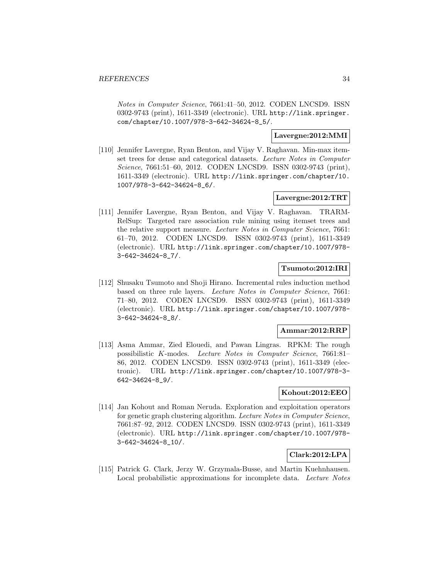Notes in Computer Science, 7661:41–50, 2012. CODEN LNCSD9. ISSN 0302-9743 (print), 1611-3349 (electronic). URL http://link.springer. com/chapter/10.1007/978-3-642-34624-8\_5/.

#### **Lavergne:2012:MMI**

[110] Jennifer Lavergne, Ryan Benton, and Vijay V. Raghavan. Min-max itemset trees for dense and categorical datasets. Lecture Notes in Computer Science, 7661:51–60, 2012. CODEN LNCSD9. ISSN 0302-9743 (print), 1611-3349 (electronic). URL http://link.springer.com/chapter/10. 1007/978-3-642-34624-8\_6/.

## **Lavergne:2012:TRT**

[111] Jennifer Lavergne, Ryan Benton, and Vijay V. Raghavan. TRARM-RelSup: Targeted rare association rule mining using itemset trees and the relative support measure. Lecture Notes in Computer Science, 7661: 61–70, 2012. CODEN LNCSD9. ISSN 0302-9743 (print), 1611-3349 (electronic). URL http://link.springer.com/chapter/10.1007/978- 3-642-34624-8\_7/.

## **Tsumoto:2012:IRI**

[112] Shusaku Tsumoto and Shoji Hirano. Incremental rules induction method based on three rule layers. Lecture Notes in Computer Science, 7661: 71–80, 2012. CODEN LNCSD9. ISSN 0302-9743 (print), 1611-3349 (electronic). URL http://link.springer.com/chapter/10.1007/978- 3-642-34624-8\_8/.

#### **Ammar:2012:RRP**

[113] Asma Ammar, Zied Elouedi, and Pawan Lingras. RPKM: The rough possibilistic K-modes. Lecture Notes in Computer Science, 7661:81– 86, 2012. CODEN LNCSD9. ISSN 0302-9743 (print), 1611-3349 (electronic). URL http://link.springer.com/chapter/10.1007/978-3- 642-34624-8\_9/.

#### **Kohout:2012:EEO**

[114] Jan Kohout and Roman Neruda. Exploration and exploitation operators for genetic graph clustering algorithm. Lecture Notes in Computer Science, 7661:87–92, 2012. CODEN LNCSD9. ISSN 0302-9743 (print), 1611-3349 (electronic). URL http://link.springer.com/chapter/10.1007/978- 3-642-34624-8\_10/.

#### **Clark:2012:LPA**

[115] Patrick G. Clark, Jerzy W. Grzymala-Busse, and Martin Kuehnhausen. Local probabilistic approximations for incomplete data. Lecture Notes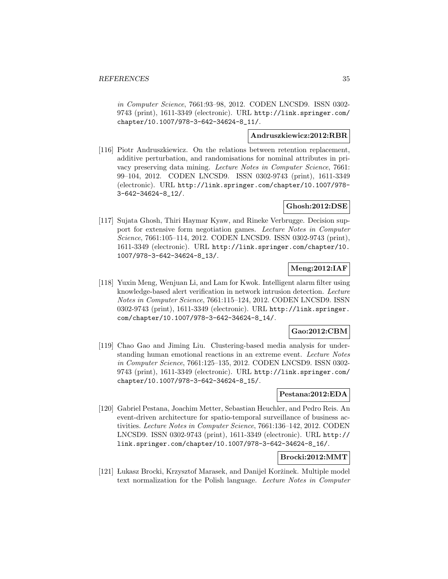in Computer Science, 7661:93–98, 2012. CODEN LNCSD9. ISSN 0302- 9743 (print), 1611-3349 (electronic). URL http://link.springer.com/ chapter/10.1007/978-3-642-34624-8\_11/.

#### **Andruszkiewicz:2012:RBR**

[116] Piotr Andruszkiewicz. On the relations between retention replacement, additive perturbation, and randomisations for nominal attributes in privacy preserving data mining. Lecture Notes in Computer Science, 7661: 99–104, 2012. CODEN LNCSD9. ISSN 0302-9743 (print), 1611-3349 (electronic). URL http://link.springer.com/chapter/10.1007/978- 3-642-34624-8\_12/.

#### **Ghosh:2012:DSE**

[117] Sujata Ghosh, Thiri Haymar Kyaw, and Rineke Verbrugge. Decision support for extensive form negotiation games. Lecture Notes in Computer Science, 7661:105–114, 2012. CODEN LNCSD9. ISSN 0302-9743 (print), 1611-3349 (electronic). URL http://link.springer.com/chapter/10. 1007/978-3-642-34624-8\_13/.

#### **Meng:2012:IAF**

[118] Yuxin Meng, Wenjuan Li, and Lam for Kwok. Intelligent alarm filter using knowledge-based alert verification in network intrusion detection. Lecture Notes in Computer Science, 7661:115–124, 2012. CODEN LNCSD9. ISSN 0302-9743 (print), 1611-3349 (electronic). URL http://link.springer. com/chapter/10.1007/978-3-642-34624-8\_14/.

#### **Gao:2012:CBM**

[119] Chao Gao and Jiming Liu. Clustering-based media analysis for understanding human emotional reactions in an extreme event. Lecture Notes in Computer Science, 7661:125–135, 2012. CODEN LNCSD9. ISSN 0302- 9743 (print), 1611-3349 (electronic). URL http://link.springer.com/ chapter/10.1007/978-3-642-34624-8\_15/.

#### **Pestana:2012:EDA**

[120] Gabriel Pestana, Joachim Metter, Sebastian Heuchler, and Pedro Reis. An event-driven architecture for spatio-temporal surveillance of business activities. Lecture Notes in Computer Science, 7661:136–142, 2012. CODEN LNCSD9. ISSN 0302-9743 (print), 1611-3349 (electronic). URL http:// link.springer.com/chapter/10.1007/978-3-642-34624-8\_16/.

## **Brocki:2012:MMT**

[121] Lukasz Brocki, Krzysztof Marasek, and Danijel Koržinek. Multiple model text normalization for the Polish language. Lecture Notes in Computer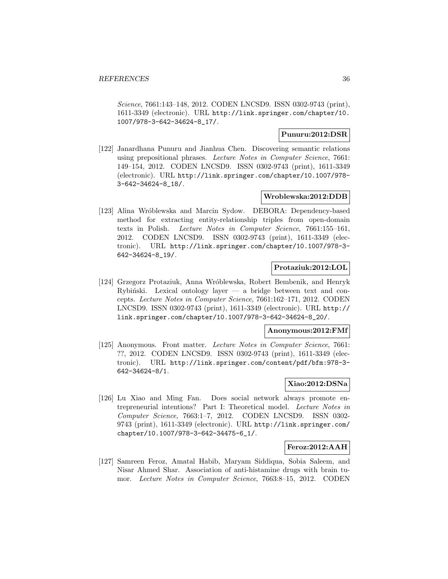Science, 7661:143–148, 2012. CODEN LNCSD9. ISSN 0302-9743 (print), 1611-3349 (electronic). URL http://link.springer.com/chapter/10. 1007/978-3-642-34624-8\_17/.

#### **Punuru:2012:DSR**

[122] Janardhana Punuru and Jianhua Chen. Discovering semantic relations using prepositional phrases. Lecture Notes in Computer Science, 7661: 149–154, 2012. CODEN LNCSD9. ISSN 0302-9743 (print), 1611-3349 (electronic). URL http://link.springer.com/chapter/10.1007/978- 3-642-34624-8\_18/.

#### **Wroblewska:2012:DDB**

[123] Alina Wróblewska and Marcin Sydow. DEBORA: Dependency-based method for extracting entity-relationship triples from open-domain texts in Polish. Lecture Notes in Computer Science, 7661:155–161, 2012. CODEN LNCSD9. ISSN 0302-9743 (print), 1611-3349 (electronic). URL http://link.springer.com/chapter/10.1007/978-3- 642-34624-8\_19/.

#### **Protaziuk:2012:LOL**

[124] Grzegorz Protaziuk, Anna Wróblewska, Robert Bembenik, and Henryk Rybinski. Lexical ontology layer  $-$  a bridge between text and concepts. Lecture Notes in Computer Science, 7661:162–171, 2012. CODEN LNCSD9. ISSN 0302-9743 (print), 1611-3349 (electronic). URL http:// link.springer.com/chapter/10.1007/978-3-642-34624-8\_20/.

#### **Anonymous:2012:FMf**

[125] Anonymous. Front matter. Lecture Notes in Computer Science, 7661: ??, 2012. CODEN LNCSD9. ISSN 0302-9743 (print), 1611-3349 (electronic). URL http://link.springer.com/content/pdf/bfm:978-3- 642-34624-8/1.

#### **Xiao:2012:DSNa**

[126] Lu Xiao and Ming Fan. Does social network always promote entrepreneurial intentions? Part I: Theoretical model. Lecture Notes in Computer Science, 7663:1–7, 2012. CODEN LNCSD9. ISSN 0302- 9743 (print), 1611-3349 (electronic). URL http://link.springer.com/ chapter/10.1007/978-3-642-34475-6\_1/.

#### **Feroz:2012:AAH**

[127] Samreen Feroz, Amatal Habib, Maryam Siddiqua, Sobia Saleem, and Nisar Ahmed Shar. Association of anti-histamine drugs with brain tumor. Lecture Notes in Computer Science, 7663:8–15, 2012. CODEN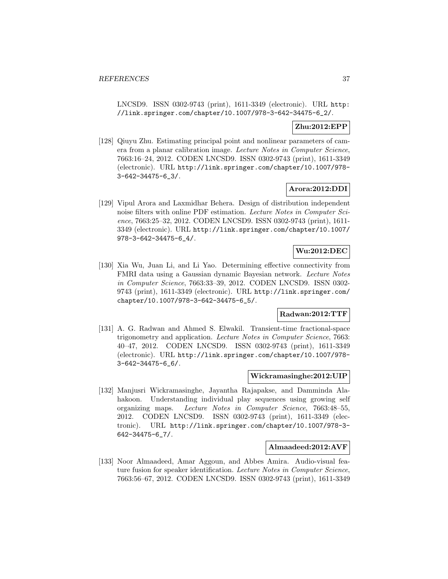LNCSD9. ISSN 0302-9743 (print), 1611-3349 (electronic). URL http: //link.springer.com/chapter/10.1007/978-3-642-34475-6\_2/.

# **Zhu:2012:EPP**

[128] Qiuyu Zhu. Estimating principal point and nonlinear parameters of camera from a planar calibration image. Lecture Notes in Computer Science, 7663:16–24, 2012. CODEN LNCSD9. ISSN 0302-9743 (print), 1611-3349 (electronic). URL http://link.springer.com/chapter/10.1007/978- 3-642-34475-6\_3/.

# **Arora:2012:DDI**

[129] Vipul Arora and Laxmidhar Behera. Design of distribution independent noise filters with online PDF estimation. Lecture Notes in Computer Science, 7663:25–32, 2012. CODEN LNCSD9. ISSN 0302-9743 (print), 1611- 3349 (electronic). URL http://link.springer.com/chapter/10.1007/ 978-3-642-34475-6\_4/.

# **Wu:2012:DEC**

[130] Xia Wu, Juan Li, and Li Yao. Determining effective connectivity from FMRI data using a Gaussian dynamic Bayesian network. Lecture Notes in Computer Science, 7663:33–39, 2012. CODEN LNCSD9. ISSN 0302- 9743 (print), 1611-3349 (electronic). URL http://link.springer.com/ chapter/10.1007/978-3-642-34475-6\_5/.

# **Radwan:2012:TTF**

[131] A. G. Radwan and Ahmed S. Elwakil. Transient-time fractional-space trigonometry and application. Lecture Notes in Computer Science, 7663: 40–47, 2012. CODEN LNCSD9. ISSN 0302-9743 (print), 1611-3349 (electronic). URL http://link.springer.com/chapter/10.1007/978- 3-642-34475-6\_6/.

#### **Wickramasinghe:2012:UIP**

[132] Manjusri Wickramasinghe, Jayantha Rajapakse, and Damminda Alahakoon. Understanding individual play sequences using growing self organizing maps. Lecture Notes in Computer Science, 7663:48–55, 2012. CODEN LNCSD9. ISSN 0302-9743 (print), 1611-3349 (electronic). URL http://link.springer.com/chapter/10.1007/978-3- 642-34475-6\_7/.

### **Almaadeed:2012:AVF**

[133] Noor Almaadeed, Amar Aggoun, and Abbes Amira. Audio-visual feature fusion for speaker identification. Lecture Notes in Computer Science, 7663:56–67, 2012. CODEN LNCSD9. ISSN 0302-9743 (print), 1611-3349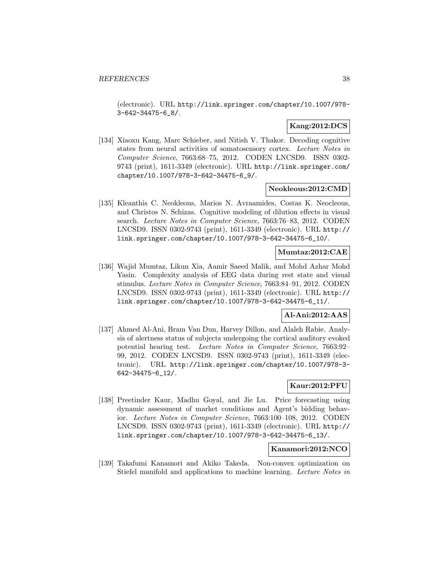(electronic). URL http://link.springer.com/chapter/10.1007/978- 3-642-34475-6\_8/.

# **Kang:2012:DCS**

[134] Xiaoxu Kang, Marc Schieber, and Nitish V. Thakor. Decoding cognitive states from neural activities of somatosensory cortex. Lecture Notes in Computer Science, 7663:68–75, 2012. CODEN LNCSD9. ISSN 0302- 9743 (print), 1611-3349 (electronic). URL http://link.springer.com/ chapter/10.1007/978-3-642-34475-6\_9/.

#### **Neokleous:2012:CMD**

[135] Kleanthis C. Neokleous, Marios N. Avraamides, Costas K. Neocleous, and Christos N. Schizas. Cognitive modeling of dilution effects in visual search. Lecture Notes in Computer Science, 7663:76–83, 2012. CODEN LNCSD9. ISSN 0302-9743 (print), 1611-3349 (electronic). URL http:// link.springer.com/chapter/10.1007/978-3-642-34475-6\_10/.

### **Mumtaz:2012:CAE**

[136] Wajid Mumtaz, Likun Xia, Aamir Saeed Malik, and Mohd Azhar Mohd Yasin. Complexity analysis of EEG data during rest state and visual stimulus. Lecture Notes in Computer Science, 7663:84–91, 2012. CODEN LNCSD9. ISSN 0302-9743 (print), 1611-3349 (electronic). URL http:// link.springer.com/chapter/10.1007/978-3-642-34475-6\_11/.

# **Al-Ani:2012:AAS**

[137] Ahmed Al-Ani, Bram Van Dun, Harvey Dillon, and Alaleh Rabie. Analysis of alertness status of subjects undergoing the cortical auditory evoked potential hearing test. Lecture Notes in Computer Science, 7663:92– 99, 2012. CODEN LNCSD9. ISSN 0302-9743 (print), 1611-3349 (electronic). URL http://link.springer.com/chapter/10.1007/978-3- 642-34475-6\_12/.

# **Kaur:2012:PFU**

[138] Preetinder Kaur, Madhu Goyal, and Jie Lu. Price forecasting using dynamic assessment of market conditions and Agent's bidding behavior. Lecture Notes in Computer Science, 7663:100–108, 2012. CODEN LNCSD9. ISSN 0302-9743 (print), 1611-3349 (electronic). URL http:// link.springer.com/chapter/10.1007/978-3-642-34475-6\_13/.

### **Kanamori:2012:NCO**

[139] Takafumi Kanamori and Akiko Takeda. Non-convex optimization on Stiefel manifold and applications to machine learning. Lecture Notes in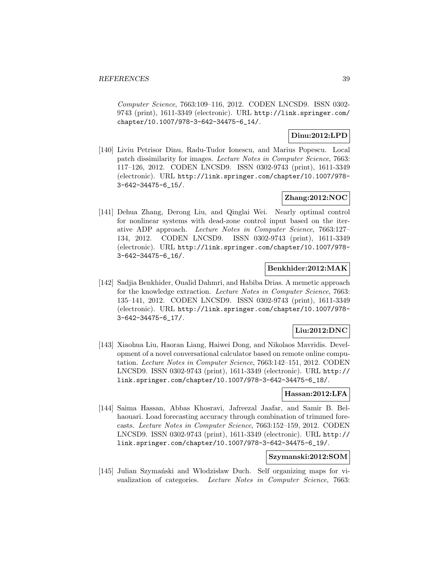Computer Science, 7663:109–116, 2012. CODEN LNCSD9. ISSN 0302- 9743 (print), 1611-3349 (electronic). URL http://link.springer.com/ chapter/10.1007/978-3-642-34475-6\_14/.

### **Dinu:2012:LPD**

[140] Liviu Petrisor Dinu, Radu-Tudor Ionescu, and Marius Popescu. Local patch dissimilarity for images. Lecture Notes in Computer Science, 7663: 117–126, 2012. CODEN LNCSD9. ISSN 0302-9743 (print), 1611-3349 (electronic). URL http://link.springer.com/chapter/10.1007/978- 3-642-34475-6\_15/.

# **Zhang:2012:NOC**

[141] Dehua Zhang, Derong Liu, and Qinglai Wei. Nearly optimal control for nonlinear systems with dead-zone control input based on the iterative ADP approach. Lecture Notes in Computer Science, 7663:127– 134, 2012. CODEN LNCSD9. ISSN 0302-9743 (print), 1611-3349 (electronic). URL http://link.springer.com/chapter/10.1007/978- 3-642-34475-6\_16/.

### **Benkhider:2012:MAK**

[142] Sadjia Benkhider, Oualid Dahmri, and Habiba Drias. A memetic approach for the knowledge extraction. Lecture Notes in Computer Science, 7663: 135–141, 2012. CODEN LNCSD9. ISSN 0302-9743 (print), 1611-3349 (electronic). URL http://link.springer.com/chapter/10.1007/978- 3-642-34475-6\_17/.

# **Liu:2012:DNC**

[143] Xiaohua Liu, Haoran Liang, Haiwei Dong, and Nikolaos Mavridis. Development of a novel conversational calculator based on remote online computation. Lecture Notes in Computer Science, 7663:142–151, 2012. CODEN LNCSD9. ISSN 0302-9743 (print), 1611-3349 (electronic). URL http:// link.springer.com/chapter/10.1007/978-3-642-34475-6\_18/.

#### **Hassan:2012:LFA**

[144] Saima Hassan, Abbas Khosravi, Jafreezal Jaafar, and Samir B. Belhaouari. Load forecasting accuracy through combination of trimmed forecasts. Lecture Notes in Computer Science, 7663:152–159, 2012. CODEN LNCSD9. ISSN 0302-9743 (print), 1611-3349 (electronic). URL http:// link.springer.com/chapter/10.1007/978-3-642-34475-6\_19/.

### **Szymanski:2012:SOM**

[145] Julian Szymański and Włodzisław Duch. Self organizing maps for visualization of categories. Lecture Notes in Computer Science, 7663: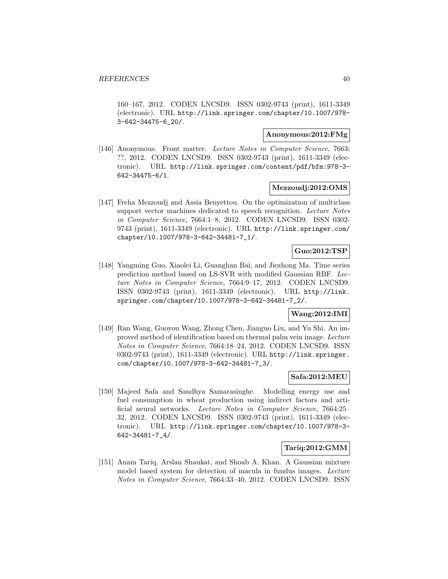160–167, 2012. CODEN LNCSD9. ISSN 0302-9743 (print), 1611-3349 (electronic). URL http://link.springer.com/chapter/10.1007/978- 3-642-34475-6\_20/.

#### **Anonymous:2012:FMg**

[146] Anonymous. Front matter. Lecture Notes in Computer Science, 7663: ??, 2012. CODEN LNCSD9. ISSN 0302-9743 (print), 1611-3349 (electronic). URL http://link.springer.com/content/pdf/bfm:978-3- 642-34475-6/1.

#### **Mezzoudj:2012:OMS**

[147] Freha Mezzoudj and Assia Benyettou. On the optimization of multiclass support vector machines dedicated to speech recognition. Lecture Notes in Computer Science, 7664:1–8, 2012. CODEN LNCSD9. ISSN 0302- 9743 (print), 1611-3349 (electronic). URL http://link.springer.com/ chapter/10.1007/978-3-642-34481-7\_1/.

# **Guo:2012:TSP**

[148] Yangming Guo, Xiaolei Li, Guanghan Bai, and Jiezhong Ma. Time series prediction method based on LS-SVR with modified Gaussian RBF. Lecture Notes in Computer Science, 7664:9–17, 2012. CODEN LNCSD9. ISSN 0302-9743 (print), 1611-3349 (electronic). URL http://link. springer.com/chapter/10.1007/978-3-642-34481-7\_2/.

# **Wang:2012:IMI**

[149] Ran Wang, Guoyou Wang, Zhong Chen, Jianguo Liu, and Yu Shi. An improved method of identification based on thermal palm vein image. Lecture Notes in Computer Science, 7664:18–24, 2012. CODEN LNCSD9. ISSN 0302-9743 (print), 1611-3349 (electronic). URL http://link.springer. com/chapter/10.1007/978-3-642-34481-7\_3/.

### **Safa:2012:MEU**

[150] Majeed Safa and Sandhya Samarasinghe. Modelling energy use and fuel consumption in wheat production using indirect factors and artificial neural networks. Lecture Notes in Computer Science, 7664:25– 32, 2012. CODEN LNCSD9. ISSN 0302-9743 (print), 1611-3349 (electronic). URL http://link.springer.com/chapter/10.1007/978-3- 642-34481-7\_4/.

### **Tariq:2012:GMM**

[151] Anam Tariq, Arslan Shaukat, and Shoab A. Khan. A Gaussian mixture model based system for detection of macula in fundus images. Lecture Notes in Computer Science, 7664:33–40, 2012. CODEN LNCSD9. ISSN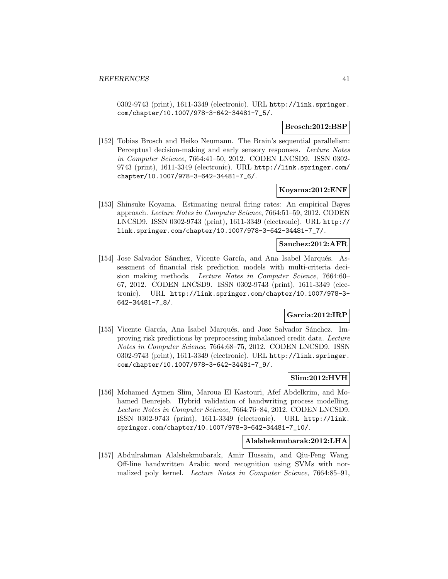0302-9743 (print), 1611-3349 (electronic). URL http://link.springer. com/chapter/10.1007/978-3-642-34481-7\_5/.

#### **Brosch:2012:BSP**

[152] Tobias Brosch and Heiko Neumann. The Brain's sequential parallelism: Perceptual decision-making and early sensory responses. Lecture Notes in Computer Science, 7664:41–50, 2012. CODEN LNCSD9. ISSN 0302- 9743 (print), 1611-3349 (electronic). URL http://link.springer.com/ chapter/10.1007/978-3-642-34481-7\_6/.

#### **Koyama:2012:ENF**

[153] Shinsuke Koyama. Estimating neural firing rates: An empirical Bayes approach. Lecture Notes in Computer Science, 7664:51–59, 2012. CODEN LNCSD9. ISSN 0302-9743 (print), 1611-3349 (electronic). URL http:// link.springer.com/chapter/10.1007/978-3-642-34481-7\_7/.

#### **Sanchez:2012:AFR**

[154] Jose Salvador Sánchez, Vicente García, and Ana Isabel Marqués. Assessment of financial risk prediction models with multi-criteria decision making methods. Lecture Notes in Computer Science, 7664:60– 67, 2012. CODEN LNCSD9. ISSN 0302-9743 (print), 1611-3349 (electronic). URL http://link.springer.com/chapter/10.1007/978-3- 642-34481-7\_8/.

### **Garcia:2012:IRP**

[155] Vicente García, Ana Isabel Marqués, and Jose Salvador Sánchez. Improving risk predictions by preprocessing imbalanced credit data. Lecture Notes in Computer Science, 7664:68–75, 2012. CODEN LNCSD9. ISSN 0302-9743 (print), 1611-3349 (electronic). URL http://link.springer. com/chapter/10.1007/978-3-642-34481-7\_9/.

### **Slim:2012:HVH**

[156] Mohamed Aymen Slim, Maroua El Kastouri, Afef Abdelkrim, and Mohamed Benrejeb. Hybrid validation of handwriting process modelling. Lecture Notes in Computer Science, 7664:76–84, 2012. CODEN LNCSD9. ISSN 0302-9743 (print), 1611-3349 (electronic). URL http://link. springer.com/chapter/10.1007/978-3-642-34481-7\_10/.

#### **Alalshekmubarak:2012:LHA**

[157] Abdulrahman Alalshekmubarak, Amir Hussain, and Qiu-Feng Wang. Off-line handwritten Arabic word recognition using SVMs with normalized poly kernel. Lecture Notes in Computer Science, 7664:85–91,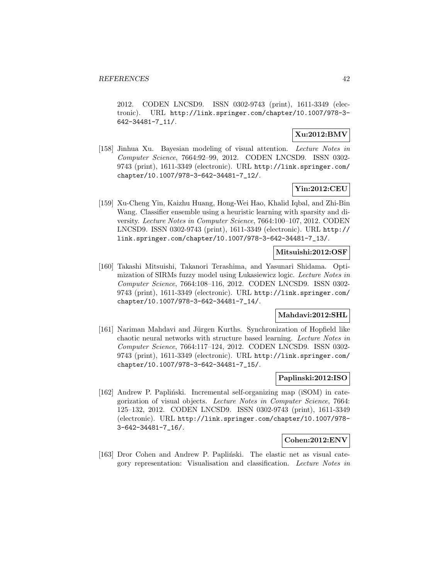2012. CODEN LNCSD9. ISSN 0302-9743 (print), 1611-3349 (electronic). URL http://link.springer.com/chapter/10.1007/978-3- 642-34481-7\_11/.

# **Xu:2012:BMV**

[158] Jinhua Xu. Bayesian modeling of visual attention. Lecture Notes in Computer Science, 7664:92–99, 2012. CODEN LNCSD9. ISSN 0302- 9743 (print), 1611-3349 (electronic). URL http://link.springer.com/ chapter/10.1007/978-3-642-34481-7\_12/.

# **Yin:2012:CEU**

[159] Xu-Cheng Yin, Kaizhu Huang, Hong-Wei Hao, Khalid Iqbal, and Zhi-Bin Wang. Classifier ensemble using a heuristic learning with sparsity and diversity. Lecture Notes in Computer Science, 7664:100–107, 2012. CODEN LNCSD9. ISSN 0302-9743 (print), 1611-3349 (electronic). URL http:// link.springer.com/chapter/10.1007/978-3-642-34481-7\_13/.

### **Mitsuishi:2012:OSF**

[160] Takashi Mitsuishi, Takanori Terashima, and Yasunari Shidama. Optimization of SIRMs fuzzy model using Lukasiewicz logic. Lecture Notes in Computer Science, 7664:108–116, 2012. CODEN LNCSD9. ISSN 0302- 9743 (print), 1611-3349 (electronic). URL http://link.springer.com/ chapter/10.1007/978-3-642-34481-7\_14/.

### **Mahdavi:2012:SHL**

[161] Nariman Mahdavi and Jürgen Kurths. Synchronization of Hopfield like chaotic neural networks with structure based learning. Lecture Notes in Computer Science, 7664:117–124, 2012. CODEN LNCSD9. ISSN 0302- 9743 (print), 1611-3349 (electronic). URL http://link.springer.com/ chapter/10.1007/978-3-642-34481-7\_15/.

#### **Paplinski:2012:ISO**

[162] Andrew P. Papliński. Incremental self-organizing map (iSOM) in categorization of visual objects. Lecture Notes in Computer Science, 7664: 125–132, 2012. CODEN LNCSD9. ISSN 0302-9743 (print), 1611-3349 (electronic). URL http://link.springer.com/chapter/10.1007/978- 3-642-34481-7\_16/.

### **Cohen:2012:ENV**

[163] Dror Cohen and Andrew P. Papliński. The elastic net as visual category representation: Visualisation and classification. Lecture Notes in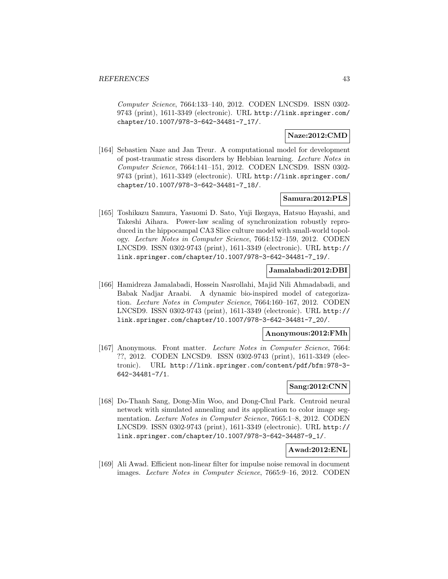Computer Science, 7664:133–140, 2012. CODEN LNCSD9. ISSN 0302- 9743 (print), 1611-3349 (electronic). URL http://link.springer.com/ chapter/10.1007/978-3-642-34481-7\_17/.

# **Naze:2012:CMD**

[164] Sebastien Naze and Jan Treur. A computational model for development of post-traumatic stress disorders by Hebbian learning. Lecture Notes in Computer Science, 7664:141–151, 2012. CODEN LNCSD9. ISSN 0302- 9743 (print), 1611-3349 (electronic). URL http://link.springer.com/ chapter/10.1007/978-3-642-34481-7\_18/.

### **Samura:2012:PLS**

[165] Toshikazu Samura, Yasuomi D. Sato, Yuji Ikegaya, Hatsuo Hayashi, and Takeshi Aihara. Power-law scaling of synchronization robustly reproduced in the hippocampal CA3 Slice culture model with small-world topology. Lecture Notes in Computer Science, 7664:152–159, 2012. CODEN LNCSD9. ISSN 0302-9743 (print), 1611-3349 (electronic). URL http:// link.springer.com/chapter/10.1007/978-3-642-34481-7\_19/.

### **Jamalabadi:2012:DBI**

[166] Hamidreza Jamalabadi, Hossein Nasrollahi, Majid Nili Ahmadabadi, and Babak Nadjar Araabi. A dynamic bio-inspired model of categorization. Lecture Notes in Computer Science, 7664:160–167, 2012. CODEN LNCSD9. ISSN 0302-9743 (print), 1611-3349 (electronic). URL http:// link.springer.com/chapter/10.1007/978-3-642-34481-7\_20/.

#### **Anonymous:2012:FMh**

[167] Anonymous. Front matter. Lecture Notes in Computer Science, 7664: ??, 2012. CODEN LNCSD9. ISSN 0302-9743 (print), 1611-3349 (electronic). URL http://link.springer.com/content/pdf/bfm:978-3- 642-34481-7/1.

### **Sang:2012:CNN**

[168] Do-Thanh Sang, Dong-Min Woo, and Dong-Chul Park. Centroid neural network with simulated annealing and its application to color image segmentation. Lecture Notes in Computer Science, 7665:1–8, 2012. CODEN LNCSD9. ISSN 0302-9743 (print), 1611-3349 (electronic). URL http:// link.springer.com/chapter/10.1007/978-3-642-34487-9\_1/.

### **Awad:2012:ENL**

[169] Ali Awad. Efficient non-linear filter for impulse noise removal in document images. Lecture Notes in Computer Science, 7665:9–16, 2012. CODEN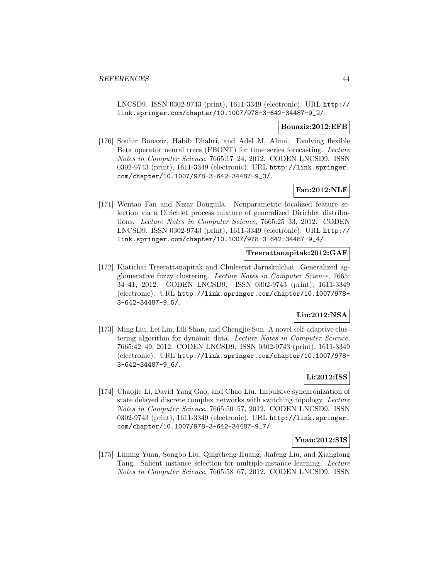LNCSD9. ISSN 0302-9743 (print), 1611-3349 (electronic). URL http:// link.springer.com/chapter/10.1007/978-3-642-34487-9\_2/.

#### **Bouaziz:2012:EFB**

[170] Souhir Bouaziz, Habib Dhahri, and Adel M. Alimi. Evolving flexible Beta operator neural trees (FBONT) for time series forecasting. Lecture Notes in Computer Science, 7665:17–24, 2012. CODEN LNCSD9. ISSN 0302-9743 (print), 1611-3349 (electronic). URL http://link.springer. com/chapter/10.1007/978-3-642-34487-9\_3/.

# **Fan:2012:NLF**

[171] Wentao Fan and Nizar Bouguila. Nonparametric localized feature selection via a Dirichlet process mixture of generalized Dirichlet distributions. Lecture Notes in Computer Science, 7665:25–33, 2012. CODEN LNCSD9. ISSN 0302-9743 (print), 1611-3349 (electronic). URL http:// link.springer.com/chapter/10.1007/978-3-642-34487-9\_4/.

### **Treerattanapitak:2012:GAF**

[172] Kiatichai Treerattanapitak and Chuleerat Jaruskulchai. Generalized agglomerative fuzzy clustering. Lecture Notes in Computer Science, 7665: 34–41, 2012. CODEN LNCSD9. ISSN 0302-9743 (print), 1611-3349 (electronic). URL http://link.springer.com/chapter/10.1007/978- 3-642-34487-9\_5/.

# **Liu:2012:NSA**

[173] Ming Liu, Lei Lin, Lili Shan, and Chengjie Sun. A novel self-adaptive clustering algorithm for dynamic data. Lecture Notes in Computer Science, 7665:42–49, 2012. CODEN LNCSD9. ISSN 0302-9743 (print), 1611-3349 (electronic). URL http://link.springer.com/chapter/10.1007/978- 3-642-34487-9\_6/.

### **Li:2012:ISS**

[174] Chaojie Li, David Yang Gao, and Chao Liu. Impulsive synchronization of state delayed discrete complex networks with switching topology. Lecture Notes in Computer Science, 7665:50–57, 2012. CODEN LNCSD9. ISSN 0302-9743 (print), 1611-3349 (electronic). URL http://link.springer. com/chapter/10.1007/978-3-642-34487-9\_7/.

### **Yuan:2012:SIS**

[175] Liming Yuan, Songbo Liu, Qingcheng Huang, Jiafeng Liu, and Xianglong Tang. Salient instance selection for multiple-instance learning. Lecture Notes in Computer Science, 7665:58–67, 2012. CODEN LNCSD9. ISSN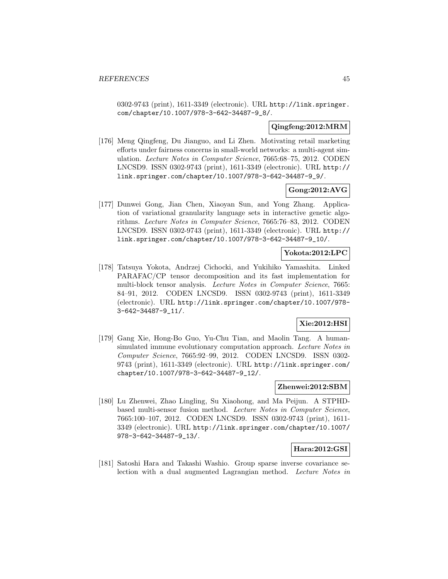0302-9743 (print), 1611-3349 (electronic). URL http://link.springer. com/chapter/10.1007/978-3-642-34487-9\_8/.

### **Qingfeng:2012:MRM**

[176] Meng Qingfeng, Du Jianguo, and Li Zhen. Motivating retail marketing efforts under fairness concerns in small-world networks: a multi-agent simulation. Lecture Notes in Computer Science, 7665:68–75, 2012. CODEN LNCSD9. ISSN 0302-9743 (print), 1611-3349 (electronic). URL http:// link.springer.com/chapter/10.1007/978-3-642-34487-9\_9/.

# **Gong:2012:AVG**

[177] Dunwei Gong, Jian Chen, Xiaoyan Sun, and Yong Zhang. Application of variational granularity language sets in interactive genetic algorithms. Lecture Notes in Computer Science, 7665:76–83, 2012. CODEN LNCSD9. ISSN 0302-9743 (print), 1611-3349 (electronic). URL http:// link.springer.com/chapter/10.1007/978-3-642-34487-9\_10/.

# **Yokota:2012:LPC**

[178] Tatsuya Yokota, Andrzej Cichocki, and Yukihiko Yamashita. Linked PARAFAC/CP tensor decomposition and its fast implementation for multi-block tensor analysis. Lecture Notes in Computer Science, 7665: 84–91, 2012. CODEN LNCSD9. ISSN 0302-9743 (print), 1611-3349 (electronic). URL http://link.springer.com/chapter/10.1007/978- 3-642-34487-9\_11/.

# **Xie:2012:HSI**

[179] Gang Xie, Hong-Bo Guo, Yu-Chu Tian, and Maolin Tang. A humansimulated immune evolutionary computation approach. Lecture Notes in Computer Science, 7665:92–99, 2012. CODEN LNCSD9. ISSN 0302- 9743 (print), 1611-3349 (electronic). URL http://link.springer.com/ chapter/10.1007/978-3-642-34487-9\_12/.

### **Zhenwei:2012:SBM**

[180] Lu Zhenwei, Zhao Lingling, Su Xiaohong, and Ma Peijun. A STPHDbased multi-sensor fusion method. Lecture Notes in Computer Science, 7665:100–107, 2012. CODEN LNCSD9. ISSN 0302-9743 (print), 1611- 3349 (electronic). URL http://link.springer.com/chapter/10.1007/ 978-3-642-34487-9\_13/.

### **Hara:2012:GSI**

[181] Satoshi Hara and Takashi Washio. Group sparse inverse covariance selection with a dual augmented Lagrangian method. Lecture Notes in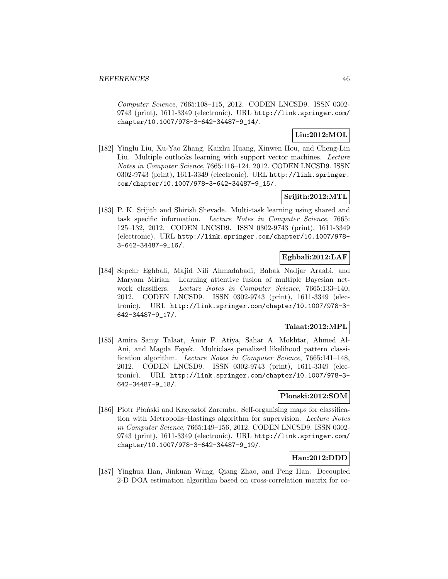Computer Science, 7665:108–115, 2012. CODEN LNCSD9. ISSN 0302- 9743 (print), 1611-3349 (electronic). URL http://link.springer.com/ chapter/10.1007/978-3-642-34487-9\_14/.

# **Liu:2012:MOL**

[182] Yinglu Liu, Xu-Yao Zhang, Kaizhu Huang, Xinwen Hou, and Cheng-Lin Liu. Multiple outlooks learning with support vector machines. Lecture Notes in Computer Science, 7665:116–124, 2012. CODEN LNCSD9. ISSN 0302-9743 (print), 1611-3349 (electronic). URL http://link.springer. com/chapter/10.1007/978-3-642-34487-9\_15/.

# **Srijith:2012:MTL**

[183] P. K. Srijith and Shirish Shevade. Multi-task learning using shared and task specific information. Lecture Notes in Computer Science, 7665: 125–132, 2012. CODEN LNCSD9. ISSN 0302-9743 (print), 1611-3349 (electronic). URL http://link.springer.com/chapter/10.1007/978- 3-642-34487-9\_16/.

# **Eghbali:2012:LAF**

[184] Sepehr Eghbali, Majid Nili Ahmadabadi, Babak Nadjar Araabi, and Maryam Mirian. Learning attentive fusion of multiple Bayesian network classifiers. Lecture Notes in Computer Science, 7665:133–140, 2012. CODEN LNCSD9. ISSN 0302-9743 (print), 1611-3349 (electronic). URL http://link.springer.com/chapter/10.1007/978-3- 642-34487-9\_17/.

# **Talaat:2012:MPL**

[185] Amira Samy Talaat, Amir F. Atiya, Sahar A. Mokhtar, Ahmed Al-Ani, and Magda Fayek. Multiclass penalized likelihood pattern classification algorithm. Lecture Notes in Computer Science, 7665:141-148, 2012. CODEN LNCSD9. ISSN 0302-9743 (print), 1611-3349 (electronic). URL http://link.springer.com/chapter/10.1007/978-3- 642-34487-9\_18/.

### **Plonski:2012:SOM**

[186] Piotr Płoński and Krzysztof Zaremba. Self-organising maps for classification with Metropolis–Hastings algorithm for supervision. Lecture Notes in Computer Science, 7665:149–156, 2012. CODEN LNCSD9. ISSN 0302- 9743 (print), 1611-3349 (electronic). URL http://link.springer.com/ chapter/10.1007/978-3-642-34487-9\_19/.

# **Han:2012:DDD**

[187] Yinghua Han, Jinkuan Wang, Qiang Zhao, and Peng Han. Decoupled 2-D DOA estimation algorithm based on cross-correlation matrix for co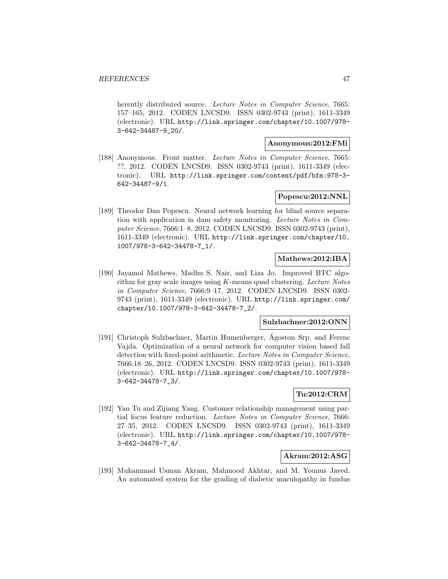herently distributed source. Lecture Notes in Computer Science, 7665: 157–165, 2012. CODEN LNCSD9. ISSN 0302-9743 (print), 1611-3349 (electronic). URL http://link.springer.com/chapter/10.1007/978- 3-642-34487-9\_20/.

# **Anonymous:2012:FMi**

[188] Anonymous. Front matter. Lecture Notes in Computer Science, 7665: ??, 2012. CODEN LNCSD9. ISSN 0302-9743 (print), 1611-3349 (electronic). URL http://link.springer.com/content/pdf/bfm:978-3- 642-34487-9/1.

# **Popescu:2012:NNL**

[189] Theodor Dan Popescu. Neural network learning for blind source separation with application in dam safety monitoring. Lecture Notes in Computer Science, 7666:1–8, 2012. CODEN LNCSD9. ISSN 0302-9743 (print), 1611-3349 (electronic). URL http://link.springer.com/chapter/10. 1007/978-3-642-34478-7\_1/.

### **Mathews:2012:IBA**

[190] Jayamol Mathews, Madhu S. Nair, and Liza Jo. Improved BTC algorithm for gray scale images using  $K$ -means quad clustering. Lecture Notes in Computer Science, 7666:9–17, 2012. CODEN LNCSD9. ISSN 0302- 9743 (print), 1611-3349 (electronic). URL http://link.springer.com/ chapter/10.1007/978-3-642-34478-7\_2/.

# **Sulzbachner:2012:ONN**

[191] Christoph Sulzbachner, Martin Humenberger, Agoston Srp, and Ferenc Vajda. Optimization of a neural network for computer vision based fall detection with fixed-point arithmetic. Lecture Notes in Computer Science, 7666:18–26, 2012. CODEN LNCSD9. ISSN 0302-9743 (print), 1611-3349 (electronic). URL http://link.springer.com/chapter/10.1007/978- 3-642-34478-7\_3/.

# **Tu:2012:CRM**

[192] Yan Tu and Zijiang Yang. Customer relationship management using partial focus feature reduction. Lecture Notes in Computer Science, 7666: 27–35, 2012. CODEN LNCSD9. ISSN 0302-9743 (print), 1611-3349 (electronic). URL http://link.springer.com/chapter/10.1007/978- 3-642-34478-7\_4/.

### **Akram:2012:ASG**

[193] Muhammad Usman Akram, Mahmood Akhtar, and M. Younus Javed. An automated system for the grading of diabetic maculopathy in fundus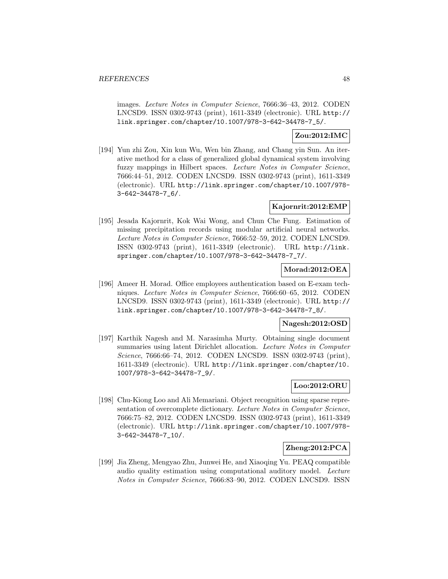images. Lecture Notes in Computer Science, 7666:36–43, 2012. CODEN LNCSD9. ISSN 0302-9743 (print), 1611-3349 (electronic). URL http:// link.springer.com/chapter/10.1007/978-3-642-34478-7\_5/.

### **Zou:2012:IMC**

[194] Yun zhi Zou, Xin kun Wu, Wen bin Zhang, and Chang yin Sun. An iterative method for a class of generalized global dynamical system involving fuzzy mappings in Hilbert spaces. Lecture Notes in Computer Science, 7666:44–51, 2012. CODEN LNCSD9. ISSN 0302-9743 (print), 1611-3349 (electronic). URL http://link.springer.com/chapter/10.1007/978- 3-642-34478-7\_6/.

### **Kajornrit:2012:EMP**

[195] Jesada Kajornrit, Kok Wai Wong, and Chun Che Fung. Estimation of missing precipitation records using modular artificial neural networks. Lecture Notes in Computer Science, 7666:52–59, 2012. CODEN LNCSD9. ISSN 0302-9743 (print), 1611-3349 (electronic). URL http://link. springer.com/chapter/10.1007/978-3-642-34478-7\_7/.

### **Morad:2012:OEA**

[196] Ameer H. Morad. Office employees authentication based on E-exam techniques. Lecture Notes in Computer Science, 7666:60–65, 2012. CODEN LNCSD9. ISSN 0302-9743 (print), 1611-3349 (electronic). URL http:// link.springer.com/chapter/10.1007/978-3-642-34478-7\_8/.

### **Nagesh:2012:OSD**

[197] Karthik Nagesh and M. Narasimha Murty. Obtaining single document summaries using latent Dirichlet allocation. Lecture Notes in Computer Science, 7666:66–74, 2012. CODEN LNCSD9. ISSN 0302-9743 (print), 1611-3349 (electronic). URL http://link.springer.com/chapter/10. 1007/978-3-642-34478-7\_9/.

# **Loo:2012:ORU**

[198] Chu-Kiong Loo and Ali Memariani. Object recognition using sparse representation of overcomplete dictionary. Lecture Notes in Computer Science, 7666:75–82, 2012. CODEN LNCSD9. ISSN 0302-9743 (print), 1611-3349 (electronic). URL http://link.springer.com/chapter/10.1007/978- 3-642-34478-7\_10/.

# **Zheng:2012:PCA**

[199] Jia Zheng, Mengyao Zhu, Junwei He, and Xiaoqing Yu. PEAQ compatible audio quality estimation using computational auditory model. Lecture Notes in Computer Science, 7666:83–90, 2012. CODEN LNCSD9. ISSN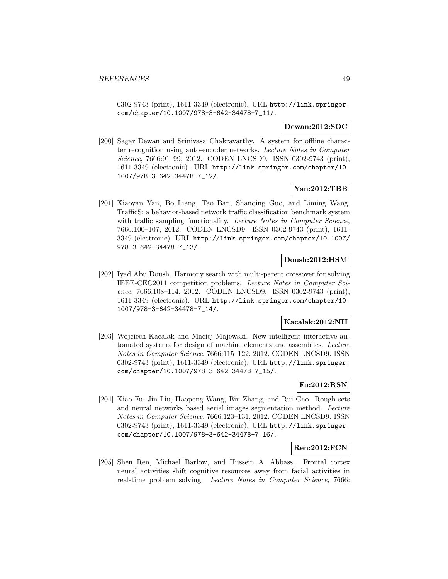0302-9743 (print), 1611-3349 (electronic). URL http://link.springer. com/chapter/10.1007/978-3-642-34478-7\_11/.

### **Dewan:2012:SOC**

[200] Sagar Dewan and Srinivasa Chakravarthy. A system for offline character recognition using auto-encoder networks. Lecture Notes in Computer Science, 7666:91–99, 2012. CODEN LNCSD9. ISSN 0302-9743 (print), 1611-3349 (electronic). URL http://link.springer.com/chapter/10. 1007/978-3-642-34478-7\_12/.

# **Yan:2012:TBB**

[201] Xiaoyan Yan, Bo Liang, Tao Ban, Shanqing Guo, and Liming Wang. TrafficS: a behavior-based network traffic classification benchmark system with traffic sampling functionality. Lecture Notes in Computer Science, 7666:100–107, 2012. CODEN LNCSD9. ISSN 0302-9743 (print), 1611- 3349 (electronic). URL http://link.springer.com/chapter/10.1007/ 978-3-642-34478-7\_13/.

# **Doush:2012:HSM**

[202] Iyad Abu Doush. Harmony search with multi-parent crossover for solving IEEE-CEC2011 competition problems. Lecture Notes in Computer Science, 7666:108–114, 2012. CODEN LNCSD9. ISSN 0302-9743 (print), 1611-3349 (electronic). URL http://link.springer.com/chapter/10. 1007/978-3-642-34478-7\_14/.

### **Kacalak:2012:NII**

[203] Wojciech Kacalak and Maciej Majewski. New intelligent interactive automated systems for design of machine elements and assemblies. Lecture Notes in Computer Science, 7666:115–122, 2012. CODEN LNCSD9. ISSN 0302-9743 (print), 1611-3349 (electronic). URL http://link.springer. com/chapter/10.1007/978-3-642-34478-7\_15/.

# **Fu:2012:RSN**

[204] Xiao Fu, Jin Liu, Haopeng Wang, Bin Zhang, and Rui Gao. Rough sets and neural networks based aerial images segmentation method. Lecture Notes in Computer Science, 7666:123–131, 2012. CODEN LNCSD9. ISSN 0302-9743 (print), 1611-3349 (electronic). URL http://link.springer. com/chapter/10.1007/978-3-642-34478-7\_16/.

#### **Ren:2012:FCN**

[205] Shen Ren, Michael Barlow, and Hussein A. Abbass. Frontal cortex neural activities shift cognitive resources away from facial activities in real-time problem solving. Lecture Notes in Computer Science, 7666: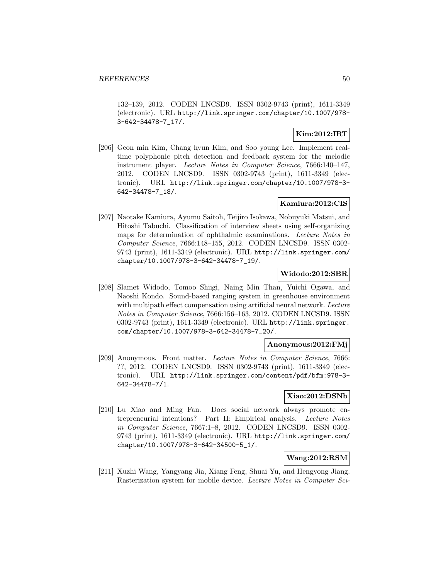132–139, 2012. CODEN LNCSD9. ISSN 0302-9743 (print), 1611-3349 (electronic). URL http://link.springer.com/chapter/10.1007/978- 3-642-34478-7\_17/.

# **Kim:2012:IRT**

[206] Geon min Kim, Chang hyun Kim, and Soo young Lee. Implement realtime polyphonic pitch detection and feedback system for the melodic instrument player. Lecture Notes in Computer Science, 7666:140–147, 2012. CODEN LNCSD9. ISSN 0302-9743 (print), 1611-3349 (electronic). URL http://link.springer.com/chapter/10.1007/978-3- 642-34478-7\_18/.

# **Kamiura:2012:CIS**

[207] Naotake Kamiura, Ayumu Saitoh, Teijiro Isokawa, Nobuyuki Matsui, and Hitoshi Tabuchi. Classification of interview sheets using self-organizing maps for determination of ophthalmic examinations. Lecture Notes in Computer Science, 7666:148–155, 2012. CODEN LNCSD9. ISSN 0302- 9743 (print), 1611-3349 (electronic). URL http://link.springer.com/ chapter/10.1007/978-3-642-34478-7\_19/.

### **Widodo:2012:SBR**

[208] Slamet Widodo, Tomoo Shiigi, Naing Min Than, Yuichi Ogawa, and Naoshi Kondo. Sound-based ranging system in greenhouse environment with multipath effect compensation using artificial neural network. Lecture Notes in Computer Science, 7666:156–163, 2012. CODEN LNCSD9. ISSN 0302-9743 (print), 1611-3349 (electronic). URL http://link.springer. com/chapter/10.1007/978-3-642-34478-7\_20/.

### **Anonymous:2012:FMj**

[209] Anonymous. Front matter. Lecture Notes in Computer Science, 7666: ??, 2012. CODEN LNCSD9. ISSN 0302-9743 (print), 1611-3349 (electronic). URL http://link.springer.com/content/pdf/bfm:978-3- 642-34478-7/1.

# **Xiao:2012:DSNb**

[210] Lu Xiao and Ming Fan. Does social network always promote entrepreneurial intentions? Part II: Empirical analysis. Lecture Notes in Computer Science, 7667:1–8, 2012. CODEN LNCSD9. ISSN 0302- 9743 (print), 1611-3349 (electronic). URL http://link.springer.com/ chapter/10.1007/978-3-642-34500-5\_1/.

### **Wang:2012:RSM**

[211] Xuzhi Wang, Yangyang Jia, Xiang Feng, Shuai Yu, and Hengyong Jiang. Rasterization system for mobile device. Lecture Notes in Computer Sci-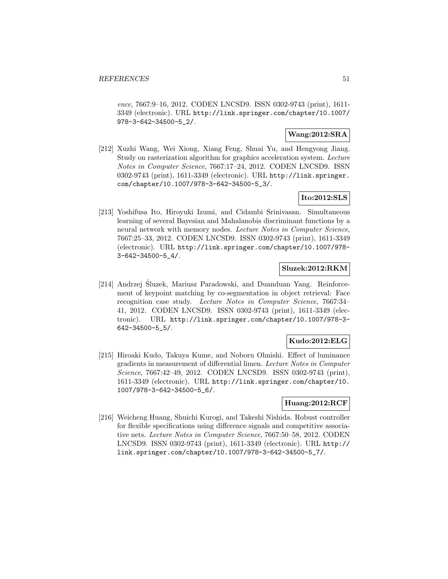ence, 7667:9–16, 2012. CODEN LNCSD9. ISSN 0302-9743 (print), 1611- 3349 (electronic). URL http://link.springer.com/chapter/10.1007/ 978-3-642-34500-5\_2/.

### **Wang:2012:SRA**

[212] Xuzhi Wang, Wei Xiong, Xiang Feng, Shuai Yu, and Hengyong Jiang. Study on rasterization algorithm for graphics acceleration system. Lecture Notes in Computer Science, 7667:17–24, 2012. CODEN LNCSD9. ISSN 0302-9743 (print), 1611-3349 (electronic). URL http://link.springer. com/chapter/10.1007/978-3-642-34500-5\_3/.

# **Ito:2012:SLS**

[213] Yoshifusa Ito, Hiroyuki Izumi, and Cidambi Srinivasan. Simultaneous learning of several Bayesian and Mahalanobis discriminant functions by a neural network with memory nodes. Lecture Notes in Computer Science, 7667:25–33, 2012. CODEN LNCSD9. ISSN 0302-9743 (print), 1611-3349 (electronic). URL http://link.springer.com/chapter/10.1007/978- 3-642-34500-5\_4/.

# **Sluzek:2012:RKM**

[214] Andrzej Sluzek, Mariusz Paradowski, and Duanduan Yang. Reinforcement of keypoint matching by co-segmentation in object retrieval: Face recognition case study. Lecture Notes in Computer Science, 7667:34– 41, 2012. CODEN LNCSD9. ISSN 0302-9743 (print), 1611-3349 (electronic). URL http://link.springer.com/chapter/10.1007/978-3- 642-34500-5\_5/.

### **Kudo:2012:ELG**

[215] Hiroaki Kudo, Takuya Kume, and Noboru Ohnishi. Effect of luminance gradients in measurement of differential limen. Lecture Notes in Computer Science, 7667:42–49, 2012. CODEN LNCSD9. ISSN 0302-9743 (print), 1611-3349 (electronic). URL http://link.springer.com/chapter/10. 1007/978-3-642-34500-5\_6/.

### **Huang:2012:RCF**

[216] Weicheng Huang, Shuichi Kurogi, and Takeshi Nishida. Robust controller for flexible specifications using difference signals and competitive associative nets. Lecture Notes in Computer Science, 7667:50–58, 2012. CODEN LNCSD9. ISSN 0302-9743 (print), 1611-3349 (electronic). URL http:// link.springer.com/chapter/10.1007/978-3-642-34500-5\_7/.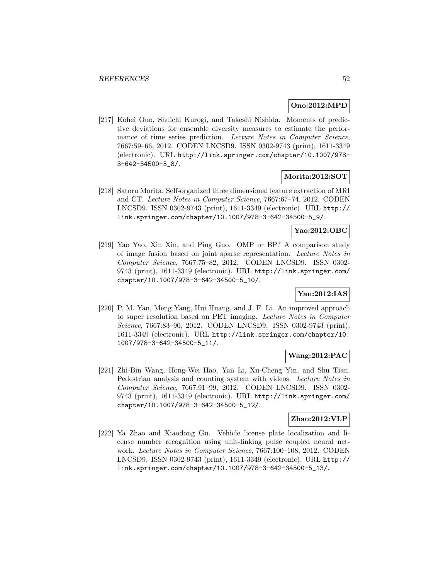### **Ono:2012:MPD**

[217] Kohei Ono, Shuichi Kurogi, and Takeshi Nishida. Moments of predictive deviations for ensemble diversity measures to estimate the performance of time series prediction. Lecture Notes in Computer Science, 7667:59–66, 2012. CODEN LNCSD9. ISSN 0302-9743 (print), 1611-3349 (electronic). URL http://link.springer.com/chapter/10.1007/978- 3-642-34500-5\_8/.

### **Morita:2012:SOT**

[218] Satoru Morita. Self-organized three dimensional feature extraction of MRI and CT. Lecture Notes in Computer Science, 7667:67–74, 2012. CODEN LNCSD9. ISSN 0302-9743 (print), 1611-3349 (electronic). URL http:// link.springer.com/chapter/10.1007/978-3-642-34500-5\_9/.

#### **Yao:2012:OBC**

[219] Yao Yao, Xin Xin, and Ping Guo. OMP or BP? A comparison study of image fusion based on joint sparse representation. Lecture Notes in Computer Science, 7667:75–82, 2012. CODEN LNCSD9. ISSN 0302- 9743 (print), 1611-3349 (electronic). URL http://link.springer.com/ chapter/10.1007/978-3-642-34500-5\_10/.

### **Yan:2012:IAS**

[220] P. M. Yan, Meng Yang, Hui Huang, and J. F. Li. An improved approach to super resolution based on PET imaging. Lecture Notes in Computer Science, 7667:83–90, 2012. CODEN LNCSD9. ISSN 0302-9743 (print), 1611-3349 (electronic). URL http://link.springer.com/chapter/10. 1007/978-3-642-34500-5\_11/.

# **Wang:2012:PAC**

[221] Zhi-Bin Wang, Hong-Wei Hao, Yan Li, Xu-Cheng Yin, and Shu Tian. Pedestrian analysis and counting system with videos. Lecture Notes in Computer Science, 7667:91–99, 2012. CODEN LNCSD9. ISSN 0302- 9743 (print), 1611-3349 (electronic). URL http://link.springer.com/ chapter/10.1007/978-3-642-34500-5\_12/.

### **Zhao:2012:VLP**

[222] Ya Zhao and Xiaodong Gu. Vehicle license plate localization and license number recognition using unit-linking pulse coupled neural network. Lecture Notes in Computer Science, 7667:100–108, 2012. CODEN LNCSD9. ISSN 0302-9743 (print), 1611-3349 (electronic). URL http:// link.springer.com/chapter/10.1007/978-3-642-34500-5\_13/.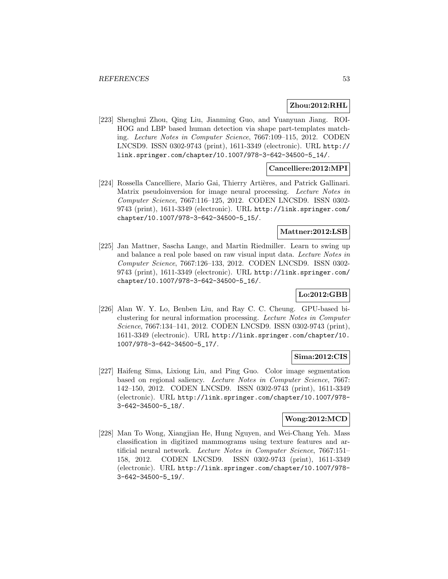#### **Zhou:2012:RHL**

[223] Shenghui Zhou, Qing Liu, Jianming Guo, and Yuanyuan Jiang. ROI-HOG and LBP based human detection via shape part-templates matching. Lecture Notes in Computer Science, 7667:109–115, 2012. CODEN LNCSD9. ISSN 0302-9743 (print), 1611-3349 (electronic). URL http:// link.springer.com/chapter/10.1007/978-3-642-34500-5\_14/.

# **Cancelliere:2012:MPI**

[224] Rossella Cancelliere, Mario Gai, Thierry Artières, and Patrick Gallinari. Matrix pseudoinversion for image neural processing. Lecture Notes in Computer Science, 7667:116–125, 2012. CODEN LNCSD9. ISSN 0302- 9743 (print), 1611-3349 (electronic). URL http://link.springer.com/ chapter/10.1007/978-3-642-34500-5\_15/.

# **Mattner:2012:LSB**

[225] Jan Mattner, Sascha Lange, and Martin Riedmiller. Learn to swing up and balance a real pole based on raw visual input data. Lecture Notes in Computer Science, 7667:126–133, 2012. CODEN LNCSD9. ISSN 0302- 9743 (print), 1611-3349 (electronic). URL http://link.springer.com/ chapter/10.1007/978-3-642-34500-5\_16/.

# **Lo:2012:GBB**

[226] Alan W. Y. Lo, Benben Liu, and Ray C. C. Cheung. GPU-based biclustering for neural information processing. Lecture Notes in Computer Science, 7667:134–141, 2012. CODEN LNCSD9. ISSN 0302-9743 (print), 1611-3349 (electronic). URL http://link.springer.com/chapter/10. 1007/978-3-642-34500-5\_17/.

### **Sima:2012:CIS**

[227] Haifeng Sima, Lixiong Liu, and Ping Guo. Color image segmentation based on regional saliency. Lecture Notes in Computer Science, 7667: 142–150, 2012. CODEN LNCSD9. ISSN 0302-9743 (print), 1611-3349 (electronic). URL http://link.springer.com/chapter/10.1007/978- 3-642-34500-5\_18/.

### **Wong:2012:MCD**

[228] Man To Wong, Xiangjian He, Hung Nguyen, and Wei-Chang Yeh. Mass classification in digitized mammograms using texture features and artificial neural network. Lecture Notes in Computer Science, 7667:151– 158, 2012. CODEN LNCSD9. ISSN 0302-9743 (print), 1611-3349 (electronic). URL http://link.springer.com/chapter/10.1007/978- 3-642-34500-5\_19/.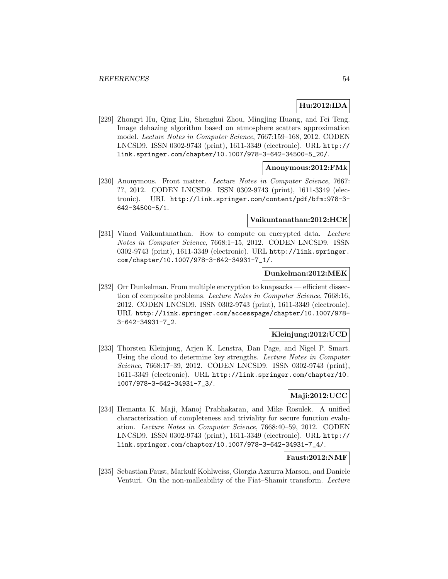# **Hu:2012:IDA**

[229] Zhongyi Hu, Qing Liu, Shenghui Zhou, Mingjing Huang, and Fei Teng. Image dehazing algorithm based on atmosphere scatters approximation model. Lecture Notes in Computer Science, 7667:159–168, 2012. CODEN LNCSD9. ISSN 0302-9743 (print), 1611-3349 (electronic). URL http:// link.springer.com/chapter/10.1007/978-3-642-34500-5\_20/.

### **Anonymous:2012:FMk**

[230] Anonymous. Front matter. Lecture Notes in Computer Science, 7667: ??, 2012. CODEN LNCSD9. ISSN 0302-9743 (print), 1611-3349 (electronic). URL http://link.springer.com/content/pdf/bfm:978-3- 642-34500-5/1.

#### **Vaikuntanathan:2012:HCE**

[231] Vinod Vaikuntanathan. How to compute on encrypted data. Lecture Notes in Computer Science, 7668:1–15, 2012. CODEN LNCSD9. ISSN 0302-9743 (print), 1611-3349 (electronic). URL http://link.springer. com/chapter/10.1007/978-3-642-34931-7\_1/.

### **Dunkelman:2012:MEK**

[232] Orr Dunkelman. From multiple encryption to knapsacks — efficient dissection of composite problems. Lecture Notes in Computer Science, 7668:16, 2012. CODEN LNCSD9. ISSN 0302-9743 (print), 1611-3349 (electronic). URL http://link.springer.com/accesspage/chapter/10.1007/978- 3-642-34931-7\_2.

# **Kleinjung:2012:UCD**

[233] Thorsten Kleinjung, Arjen K. Lenstra, Dan Page, and Nigel P. Smart. Using the cloud to determine key strengths. Lecture Notes in Computer Science, 7668:17–39, 2012. CODEN LNCSD9. ISSN 0302-9743 (print), 1611-3349 (electronic). URL http://link.springer.com/chapter/10. 1007/978-3-642-34931-7\_3/.

### **Maji:2012:UCC**

[234] Hemanta K. Maji, Manoj Prabhakaran, and Mike Rosulek. A unified characterization of completeness and triviality for secure function evaluation. Lecture Notes in Computer Science, 7668:40–59, 2012. CODEN LNCSD9. ISSN 0302-9743 (print), 1611-3349 (electronic). URL http:// link.springer.com/chapter/10.1007/978-3-642-34931-7\_4/.

# **Faust:2012:NMF**

[235] Sebastian Faust, Markulf Kohlweiss, Giorgia Azzurra Marson, and Daniele Venturi. On the non-malleability of the Fiat–Shamir transform. Lecture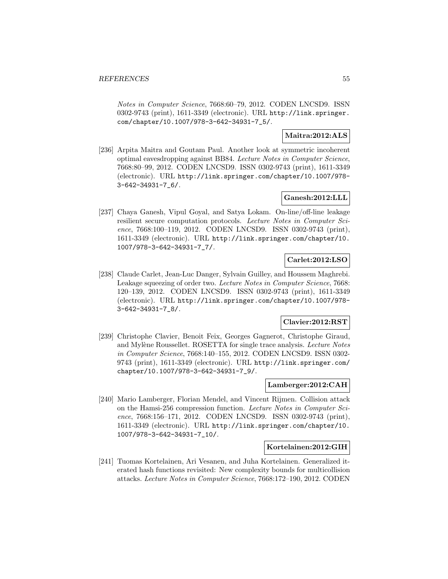Notes in Computer Science, 7668:60–79, 2012. CODEN LNCSD9. ISSN 0302-9743 (print), 1611-3349 (electronic). URL http://link.springer. com/chapter/10.1007/978-3-642-34931-7\_5/.

### **Maitra:2012:ALS**

[236] Arpita Maitra and Goutam Paul. Another look at symmetric incoherent optimal eavesdropping against BB84. Lecture Notes in Computer Science, 7668:80–99, 2012. CODEN LNCSD9. ISSN 0302-9743 (print), 1611-3349 (electronic). URL http://link.springer.com/chapter/10.1007/978- 3-642-34931-7\_6/.

### **Ganesh:2012:LLL**

[237] Chaya Ganesh, Vipul Goyal, and Satya Lokam. On-line/off-line leakage resilient secure computation protocols. Lecture Notes in Computer Science, 7668:100–119, 2012. CODEN LNCSD9. ISSN 0302-9743 (print), 1611-3349 (electronic). URL http://link.springer.com/chapter/10. 1007/978-3-642-34931-7\_7/.

# **Carlet:2012:LSO**

[238] Claude Carlet, Jean-Luc Danger, Sylvain Guilley, and Houssem Maghrebi. Leakage squeezing of order two. Lecture Notes in Computer Science, 7668: 120–139, 2012. CODEN LNCSD9. ISSN 0302-9743 (print), 1611-3349 (electronic). URL http://link.springer.com/chapter/10.1007/978- 3-642-34931-7\_8/.

### **Clavier:2012:RST**

[239] Christophe Clavier, Benoit Feix, Georges Gagnerot, Christophe Giraud, and Mylène Roussellet. ROSETTA for single trace analysis. Lecture Notes in Computer Science, 7668:140–155, 2012. CODEN LNCSD9. ISSN 0302- 9743 (print), 1611-3349 (electronic). URL http://link.springer.com/ chapter/10.1007/978-3-642-34931-7\_9/.

# **Lamberger:2012:CAH**

[240] Mario Lamberger, Florian Mendel, and Vincent Rijmen. Collision attack on the Hamsi-256 compression function. Lecture Notes in Computer Science, 7668:156–171, 2012. CODEN LNCSD9. ISSN 0302-9743 (print), 1611-3349 (electronic). URL http://link.springer.com/chapter/10. 1007/978-3-642-34931-7\_10/.

### **Kortelainen:2012:GIH**

[241] Tuomas Kortelainen, Ari Vesanen, and Juha Kortelainen. Generalized iterated hash functions revisited: New complexity bounds for multicollision attacks. Lecture Notes in Computer Science, 7668:172–190, 2012. CODEN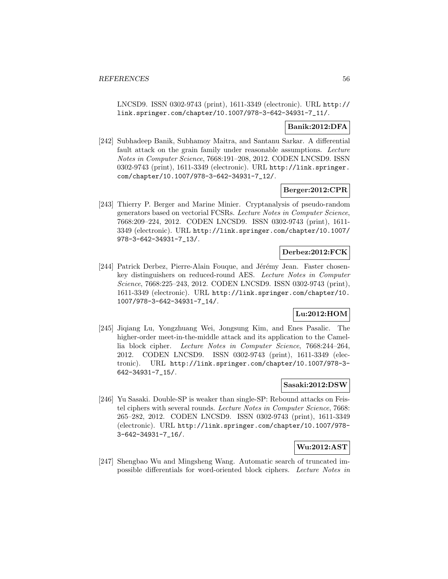LNCSD9. ISSN 0302-9743 (print), 1611-3349 (electronic). URL http:// link.springer.com/chapter/10.1007/978-3-642-34931-7\_11/.

# **Banik:2012:DFA**

[242] Subhadeep Banik, Subhamoy Maitra, and Santanu Sarkar. A differential fault attack on the grain family under reasonable assumptions. Lecture Notes in Computer Science, 7668:191–208, 2012. CODEN LNCSD9. ISSN 0302-9743 (print), 1611-3349 (electronic). URL http://link.springer. com/chapter/10.1007/978-3-642-34931-7\_12/.

### **Berger:2012:CPR**

[243] Thierry P. Berger and Marine Minier. Cryptanalysis of pseudo-random generators based on vectorial FCSRs. Lecture Notes in Computer Science, 7668:209–224, 2012. CODEN LNCSD9. ISSN 0302-9743 (print), 1611- 3349 (electronic). URL http://link.springer.com/chapter/10.1007/ 978-3-642-34931-7\_13/.

### **Derbez:2012:FCK**

[244] Patrick Derbez, Pierre-Alain Fouque, and Jérémy Jean. Faster chosenkey distinguishers on reduced-round AES. Lecture Notes in Computer Science, 7668:225–243, 2012. CODEN LNCSD9. ISSN 0302-9743 (print), 1611-3349 (electronic). URL http://link.springer.com/chapter/10. 1007/978-3-642-34931-7\_14/.

# **Lu:2012:HOM**

[245] Jiqiang Lu, Yongzhuang Wei, Jongsung Kim, and Enes Pasalic. The higher-order meet-in-the-middle attack and its application to the Camellia block cipher. Lecture Notes in Computer Science, 7668:244–264, 2012. CODEN LNCSD9. ISSN 0302-9743 (print), 1611-3349 (electronic). URL http://link.springer.com/chapter/10.1007/978-3- 642-34931-7\_15/.

# **Sasaki:2012:DSW**

[246] Yu Sasaki. Double-SP is weaker than single-SP: Rebound attacks on Feistel ciphers with several rounds. Lecture Notes in Computer Science, 7668: 265–282, 2012. CODEN LNCSD9. ISSN 0302-9743 (print), 1611-3349 (electronic). URL http://link.springer.com/chapter/10.1007/978- 3-642-34931-7\_16/.

# **Wu:2012:AST**

[247] Shengbao Wu and Mingsheng Wang. Automatic search of truncated impossible differentials for word-oriented block ciphers. Lecture Notes in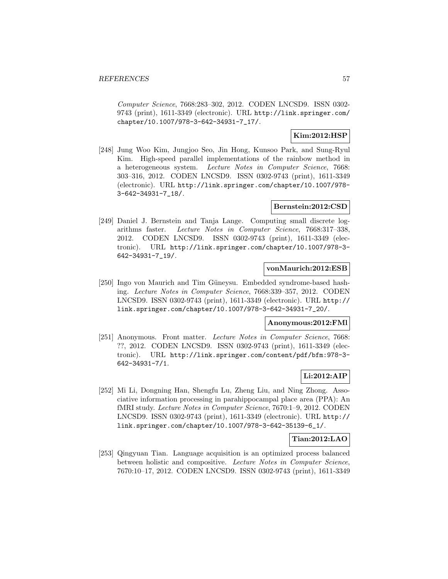Computer Science, 7668:283–302, 2012. CODEN LNCSD9. ISSN 0302- 9743 (print), 1611-3349 (electronic). URL http://link.springer.com/ chapter/10.1007/978-3-642-34931-7\_17/.

# **Kim:2012:HSP**

[248] Jung Woo Kim, Jungjoo Seo, Jin Hong, Kunsoo Park, and Sung-Ryul Kim. High-speed parallel implementations of the rainbow method in a heterogeneous system. Lecture Notes in Computer Science, 7668: 303–316, 2012. CODEN LNCSD9. ISSN 0302-9743 (print), 1611-3349 (electronic). URL http://link.springer.com/chapter/10.1007/978- 3-642-34931-7\_18/.

### **Bernstein:2012:CSD**

[249] Daniel J. Bernstein and Tanja Lange. Computing small discrete logarithms faster. Lecture Notes in Computer Science, 7668:317–338, 2012. CODEN LNCSD9. ISSN 0302-9743 (print), 1611-3349 (electronic). URL http://link.springer.com/chapter/10.1007/978-3- 642-34931-7\_19/.

### **vonMaurich:2012:ESB**

[250] Ingo von Maurich and Tim Güneysu. Embedded syndrome-based hashing. Lecture Notes in Computer Science, 7668:339–357, 2012. CODEN LNCSD9. ISSN 0302-9743 (print), 1611-3349 (electronic). URL http:// link.springer.com/chapter/10.1007/978-3-642-34931-7\_20/.

### **Anonymous:2012:FMl**

[251] Anonymous. Front matter. Lecture Notes in Computer Science, 7668: ??, 2012. CODEN LNCSD9. ISSN 0302-9743 (print), 1611-3349 (electronic). URL http://link.springer.com/content/pdf/bfm:978-3- 642-34931-7/1.

# **Li:2012:AIP**

[252] Mi Li, Dongning Han, Shengfu Lu, Zheng Liu, and Ning Zhong. Associative information processing in parahippocampal place area (PPA): An fMRI study. Lecture Notes in Computer Science, 7670:1–9, 2012. CODEN LNCSD9. ISSN 0302-9743 (print), 1611-3349 (electronic). URL http:// link.springer.com/chapter/10.1007/978-3-642-35139-6\_1/.

### **Tian:2012:LAO**

[253] Qingyuan Tian. Language acquisition is an optimized process balanced between holistic and compositive. Lecture Notes in Computer Science, 7670:10–17, 2012. CODEN LNCSD9. ISSN 0302-9743 (print), 1611-3349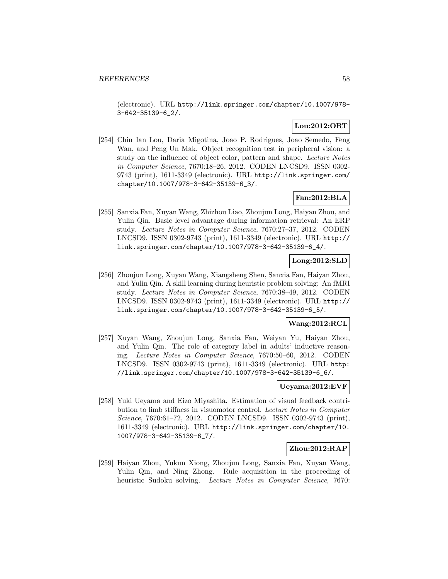(electronic). URL http://link.springer.com/chapter/10.1007/978- 3-642-35139-6\_2/.

# **Lou:2012:ORT**

[254] Chin Ian Lou, Daria Migotina, Joao P. Rodrigues, Joao Semedo, Feng Wan, and Peng Un Mak. Object recognition test in peripheral vision: a study on the influence of object color, pattern and shape. Lecture Notes in Computer Science, 7670:18–26, 2012. CODEN LNCSD9. ISSN 0302- 9743 (print), 1611-3349 (electronic). URL http://link.springer.com/ chapter/10.1007/978-3-642-35139-6\_3/.

# **Fan:2012:BLA**

[255] Sanxia Fan, Xuyan Wang, Zhizhou Liao, Zhoujun Long, Haiyan Zhou, and Yulin Qin. Basic level advantage during information retrieval: An ERP study. Lecture Notes in Computer Science, 7670:27–37, 2012. CODEN LNCSD9. ISSN 0302-9743 (print), 1611-3349 (electronic). URL http:// link.springer.com/chapter/10.1007/978-3-642-35139-6\_4/.

# **Long:2012:SLD**

[256] Zhoujun Long, Xuyan Wang, Xiangsheng Shen, Sanxia Fan, Haiyan Zhou, and Yulin Qin. A skill learning during heuristic problem solving: An fMRI study. Lecture Notes in Computer Science, 7670:38–49, 2012. CODEN LNCSD9. ISSN 0302-9743 (print), 1611-3349 (electronic). URL http:// link.springer.com/chapter/10.1007/978-3-642-35139-6\_5/.

# **Wang:2012:RCL**

[257] Xuyan Wang, Zhoujun Long, Sanxia Fan, Weiyan Yu, Haiyan Zhou, and Yulin Qin. The role of category label in adults' inductive reasoning. Lecture Notes in Computer Science, 7670:50–60, 2012. CODEN LNCSD9. ISSN 0302-9743 (print), 1611-3349 (electronic). URL http: //link.springer.com/chapter/10.1007/978-3-642-35139-6\_6/.

# **Ueyama:2012:EVF**

[258] Yuki Ueyama and Eizo Miyashita. Estimation of visual feedback contribution to limb stiffness in visuomotor control. Lecture Notes in Computer Science, 7670:61–72, 2012. CODEN LNCSD9. ISSN 0302-9743 (print), 1611-3349 (electronic). URL http://link.springer.com/chapter/10. 1007/978-3-642-35139-6\_7/.

### **Zhou:2012:RAP**

[259] Haiyan Zhou, Yukun Xiong, Zhoujun Long, Sanxia Fan, Xuyan Wang, Yulin Qin, and Ning Zhong. Rule acquisition in the proceeding of heuristic Sudoku solving. Lecture Notes in Computer Science, 7670: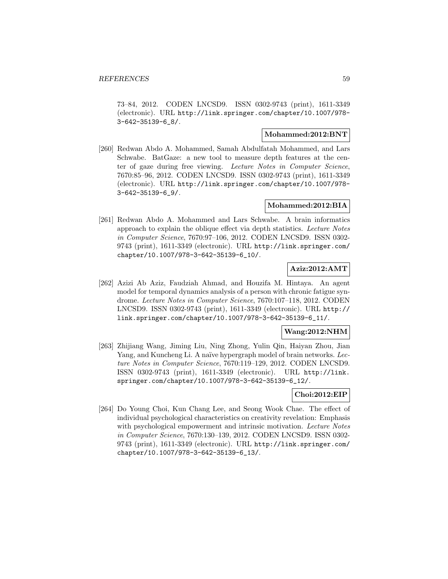73–84, 2012. CODEN LNCSD9. ISSN 0302-9743 (print), 1611-3349 (electronic). URL http://link.springer.com/chapter/10.1007/978- 3-642-35139-6\_8/.

### **Mohammed:2012:BNT**

[260] Redwan Abdo A. Mohammed, Samah Abdulfatah Mohammed, and Lars Schwabe. BatGaze: a new tool to measure depth features at the center of gaze during free viewing. Lecture Notes in Computer Science, 7670:85–96, 2012. CODEN LNCSD9. ISSN 0302-9743 (print), 1611-3349 (electronic). URL http://link.springer.com/chapter/10.1007/978- 3-642-35139-6\_9/.

### **Mohammed:2012:BIA**

[261] Redwan Abdo A. Mohammed and Lars Schwabe. A brain informatics approach to explain the oblique effect via depth statistics. Lecture Notes in Computer Science, 7670:97–106, 2012. CODEN LNCSD9. ISSN 0302- 9743 (print), 1611-3349 (electronic). URL http://link.springer.com/ chapter/10.1007/978-3-642-35139-6\_10/.

# **Aziz:2012:AMT**

[262] Azizi Ab Aziz, Faudziah Ahmad, and Houzifa M. Hintaya. An agent model for temporal dynamics analysis of a person with chronic fatigue syndrome. Lecture Notes in Computer Science, 7670:107–118, 2012. CODEN LNCSD9. ISSN 0302-9743 (print), 1611-3349 (electronic). URL http:// link.springer.com/chapter/10.1007/978-3-642-35139-6\_11/.

### **Wang:2012:NHM**

[263] Zhijiang Wang, Jiming Liu, Ning Zhong, Yulin Qin, Haiyan Zhou, Jian Yang, and Kuncheng Li. A naïve hypergraph model of brain networks. Lecture Notes in Computer Science, 7670:119–129, 2012. CODEN LNCSD9. ISSN 0302-9743 (print), 1611-3349 (electronic). URL http://link. springer.com/chapter/10.1007/978-3-642-35139-6\_12/.

# **Choi:2012:EIP**

[264] Do Young Choi, Kun Chang Lee, and Seong Wook Chae. The effect of individual psychological characteristics on creativity revelation: Emphasis with psychological empowerment and intrinsic motivation. Lecture Notes in Computer Science, 7670:130–139, 2012. CODEN LNCSD9. ISSN 0302- 9743 (print), 1611-3349 (electronic). URL http://link.springer.com/ chapter/10.1007/978-3-642-35139-6\_13/.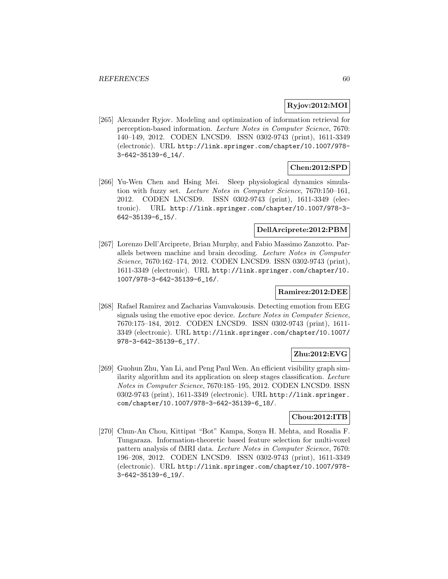### **Ryjov:2012:MOI**

[265] Alexander Ryjov. Modeling and optimization of information retrieval for perception-based information. Lecture Notes in Computer Science, 7670: 140–149, 2012. CODEN LNCSD9. ISSN 0302-9743 (print), 1611-3349 (electronic). URL http://link.springer.com/chapter/10.1007/978- 3-642-35139-6\_14/.

# **Chen:2012:SPD**

[266] Yu-Wen Chen and Hsing Mei. Sleep physiological dynamics simulation with fuzzy set. Lecture Notes in Computer Science, 7670:150–161, 2012. CODEN LNCSD9. ISSN 0302-9743 (print), 1611-3349 (electronic). URL http://link.springer.com/chapter/10.1007/978-3- 642-35139-6\_15/.

# **DellArciprete:2012:PBM**

[267] Lorenzo Dell'Arciprete, Brian Murphy, and Fabio Massimo Zanzotto. Parallels between machine and brain decoding. Lecture Notes in Computer Science, 7670:162–174, 2012. CODEN LNCSD9. ISSN 0302-9743 (print), 1611-3349 (electronic). URL http://link.springer.com/chapter/10. 1007/978-3-642-35139-6\_16/.

# **Ramirez:2012:DEE**

[268] Rafael Ramirez and Zacharias Vamvakousis. Detecting emotion from EEG signals using the emotive epoc device. Lecture Notes in Computer Science, 7670:175–184, 2012. CODEN LNCSD9. ISSN 0302-9743 (print), 1611- 3349 (electronic). URL http://link.springer.com/chapter/10.1007/ 978-3-642-35139-6\_17/.

# **Zhu:2012:EVG**

[269] Guohun Zhu, Yan Li, and Peng Paul Wen. An efficient visibility graph similarity algorithm and its application on sleep stages classification. Lecture Notes in Computer Science, 7670:185–195, 2012. CODEN LNCSD9. ISSN 0302-9743 (print), 1611-3349 (electronic). URL http://link.springer. com/chapter/10.1007/978-3-642-35139-6\_18/.

### **Chou:2012:ITB**

[270] Chun-An Chou, Kittipat "Bot" Kampa, Sonya H. Mehta, and Rosalia F. Tungaraza. Information-theoretic based feature selection for multi-voxel pattern analysis of fMRI data. Lecture Notes in Computer Science, 7670: 196–208, 2012. CODEN LNCSD9. ISSN 0302-9743 (print), 1611-3349 (electronic). URL http://link.springer.com/chapter/10.1007/978- 3-642-35139-6\_19/.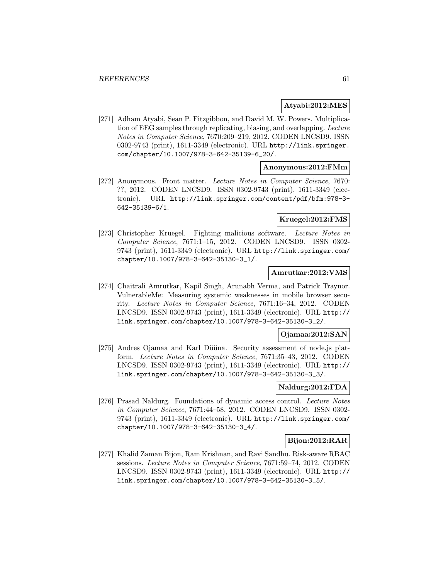### **Atyabi:2012:MES**

[271] Adham Atyabi, Sean P. Fitzgibbon, and David M. W. Powers. Multiplication of EEG samples through replicating, biasing, and overlapping. Lecture Notes in Computer Science, 7670:209–219, 2012. CODEN LNCSD9. ISSN 0302-9743 (print), 1611-3349 (electronic). URL http://link.springer. com/chapter/10.1007/978-3-642-35139-6\_20/.

#### **Anonymous:2012:FMm**

[272] Anonymous. Front matter. Lecture Notes in Computer Science, 7670: ??, 2012. CODEN LNCSD9. ISSN 0302-9743 (print), 1611-3349 (electronic). URL http://link.springer.com/content/pdf/bfm:978-3- 642-35139-6/1.

# **Kruegel:2012:FMS**

[273] Christopher Kruegel. Fighting malicious software. Lecture Notes in Computer Science, 7671:1–15, 2012. CODEN LNCSD9. ISSN 0302- 9743 (print), 1611-3349 (electronic). URL http://link.springer.com/ chapter/10.1007/978-3-642-35130-3\_1/.

# **Amrutkar:2012:VMS**

[274] Chaitrali Amrutkar, Kapil Singh, Arunabh Verma, and Patrick Traynor. VulnerableMe: Measuring systemic weaknesses in mobile browser security. Lecture Notes in Computer Science, 7671:16–34, 2012. CODEN LNCSD9. ISSN 0302-9743 (print), 1611-3349 (electronic). URL http:// link.springer.com/chapter/10.1007/978-3-642-35130-3\_2/.

### **Ojamaa:2012:SAN**

[275] Andres Ojamaa and Karl Düüna. Security assessment of node.js platform. Lecture Notes in Computer Science, 7671:35–43, 2012. CODEN LNCSD9. ISSN 0302-9743 (print), 1611-3349 (electronic). URL http:// link.springer.com/chapter/10.1007/978-3-642-35130-3\_3/.

### **Naldurg:2012:FDA**

[276] Prasad Naldurg. Foundations of dynamic access control. Lecture Notes in Computer Science, 7671:44–58, 2012. CODEN LNCSD9. ISSN 0302- 9743 (print), 1611-3349 (electronic). URL http://link.springer.com/ chapter/10.1007/978-3-642-35130-3\_4/.

# **Bijon:2012:RAR**

[277] Khalid Zaman Bijon, Ram Krishnan, and Ravi Sandhu. Risk-aware RBAC sessions. Lecture Notes in Computer Science, 7671:59–74, 2012. CODEN LNCSD9. ISSN 0302-9743 (print), 1611-3349 (electronic). URL http:// link.springer.com/chapter/10.1007/978-3-642-35130-3\_5/.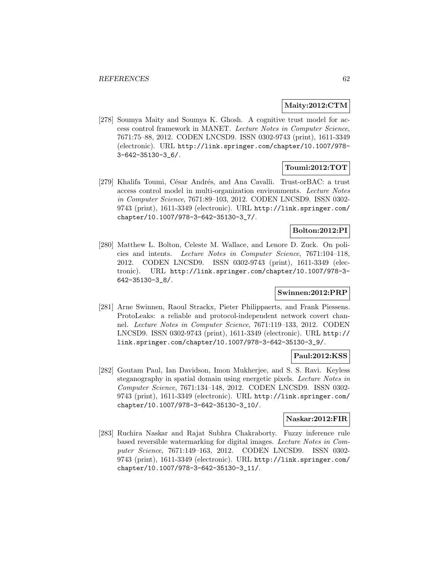### **Maity:2012:CTM**

[278] Soumya Maity and Soumya K. Ghosh. A cognitive trust model for access control framework in MANET. Lecture Notes in Computer Science, 7671:75–88, 2012. CODEN LNCSD9. ISSN 0302-9743 (print), 1611-3349 (electronic). URL http://link.springer.com/chapter/10.1007/978- 3-642-35130-3\_6/.

# **Toumi:2012:TOT**

[279] Khalifa Toumi, César Andrés, and Ana Cavalli. Trust-orBAC: a trust access control model in multi-organization environments. Lecture Notes in Computer Science, 7671:89–103, 2012. CODEN LNCSD9. ISSN 0302- 9743 (print), 1611-3349 (electronic). URL http://link.springer.com/ chapter/10.1007/978-3-642-35130-3\_7/.

#### **Bolton:2012:PI**

[280] Matthew L. Bolton, Celeste M. Wallace, and Lenore D. Zuck. On policies and intents. Lecture Notes in Computer Science, 7671:104–118, 2012. CODEN LNCSD9. ISSN 0302-9743 (print), 1611-3349 (electronic). URL http://link.springer.com/chapter/10.1007/978-3- 642-35130-3\_8/.

# **Swinnen:2012:PRP**

[281] Arne Swinnen, Raoul Strackx, Pieter Philippaerts, and Frank Piessens. ProtoLeaks: a reliable and protocol-independent network covert channel. Lecture Notes in Computer Science, 7671:119–133, 2012. CODEN LNCSD9. ISSN 0302-9743 (print), 1611-3349 (electronic). URL http:// link.springer.com/chapter/10.1007/978-3-642-35130-3\_9/.

### **Paul:2012:KSS**

[282] Goutam Paul, Ian Davidson, Imon Mukherjee, and S. S. Ravi. Keyless steganography in spatial domain using energetic pixels. Lecture Notes in Computer Science, 7671:134–148, 2012. CODEN LNCSD9. ISSN 0302- 9743 (print), 1611-3349 (electronic). URL http://link.springer.com/ chapter/10.1007/978-3-642-35130-3\_10/.

### **Naskar:2012:FIR**

[283] Ruchira Naskar and Rajat Subhra Chakraborty. Fuzzy inference rule based reversible watermarking for digital images. Lecture Notes in Computer Science, 7671:149–163, 2012. CODEN LNCSD9. ISSN 0302- 9743 (print), 1611-3349 (electronic). URL http://link.springer.com/ chapter/10.1007/978-3-642-35130-3\_11/.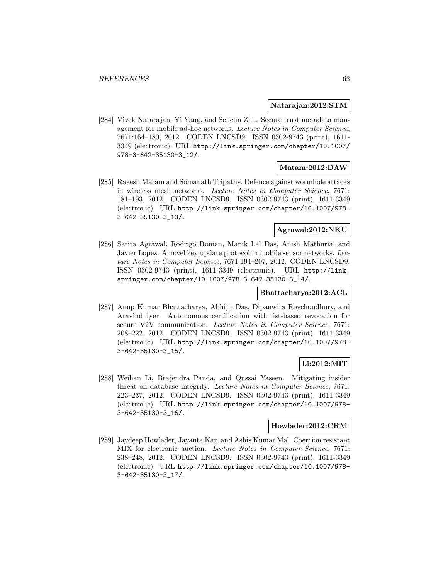#### **Natarajan:2012:STM**

[284] Vivek Natarajan, Yi Yang, and Sencun Zhu. Secure trust metadata management for mobile ad-hoc networks. Lecture Notes in Computer Science, 7671:164–180, 2012. CODEN LNCSD9. ISSN 0302-9743 (print), 1611- 3349 (electronic). URL http://link.springer.com/chapter/10.1007/ 978-3-642-35130-3\_12/.

### **Matam:2012:DAW**

[285] Rakesh Matam and Somanath Tripathy. Defence against wormhole attacks in wireless mesh networks. Lecture Notes in Computer Science, 7671: 181–193, 2012. CODEN LNCSD9. ISSN 0302-9743 (print), 1611-3349 (electronic). URL http://link.springer.com/chapter/10.1007/978- 3-642-35130-3\_13/.

# **Agrawal:2012:NKU**

[286] Sarita Agrawal, Rodrigo Roman, Manik Lal Das, Anish Mathuria, and Javier Lopez. A novel key update protocol in mobile sensor networks. Lecture Notes in Computer Science, 7671:194–207, 2012. CODEN LNCSD9. ISSN 0302-9743 (print), 1611-3349 (electronic). URL http://link. springer.com/chapter/10.1007/978-3-642-35130-3\_14/.

# **Bhattacharya:2012:ACL**

[287] Anup Kumar Bhattacharya, Abhijit Das, Dipanwita Roychoudhury, and Aravind Iyer. Autonomous certification with list-based revocation for secure V2V communication. Lecture Notes in Computer Science, 7671: 208–222, 2012. CODEN LNCSD9. ISSN 0302-9743 (print), 1611-3349 (electronic). URL http://link.springer.com/chapter/10.1007/978- 3-642-35130-3\_15/.

### **Li:2012:MIT**

[288] Weihan Li, Brajendra Panda, and Qussai Yaseen. Mitigating insider threat on database integrity. Lecture Notes in Computer Science, 7671: 223–237, 2012. CODEN LNCSD9. ISSN 0302-9743 (print), 1611-3349 (electronic). URL http://link.springer.com/chapter/10.1007/978- 3-642-35130-3\_16/.

### **Howlader:2012:CRM**

[289] Jaydeep Howlader, Jayanta Kar, and Ashis Kumar Mal. Coercion resistant MIX for electronic auction. Lecture Notes in Computer Science, 7671: 238–248, 2012. CODEN LNCSD9. ISSN 0302-9743 (print), 1611-3349 (electronic). URL http://link.springer.com/chapter/10.1007/978- 3-642-35130-3\_17/.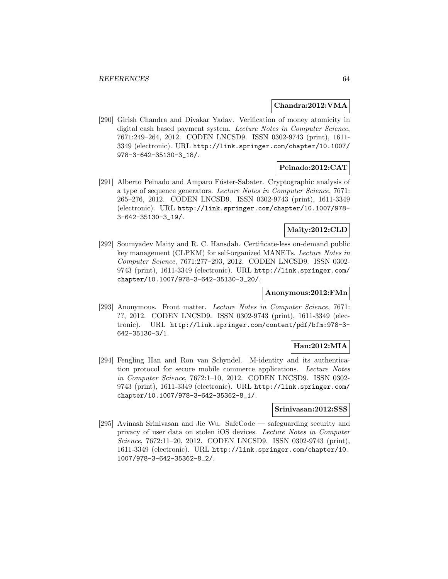#### **Chandra:2012:VMA**

[290] Girish Chandra and Divakar Yadav. Verification of money atomicity in digital cash based payment system. Lecture Notes in Computer Science, 7671:249–264, 2012. CODEN LNCSD9. ISSN 0302-9743 (print), 1611- 3349 (electronic). URL http://link.springer.com/chapter/10.1007/ 978-3-642-35130-3\_18/.

### **Peinado:2012:CAT**

[291] Alberto Peinado and Amparo Fúster-Sabater. Cryptographic analysis of a type of sequence generators. Lecture Notes in Computer Science, 7671: 265–276, 2012. CODEN LNCSD9. ISSN 0302-9743 (print), 1611-3349 (electronic). URL http://link.springer.com/chapter/10.1007/978- 3-642-35130-3\_19/.

# **Maity:2012:CLD**

[292] Soumyadev Maity and R. C. Hansdah. Certificate-less on-demand public key management (CLPKM) for self-organized MANETs. Lecture Notes in Computer Science, 7671:277–293, 2012. CODEN LNCSD9. ISSN 0302- 9743 (print), 1611-3349 (electronic). URL http://link.springer.com/ chapter/10.1007/978-3-642-35130-3\_20/.

### **Anonymous:2012:FMn**

[293] Anonymous. Front matter. Lecture Notes in Computer Science, 7671: ??, 2012. CODEN LNCSD9. ISSN 0302-9743 (print), 1611-3349 (electronic). URL http://link.springer.com/content/pdf/bfm:978-3- 642-35130-3/1.

### **Han:2012:MIA**

[294] Fengling Han and Ron van Schyndel. M-identity and its authentication protocol for secure mobile commerce applications. Lecture Notes in Computer Science, 7672:1–10, 2012. CODEN LNCSD9. ISSN 0302- 9743 (print), 1611-3349 (electronic). URL http://link.springer.com/ chapter/10.1007/978-3-642-35362-8\_1/.

#### **Srinivasan:2012:SSS**

[295] Avinash Srinivasan and Jie Wu. SafeCode — safeguarding security and privacy of user data on stolen iOS devices. Lecture Notes in Computer Science, 7672:11–20, 2012. CODEN LNCSD9. ISSN 0302-9743 (print), 1611-3349 (electronic). URL http://link.springer.com/chapter/10. 1007/978-3-642-35362-8\_2/.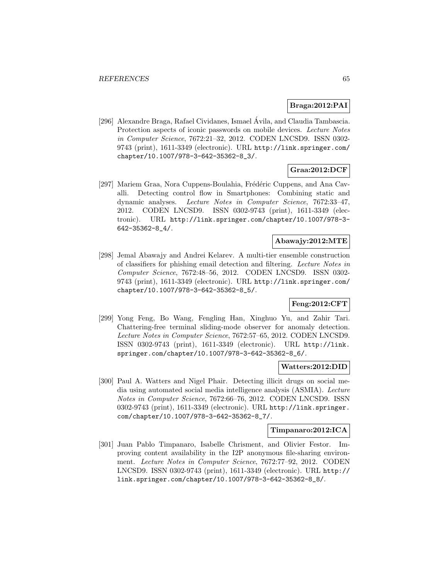#### **Braga:2012:PAI**

[296] Alexandre Braga, Rafael Cividanes, Ismael Avila, and Claudia Tambascia. ´ Protection aspects of iconic passwords on mobile devices. Lecture Notes in Computer Science, 7672:21–32, 2012. CODEN LNCSD9. ISSN 0302- 9743 (print), 1611-3349 (electronic). URL http://link.springer.com/ chapter/10.1007/978-3-642-35362-8\_3/.

# **Graa:2012:DCF**

[297] Mariem Graa, Nora Cuppens-Boulahia, Frédéric Cuppens, and Ana Cavalli. Detecting control flow in Smartphones: Combining static and dynamic analyses. Lecture Notes in Computer Science, 7672:33–47, 2012. CODEN LNCSD9. ISSN 0302-9743 (print), 1611-3349 (electronic). URL http://link.springer.com/chapter/10.1007/978-3- 642-35362-8\_4/.

# **Abawajy:2012:MTE**

[298] Jemal Abawajy and Andrei Kelarev. A multi-tier ensemble construction of classifiers for phishing email detection and filtering. Lecture Notes in Computer Science, 7672:48–56, 2012. CODEN LNCSD9. ISSN 0302- 9743 (print), 1611-3349 (electronic). URL http://link.springer.com/ chapter/10.1007/978-3-642-35362-8\_5/.

# **Feng:2012:CFT**

[299] Yong Feng, Bo Wang, Fengling Han, Xinghuo Yu, and Zahir Tari. Chattering-free terminal sliding-mode observer for anomaly detection. Lecture Notes in Computer Science, 7672:57–65, 2012. CODEN LNCSD9. ISSN 0302-9743 (print), 1611-3349 (electronic). URL http://link. springer.com/chapter/10.1007/978-3-642-35362-8\_6/.

#### **Watters:2012:DID**

[300] Paul A. Watters and Nigel Phair. Detecting illicit drugs on social media using automated social media intelligence analysis (ASMIA). Lecture Notes in Computer Science, 7672:66–76, 2012. CODEN LNCSD9. ISSN 0302-9743 (print), 1611-3349 (electronic). URL http://link.springer. com/chapter/10.1007/978-3-642-35362-8\_7/.

#### **Timpanaro:2012:ICA**

[301] Juan Pablo Timpanaro, Isabelle Chrisment, and Olivier Festor. Improving content availability in the I2P anonymous file-sharing environment. Lecture Notes in Computer Science, 7672:77–92, 2012. CODEN LNCSD9. ISSN 0302-9743 (print), 1611-3349 (electronic). URL http:// link.springer.com/chapter/10.1007/978-3-642-35362-8\_8/.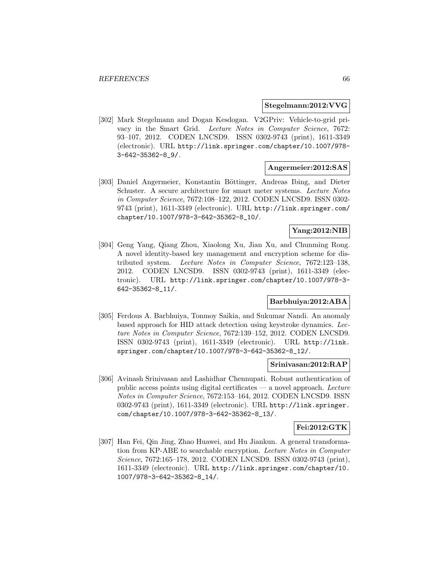#### **Stegelmann:2012:VVG**

[302] Mark Stegelmann and Dogan Kesdogan. V2GPriv: Vehicle-to-grid privacy in the Smart Grid. Lecture Notes in Computer Science, 7672: 93–107, 2012. CODEN LNCSD9. ISSN 0302-9743 (print), 1611-3349 (electronic). URL http://link.springer.com/chapter/10.1007/978- 3-642-35362-8\_9/.

#### **Angermeier:2012:SAS**

[303] Daniel Angermeier, Konstantin Böttinger, Andreas Ibing, and Dieter Schuster. A secure architecture for smart meter systems. Lecture Notes in Computer Science, 7672:108–122, 2012. CODEN LNCSD9. ISSN 0302- 9743 (print), 1611-3349 (electronic). URL http://link.springer.com/ chapter/10.1007/978-3-642-35362-8\_10/.

### **Yang:2012:NIB**

[304] Geng Yang, Qiang Zhou, Xiaolong Xu, Jian Xu, and Chunming Rong. A novel identity-based key management and encryption scheme for distributed system. Lecture Notes in Computer Science, 7672:123–138, 2012. CODEN LNCSD9. ISSN 0302-9743 (print), 1611-3349 (electronic). URL http://link.springer.com/chapter/10.1007/978-3- 642-35362-8\_11/.

# **Barbhuiya:2012:ABA**

[305] Ferdous A. Barbhuiya, Tonmoy Saikia, and Sukumar Nandi. An anomaly based approach for HID attack detection using keystroke dynamics. Lecture Notes in Computer Science, 7672:139–152, 2012. CODEN LNCSD9. ISSN 0302-9743 (print), 1611-3349 (electronic). URL http://link. springer.com/chapter/10.1007/978-3-642-35362-8\_12/.

### **Srinivasan:2012:RAP**

[306] Avinash Srinivasan and Lashidhar Chennupati. Robust authentication of public access points using digital certificates — a novel approach. Lecture Notes in Computer Science, 7672:153–164, 2012. CODEN LNCSD9. ISSN 0302-9743 (print), 1611-3349 (electronic). URL http://link.springer. com/chapter/10.1007/978-3-642-35362-8\_13/.

#### **Fei:2012:GTK**

[307] Han Fei, Qin Jing, Zhao Huawei, and Hu Jiankun. A general transformation from KP-ABE to searchable encryption. Lecture Notes in Computer Science, 7672:165–178, 2012. CODEN LNCSD9. ISSN 0302-9743 (print), 1611-3349 (electronic). URL http://link.springer.com/chapter/10. 1007/978-3-642-35362-8\_14/.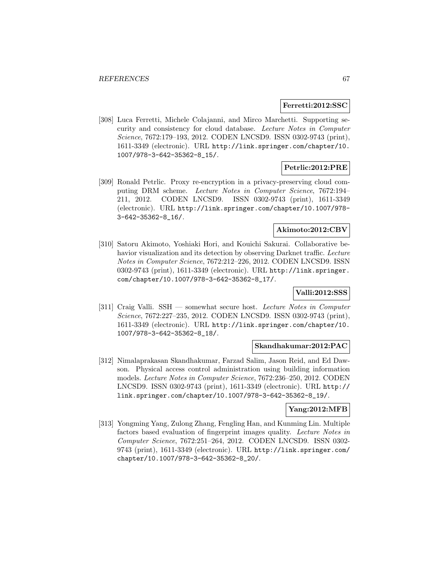#### **Ferretti:2012:SSC**

[308] Luca Ferretti, Michele Colajanni, and Mirco Marchetti. Supporting security and consistency for cloud database. Lecture Notes in Computer Science, 7672:179–193, 2012. CODEN LNCSD9. ISSN 0302-9743 (print), 1611-3349 (electronic). URL http://link.springer.com/chapter/10. 1007/978-3-642-35362-8\_15/.

### **Petrlic:2012:PRE**

[309] Ronald Petrlic. Proxy re-encryption in a privacy-preserving cloud computing DRM scheme. Lecture Notes in Computer Science, 7672:194– 211, 2012. CODEN LNCSD9. ISSN 0302-9743 (print), 1611-3349 (electronic). URL http://link.springer.com/chapter/10.1007/978- 3-642-35362-8\_16/.

# **Akimoto:2012:CBV**

[310] Satoru Akimoto, Yoshiaki Hori, and Kouichi Sakurai. Collaborative behavior visualization and its detection by observing Darknet traffic. Lecture Notes in Computer Science, 7672:212–226, 2012. CODEN LNCSD9. ISSN 0302-9743 (print), 1611-3349 (electronic). URL http://link.springer. com/chapter/10.1007/978-3-642-35362-8\_17/.

# **Valli:2012:SSS**

[311] Craig Valli. SSH — somewhat secure host. Lecture Notes in Computer Science, 7672:227–235, 2012. CODEN LNCSD9. ISSN 0302-9743 (print), 1611-3349 (electronic). URL http://link.springer.com/chapter/10. 1007/978-3-642-35362-8\_18/.

#### **Skandhakumar:2012:PAC**

[312] Nimalaprakasan Skandhakumar, Farzad Salim, Jason Reid, and Ed Dawson. Physical access control administration using building information models. Lecture Notes in Computer Science, 7672:236–250, 2012. CODEN LNCSD9. ISSN 0302-9743 (print), 1611-3349 (electronic). URL http:// link.springer.com/chapter/10.1007/978-3-642-35362-8\_19/.

# **Yang:2012:MFB**

[313] Yongming Yang, Zulong Zhang, Fengling Han, and Kunming Lin. Multiple factors based evaluation of fingerprint images quality. Lecture Notes in Computer Science, 7672:251–264, 2012. CODEN LNCSD9. ISSN 0302- 9743 (print), 1611-3349 (electronic). URL http://link.springer.com/ chapter/10.1007/978-3-642-35362-8\_20/.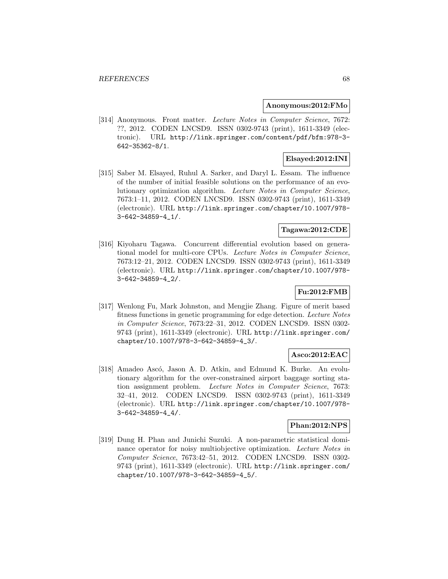#### **Anonymous:2012:FMo**

[314] Anonymous. Front matter. Lecture Notes in Computer Science, 7672: ??, 2012. CODEN LNCSD9. ISSN 0302-9743 (print), 1611-3349 (electronic). URL http://link.springer.com/content/pdf/bfm:978-3- 642-35362-8/1.

### **Elsayed:2012:INI**

[315] Saber M. Elsayed, Ruhul A. Sarker, and Daryl L. Essam. The influence of the number of initial feasible solutions on the performance of an evolutionary optimization algorithm. Lecture Notes in Computer Science, 7673:1–11, 2012. CODEN LNCSD9. ISSN 0302-9743 (print), 1611-3349 (electronic). URL http://link.springer.com/chapter/10.1007/978- 3-642-34859-4\_1/.

# **Tagawa:2012:CDE**

[316] Kiyoharu Tagawa. Concurrent differential evolution based on generational model for multi-core CPUs. Lecture Notes in Computer Science, 7673:12–21, 2012. CODEN LNCSD9. ISSN 0302-9743 (print), 1611-3349 (electronic). URL http://link.springer.com/chapter/10.1007/978- 3-642-34859-4\_2/.

# **Fu:2012:FMB**

[317] Wenlong Fu, Mark Johnston, and Mengjie Zhang. Figure of merit based fitness functions in genetic programming for edge detection. Lecture Notes in Computer Science, 7673:22–31, 2012. CODEN LNCSD9. ISSN 0302- 9743 (print), 1611-3349 (electronic). URL http://link.springer.com/ chapter/10.1007/978-3-642-34859-4\_3/.

### **Asco:2012:EAC**

[318] Amadeo Ascó, Jason A. D. Atkin, and Edmund K. Burke. An evolutionary algorithm for the over-constrained airport baggage sorting station assignment problem. Lecture Notes in Computer Science, 7673: 32–41, 2012. CODEN LNCSD9. ISSN 0302-9743 (print), 1611-3349 (electronic). URL http://link.springer.com/chapter/10.1007/978- 3-642-34859-4\_4/.

# **Phan:2012:NPS**

[319] Dung H. Phan and Junichi Suzuki. A non-parametric statistical dominance operator for noisy multiobjective optimization. Lecture Notes in Computer Science, 7673:42–51, 2012. CODEN LNCSD9. ISSN 0302- 9743 (print), 1611-3349 (electronic). URL http://link.springer.com/ chapter/10.1007/978-3-642-34859-4\_5/.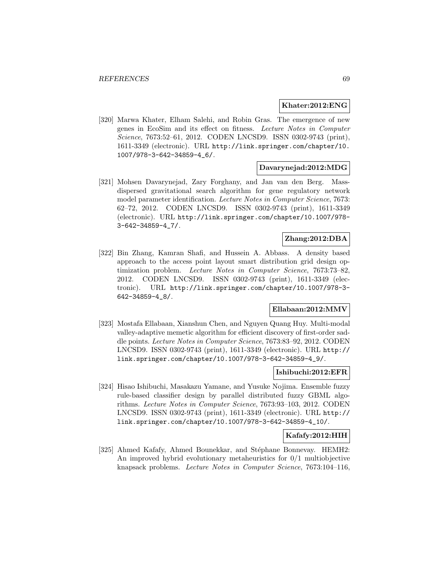#### **Khater:2012:ENG**

[320] Marwa Khater, Elham Salehi, and Robin Gras. The emergence of new genes in EcoSim and its effect on fitness. Lecture Notes in Computer Science, 7673:52–61, 2012. CODEN LNCSD9. ISSN 0302-9743 (print), 1611-3349 (electronic). URL http://link.springer.com/chapter/10. 1007/978-3-642-34859-4\_6/.

### **Davarynejad:2012:MDG**

[321] Mohsen Davarynejad, Zary Forghany, and Jan van den Berg. Massdispersed gravitational search algorithm for gene regulatory network model parameter identification. Lecture Notes in Computer Science, 7673: 62–72, 2012. CODEN LNCSD9. ISSN 0302-9743 (print), 1611-3349 (electronic). URL http://link.springer.com/chapter/10.1007/978- 3-642-34859-4\_7/.

### **Zhang:2012:DBA**

[322] Bin Zhang, Kamran Shafi, and Hussein A. Abbass. A density based approach to the access point layout smart distribution grid design optimization problem. Lecture Notes in Computer Science, 7673:73-82, 2012. CODEN LNCSD9. ISSN 0302-9743 (print), 1611-3349 (electronic). URL http://link.springer.com/chapter/10.1007/978-3- 642-34859-4\_8/.

#### **Ellabaan:2012:MMV**

[323] Mostafa Ellabaan, Xianshun Chen, and Nguyen Quang Huy. Multi-modal valley-adaptive memetic algorithm for efficient discovery of first-order saddle points. Lecture Notes in Computer Science, 7673:83–92, 2012. CODEN LNCSD9. ISSN 0302-9743 (print), 1611-3349 (electronic). URL http:// link.springer.com/chapter/10.1007/978-3-642-34859-4\_9/.

# **Ishibuchi:2012:EFR**

[324] Hisao Ishibuchi, Masakazu Yamane, and Yusuke Nojima. Ensemble fuzzy rule-based classifier design by parallel distributed fuzzy GBML algorithms. Lecture Notes in Computer Science, 7673:93–103, 2012. CODEN LNCSD9. ISSN 0302-9743 (print), 1611-3349 (electronic). URL http:// link.springer.com/chapter/10.1007/978-3-642-34859-4\_10/.

### **Kafafy:2012:HIH**

[325] Ahmed Kafafy, Ahmed Bounekkar, and Stéphane Bonnevay. HEMH2: An improved hybrid evolutionary metaheuristics for 0/1 multiobjective knapsack problems. Lecture Notes in Computer Science, 7673:104–116,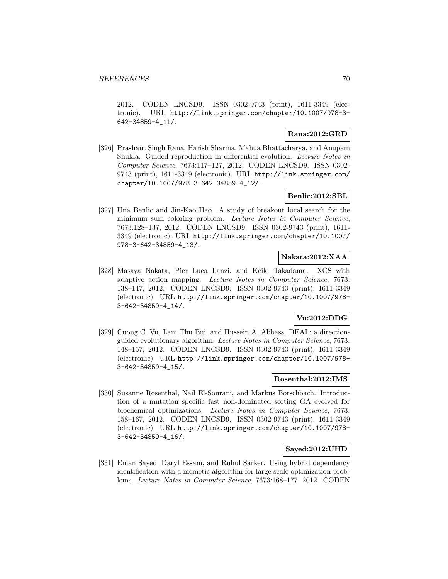2012. CODEN LNCSD9. ISSN 0302-9743 (print), 1611-3349 (electronic). URL http://link.springer.com/chapter/10.1007/978-3- 642-34859-4\_11/.

### **Rana:2012:GRD**

[326] Prashant Singh Rana, Harish Sharma, Mahua Bhattacharya, and Anupam Shukla. Guided reproduction in differential evolution. Lecture Notes in Computer Science, 7673:117–127, 2012. CODEN LNCSD9. ISSN 0302- 9743 (print), 1611-3349 (electronic). URL http://link.springer.com/ chapter/10.1007/978-3-642-34859-4\_12/.

# **Benlic:2012:SBL**

[327] Una Benlic and Jin-Kao Hao. A study of breakout local search for the minimum sum coloring problem. Lecture Notes in Computer Science, 7673:128–137, 2012. CODEN LNCSD9. ISSN 0302-9743 (print), 1611- 3349 (electronic). URL http://link.springer.com/chapter/10.1007/ 978-3-642-34859-4\_13/.

# **Nakata:2012:XAA**

[328] Masaya Nakata, Pier Luca Lanzi, and Keiki Takadama. XCS with adaptive action mapping. Lecture Notes in Computer Science, 7673: 138–147, 2012. CODEN LNCSD9. ISSN 0302-9743 (print), 1611-3349 (electronic). URL http://link.springer.com/chapter/10.1007/978- 3-642-34859-4\_14/.

# **Vu:2012:DDG**

[329] Cuong C. Vu, Lam Thu Bui, and Hussein A. Abbass. DEAL: a directionguided evolutionary algorithm. Lecture Notes in Computer Science, 7673: 148–157, 2012. CODEN LNCSD9. ISSN 0302-9743 (print), 1611-3349 (electronic). URL http://link.springer.com/chapter/10.1007/978- 3-642-34859-4\_15/.

### **Rosenthal:2012:IMS**

[330] Susanne Rosenthal, Nail El-Sourani, and Markus Borschbach. Introduction of a mutation specific fast non-dominated sorting GA evolved for biochemical optimizations. Lecture Notes in Computer Science, 7673: 158–167, 2012. CODEN LNCSD9. ISSN 0302-9743 (print), 1611-3349 (electronic). URL http://link.springer.com/chapter/10.1007/978- 3-642-34859-4\_16/.

### **Sayed:2012:UHD**

[331] Eman Sayed, Daryl Essam, and Ruhul Sarker. Using hybrid dependency identification with a memetic algorithm for large scale optimization problems. Lecture Notes in Computer Science, 7673:168–177, 2012. CODEN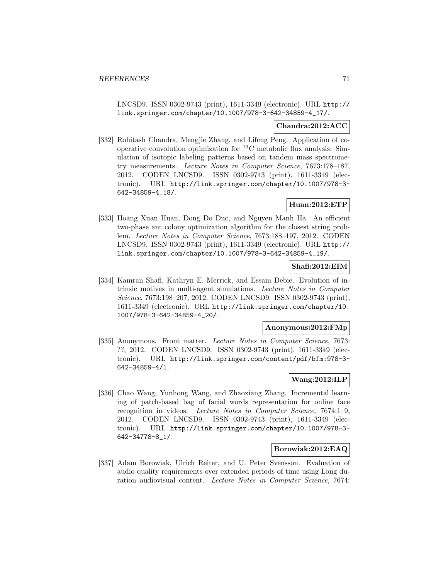LNCSD9. ISSN 0302-9743 (print), 1611-3349 (electronic). URL http:// link.springer.com/chapter/10.1007/978-3-642-34859-4\_17/.

### **Chandra:2012:ACC**

[332] Rohitash Chandra, Mengjie Zhang, and Lifeng Peng. Application of cooperative convolution optimization for  ${}^{13}$ C metabolic flux analysis: Simulation of isotopic labeling patterns based on tandem mass spectrometry measurements. Lecture Notes in Computer Science, 7673:178–187, 2012. CODEN LNCSD9. ISSN 0302-9743 (print), 1611-3349 (electronic). URL http://link.springer.com/chapter/10.1007/978-3- 642-34859-4\_18/.

# **Huan:2012:ETP**

[333] Hoang Xuan Huan, Dong Do Duc, and Nguyen Manh Ha. An efficient two-phase ant colony optimization algorithm for the closest string problem. Lecture Notes in Computer Science, 7673:188–197, 2012. CODEN LNCSD9. ISSN 0302-9743 (print), 1611-3349 (electronic). URL http:// link.springer.com/chapter/10.1007/978-3-642-34859-4\_19/.

### **Shafi:2012:EIM**

[334] Kamran Shafi, Kathryn E. Merrick, and Essam Debie. Evolution of intrinsic motives in multi-agent simulations. Lecture Notes in Computer Science, 7673:198–207, 2012. CODEN LNCSD9. ISSN 0302-9743 (print), 1611-3349 (electronic). URL http://link.springer.com/chapter/10. 1007/978-3-642-34859-4\_20/.

#### **Anonymous:2012:FMp**

[335] Anonymous. Front matter. Lecture Notes in Computer Science, 7673: ??, 2012. CODEN LNCSD9. ISSN 0302-9743 (print), 1611-3349 (electronic). URL http://link.springer.com/content/pdf/bfm:978-3- 642-34859-4/1.

#### **Wang:2012:ILP**

[336] Chao Wang, Yunhong Wang, and Zhaoxiang Zhang. Incremental learning of patch-based bag of facial words representation for online face recognition in videos. Lecture Notes in Computer Science, 7674:1–9, 2012. CODEN LNCSD9. ISSN 0302-9743 (print), 1611-3349 (electronic). URL http://link.springer.com/chapter/10.1007/978-3- 642-34778-8\_1/.

# **Borowiak:2012:EAQ**

[337] Adam Borowiak, Ulrich Reiter, and U. Peter Svensson. Evaluation of audio quality requirements over extended periods of time using Long duration audiovisual content. Lecture Notes in Computer Science, 7674: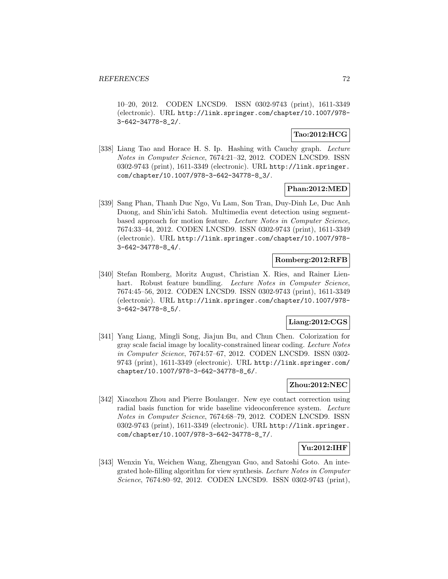10–20, 2012. CODEN LNCSD9. ISSN 0302-9743 (print), 1611-3349 (electronic). URL http://link.springer.com/chapter/10.1007/978- 3-642-34778-8\_2/.

### **Tao:2012:HCG**

[338] Liang Tao and Horace H. S. Ip. Hashing with Cauchy graph. Lecture Notes in Computer Science, 7674:21–32, 2012. CODEN LNCSD9. ISSN 0302-9743 (print), 1611-3349 (electronic). URL http://link.springer. com/chapter/10.1007/978-3-642-34778-8\_3/.

### **Phan:2012:MED**

[339] Sang Phan, Thanh Duc Ngo, Vu Lam, Son Tran, Duy-Dinh Le, Duc Anh Duong, and Shin'ichi Satoh. Multimedia event detection using segmentbased approach for motion feature. Lecture Notes in Computer Science, 7674:33–44, 2012. CODEN LNCSD9. ISSN 0302-9743 (print), 1611-3349 (electronic). URL http://link.springer.com/chapter/10.1007/978- 3-642-34778-8\_4/.

### **Romberg:2012:RFB**

[340] Stefan Romberg, Moritz August, Christian X. Ries, and Rainer Lienhart. Robust feature bundling. Lecture Notes in Computer Science, 7674:45–56, 2012. CODEN LNCSD9. ISSN 0302-9743 (print), 1611-3349 (electronic). URL http://link.springer.com/chapter/10.1007/978- 3-642-34778-8\_5/.

### **Liang:2012:CGS**

[341] Yang Liang, Mingli Song, Jiajun Bu, and Chun Chen. Colorization for gray scale facial image by locality-constrained linear coding. Lecture Notes in Computer Science, 7674:57–67, 2012. CODEN LNCSD9. ISSN 0302- 9743 (print), 1611-3349 (electronic). URL http://link.springer.com/ chapter/10.1007/978-3-642-34778-8\_6/.

# **Zhou:2012:NEC**

[342] Xiaozhou Zhou and Pierre Boulanger. New eye contact correction using radial basis function for wide baseline videoconference system. Lecture Notes in Computer Science, 7674:68–79, 2012. CODEN LNCSD9. ISSN 0302-9743 (print), 1611-3349 (electronic). URL http://link.springer. com/chapter/10.1007/978-3-642-34778-8\_7/.

### **Yu:2012:IHF**

[343] Wenxin Yu, Weichen Wang, Zhengyan Guo, and Satoshi Goto. An integrated hole-filling algorithm for view synthesis. Lecture Notes in Computer Science, 7674:80–92, 2012. CODEN LNCSD9. ISSN 0302-9743 (print),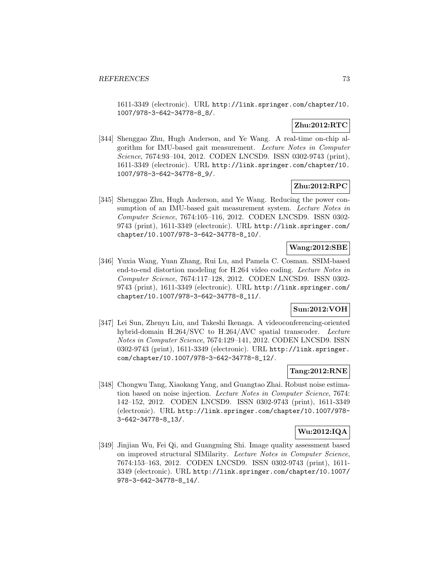1611-3349 (electronic). URL http://link.springer.com/chapter/10. 1007/978-3-642-34778-8\_8/.

# **Zhu:2012:RTC**

[344] Shenggao Zhu, Hugh Anderson, and Ye Wang. A real-time on-chip algorithm for IMU-based gait measurement. Lecture Notes in Computer Science, 7674:93–104, 2012. CODEN LNCSD9. ISSN 0302-9743 (print), 1611-3349 (electronic). URL http://link.springer.com/chapter/10. 1007/978-3-642-34778-8\_9/.

# **Zhu:2012:RPC**

[345] Shenggao Zhu, Hugh Anderson, and Ye Wang. Reducing the power consumption of an IMU-based gait measurement system. Lecture Notes in Computer Science, 7674:105–116, 2012. CODEN LNCSD9. ISSN 0302- 9743 (print), 1611-3349 (electronic). URL http://link.springer.com/ chapter/10.1007/978-3-642-34778-8\_10/.

# **Wang:2012:SBE**

[346] Yuxia Wang, Yuan Zhang, Rui Lu, and Pamela C. Cosman. SSIM-based end-to-end distortion modeling for H.264 video coding. Lecture Notes in Computer Science, 7674:117–128, 2012. CODEN LNCSD9. ISSN 0302- 9743 (print), 1611-3349 (electronic). URL http://link.springer.com/ chapter/10.1007/978-3-642-34778-8\_11/.

# **Sun:2012:VOH**

[347] Lei Sun, Zhenyu Liu, and Takeshi Ikenaga. A videoconferencing-oriented hybrid-domain H.264/SVC to H.264/AVC spatial transcoder. Lecture Notes in Computer Science, 7674:129–141, 2012. CODEN LNCSD9. ISSN 0302-9743 (print), 1611-3349 (electronic). URL http://link.springer. com/chapter/10.1007/978-3-642-34778-8\_12/.

#### **Tang:2012:RNE**

[348] Chongwu Tang, Xiaokang Yang, and Guangtao Zhai. Robust noise estimation based on noise injection. Lecture Notes in Computer Science, 7674: 142–152, 2012. CODEN LNCSD9. ISSN 0302-9743 (print), 1611-3349 (electronic). URL http://link.springer.com/chapter/10.1007/978- 3-642-34778-8\_13/.

# **Wu:2012:IQA**

[349] Jinjian Wu, Fei Qi, and Guangming Shi. Image quality assessment based on improved structural SIMilarity. Lecture Notes in Computer Science, 7674:153–163, 2012. CODEN LNCSD9. ISSN 0302-9743 (print), 1611- 3349 (electronic). URL http://link.springer.com/chapter/10.1007/ 978-3-642-34778-8\_14/.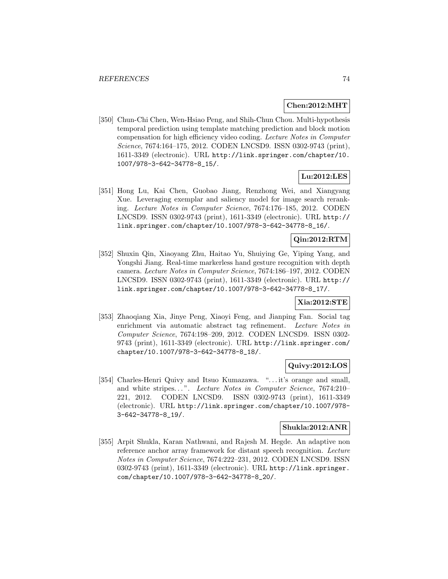#### **Chen:2012:MHT**

[350] Chun-Chi Chen, Wen-Hsiao Peng, and Shih-Chun Chou. Multi-hypothesis temporal prediction using template matching prediction and block motion compensation for high efficiency video coding. Lecture Notes in Computer Science, 7674:164–175, 2012. CODEN LNCSD9. ISSN 0302-9743 (print), 1611-3349 (electronic). URL http://link.springer.com/chapter/10. 1007/978-3-642-34778-8\_15/.

# **Lu:2012:LES**

[351] Hong Lu, Kai Chen, Guobao Jiang, Renzhong Wei, and Xiangyang Xue. Leveraging exemplar and saliency model for image search reranking. Lecture Notes in Computer Science, 7674:176–185, 2012. CODEN LNCSD9. ISSN 0302-9743 (print), 1611-3349 (electronic). URL http:// link.springer.com/chapter/10.1007/978-3-642-34778-8\_16/.

# **Qin:2012:RTM**

[352] Shuxin Qin, Xiaoyang Zhu, Haitao Yu, Shuiying Ge, Yiping Yang, and Yongshi Jiang. Real-time markerless hand gesture recognition with depth camera. Lecture Notes in Computer Science, 7674:186–197, 2012. CODEN LNCSD9. ISSN 0302-9743 (print), 1611-3349 (electronic). URL http:// link.springer.com/chapter/10.1007/978-3-642-34778-8\_17/.

### **Xia:2012:STE**

[353] Zhaoqiang Xia, Jinye Peng, Xiaoyi Feng, and Jianping Fan. Social tag enrichment via automatic abstract tag refinement. Lecture Notes in Computer Science, 7674:198–209, 2012. CODEN LNCSD9. ISSN 0302- 9743 (print), 1611-3349 (electronic). URL http://link.springer.com/ chapter/10.1007/978-3-642-34778-8\_18/.

# **Quivy:2012:LOS**

[354] Charles-Henri Quivy and Itsuo Kumazawa. "... it's orange and small, and white stripes...". Lecture Notes in Computer Science, 7674:210-221, 2012. CODEN LNCSD9. ISSN 0302-9743 (print), 1611-3349 (electronic). URL http://link.springer.com/chapter/10.1007/978- 3-642-34778-8\_19/.

#### **Shukla:2012:ANR**

[355] Arpit Shukla, Karan Nathwani, and Rajesh M. Hegde. An adaptive non reference anchor array framework for distant speech recognition. Lecture Notes in Computer Science, 7674:222–231, 2012. CODEN LNCSD9. ISSN 0302-9743 (print), 1611-3349 (electronic). URL http://link.springer. com/chapter/10.1007/978-3-642-34778-8\_20/.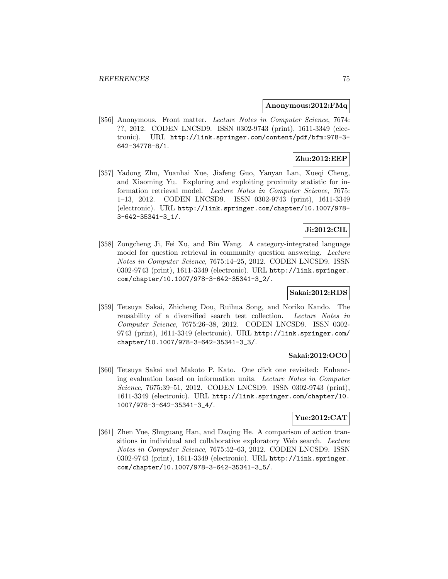#### **Anonymous:2012:FMq**

[356] Anonymous. Front matter. Lecture Notes in Computer Science, 7674: ??, 2012. CODEN LNCSD9. ISSN 0302-9743 (print), 1611-3349 (electronic). URL http://link.springer.com/content/pdf/bfm:978-3- 642-34778-8/1.

# **Zhu:2012:EEP**

[357] Yadong Zhu, Yuanhai Xue, Jiafeng Guo, Yanyan Lan, Xueqi Cheng, and Xiaoming Yu. Exploring and exploiting proximity statistic for information retrieval model. Lecture Notes in Computer Science, 7675: 1–13, 2012. CODEN LNCSD9. ISSN 0302-9743 (print), 1611-3349 (electronic). URL http://link.springer.com/chapter/10.1007/978- 3-642-35341-3\_1/.

# **Ji:2012:CIL**

[358] Zongcheng Ji, Fei Xu, and Bin Wang. A category-integrated language model for question retrieval in community question answering. Lecture Notes in Computer Science, 7675:14–25, 2012. CODEN LNCSD9. ISSN 0302-9743 (print), 1611-3349 (electronic). URL http://link.springer. com/chapter/10.1007/978-3-642-35341-3\_2/.

### **Sakai:2012:RDS**

[359] Tetsuya Sakai, Zhicheng Dou, Ruihua Song, and Noriko Kando. The reusability of a diversified search test collection. Lecture Notes in Computer Science, 7675:26–38, 2012. CODEN LNCSD9. ISSN 0302- 9743 (print), 1611-3349 (electronic). URL http://link.springer.com/ chapter/10.1007/978-3-642-35341-3\_3/.

#### **Sakai:2012:OCO**

[360] Tetsuya Sakai and Makoto P. Kato. One click one revisited: Enhancing evaluation based on information units. Lecture Notes in Computer Science, 7675:39–51, 2012. CODEN LNCSD9. ISSN 0302-9743 (print), 1611-3349 (electronic). URL http://link.springer.com/chapter/10. 1007/978-3-642-35341-3\_4/.

# **Yue:2012:CAT**

[361] Zhen Yue, Shuguang Han, and Daqing He. A comparison of action transitions in individual and collaborative exploratory Web search. Lecture Notes in Computer Science, 7675:52–63, 2012. CODEN LNCSD9. ISSN 0302-9743 (print), 1611-3349 (electronic). URL http://link.springer. com/chapter/10.1007/978-3-642-35341-3\_5/.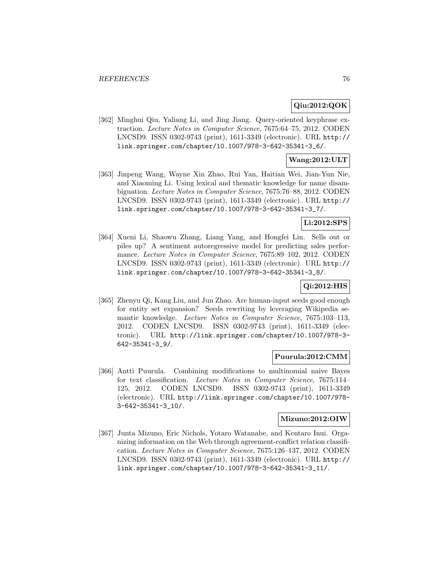### **Qiu:2012:QOK**

[362] Minghui Qiu, Yaliang Li, and Jing Jiang. Query-oriented keyphrase extraction. Lecture Notes in Computer Science, 7675:64–75, 2012. CODEN LNCSD9. ISSN 0302-9743 (print), 1611-3349 (electronic). URL http:// link.springer.com/chapter/10.1007/978-3-642-35341-3\_6/.

### **Wang:2012:ULT**

[363] Jinpeng Wang, Wayne Xin Zhao, Rui Yan, Haitian Wei, Jian-Yun Nie, and Xiaoming Li. Using lexical and thematic knowledge for name disambiguation. Lecture Notes in Computer Science, 7675:76–88, 2012. CODEN LNCSD9. ISSN 0302-9743 (print), 1611-3349 (electronic). URL http:// link.springer.com/chapter/10.1007/978-3-642-35341-3\_7/.

### **Li:2012:SPS**

[364] Xueni Li, Shaowu Zhang, Liang Yang, and Hongfei Lin. Sells out or piles up? A sentiment autoregressive model for predicting sales performance. Lecture Notes in Computer Science, 7675:89–102, 2012. CODEN LNCSD9. ISSN 0302-9743 (print), 1611-3349 (electronic). URL http:// link.springer.com/chapter/10.1007/978-3-642-35341-3\_8/.

# **Qi:2012:HIS**

[365] Zhenyu Qi, Kang Liu, and Jun Zhao. Are human-input seeds good enough for entity set expansion? Seeds rewriting by leveraging Wikipedia semantic knowledge. Lecture Notes in Computer Science, 7675:103–113, 2012. CODEN LNCSD9. ISSN 0302-9743 (print), 1611-3349 (electronic). URL http://link.springer.com/chapter/10.1007/978-3- 642-35341-3\_9/.

#### **Puurula:2012:CMM**

[366] Antti Puurula. Combining modifications to multinomial naive Bayes for text classification. Lecture Notes in Computer Science, 7675:114– 125, 2012. CODEN LNCSD9. ISSN 0302-9743 (print), 1611-3349 (electronic). URL http://link.springer.com/chapter/10.1007/978- 3-642-35341-3\_10/.

#### **Mizuno:2012:OIW**

[367] Junta Mizuno, Eric Nichols, Yotaro Watanabe, and Kentaro Inui. Organizing information on the Web through agreement-conflict relation classification. Lecture Notes in Computer Science, 7675:126–137, 2012. CODEN LNCSD9. ISSN 0302-9743 (print), 1611-3349 (electronic). URL http:// link.springer.com/chapter/10.1007/978-3-642-35341-3\_11/.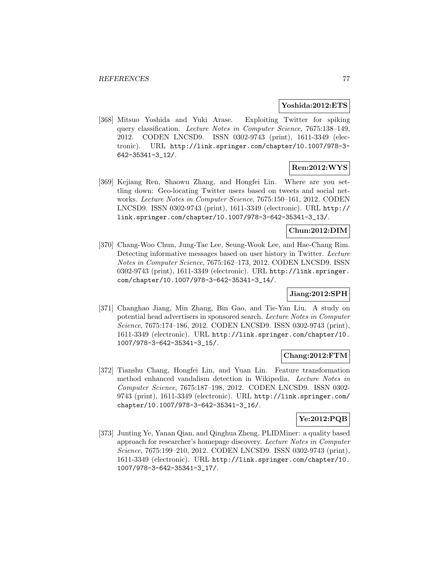#### **Yoshida:2012:ETS**

[368] Mitsuo Yoshida and Yuki Arase. Exploiting Twitter for spiking query classification. Lecture Notes in Computer Science, 7675:138–149, 2012. CODEN LNCSD9. ISSN 0302-9743 (print), 1611-3349 (electronic). URL http://link.springer.com/chapter/10.1007/978-3- 642-35341-3\_12/.

# **Ren:2012:WYS**

[369] Kejiang Ren, Shaowu Zhang, and Hongfei Lin. Where are you settling down: Geo-locating Twitter users based on tweets and social networks. Lecture Notes in Computer Science, 7675:150–161, 2012. CODEN LNCSD9. ISSN 0302-9743 (print), 1611-3349 (electronic). URL http:// link.springer.com/chapter/10.1007/978-3-642-35341-3\_13/.

#### **Chun:2012:DIM**

[370] Chang-Woo Chun, Jung-Tae Lee, Seung-Wook Lee, and Hae-Chang Rim. Detecting informative messages based on user history in Twitter. Lecture Notes in Computer Science, 7675:162–173, 2012. CODEN LNCSD9. ISSN 0302-9743 (print), 1611-3349 (electronic). URL http://link.springer. com/chapter/10.1007/978-3-642-35341-3\_14/.

#### **Jiang:2012:SPH**

[371] Changhao Jiang, Min Zhang, Bin Gao, and Tie-Yan Liu. A study on potential head advertisers in sponsored search. Lecture Notes in Computer Science, 7675:174–186, 2012. CODEN LNCSD9. ISSN 0302-9743 (print), 1611-3349 (electronic). URL http://link.springer.com/chapter/10. 1007/978-3-642-35341-3\_15/.

# **Chang:2012:FTM**

[372] Tianshu Chang, Hongfei Lin, and Yuan Lin. Feature transformation method enhanced vandalism detection in Wikipedia. Lecture Notes in Computer Science, 7675:187–198, 2012. CODEN LNCSD9. ISSN 0302- 9743 (print), 1611-3349 (electronic). URL http://link.springer.com/ chapter/10.1007/978-3-642-35341-3\_16/.

# **Ye:2012:PQB**

[373] Junting Ye, Yanan Qian, and Qinghua Zheng. PLIDMiner: a quality based approach for researcher's homepage discovery. Lecture Notes in Computer Science, 7675:199–210, 2012. CODEN LNCSD9. ISSN 0302-9743 (print), 1611-3349 (electronic). URL http://link.springer.com/chapter/10. 1007/978-3-642-35341-3\_17/.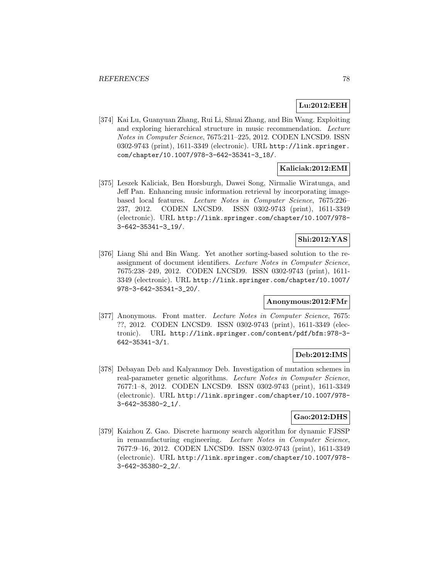# **Lu:2012:EEH**

[374] Kai Lu, Guanyuan Zhang, Rui Li, Shuai Zhang, and Bin Wang. Exploiting and exploring hierarchical structure in music recommendation. Lecture Notes in Computer Science, 7675:211–225, 2012. CODEN LNCSD9. ISSN 0302-9743 (print), 1611-3349 (electronic). URL http://link.springer. com/chapter/10.1007/978-3-642-35341-3\_18/.

# **Kaliciak:2012:EMI**

[375] Leszek Kaliciak, Ben Horsburgh, Dawei Song, Nirmalie Wiratunga, and Jeff Pan. Enhancing music information retrieval by incorporating imagebased local features. Lecture Notes in Computer Science, 7675:226– 237, 2012. CODEN LNCSD9. ISSN 0302-9743 (print), 1611-3349 (electronic). URL http://link.springer.com/chapter/10.1007/978- 3-642-35341-3\_19/.

# **Shi:2012:YAS**

[376] Liang Shi and Bin Wang. Yet another sorting-based solution to the reassignment of document identifiers. Lecture Notes in Computer Science, 7675:238–249, 2012. CODEN LNCSD9. ISSN 0302-9743 (print), 1611- 3349 (electronic). URL http://link.springer.com/chapter/10.1007/ 978-3-642-35341-3\_20/.

# **Anonymous:2012:FMr**

[377] Anonymous. Front matter. Lecture Notes in Computer Science, 7675: ??, 2012. CODEN LNCSD9. ISSN 0302-9743 (print), 1611-3349 (electronic). URL http://link.springer.com/content/pdf/bfm:978-3- 642-35341-3/1.

#### **Deb:2012:IMS**

[378] Debayan Deb and Kalyanmoy Deb. Investigation of mutation schemes in real-parameter genetic algorithms. Lecture Notes in Computer Science, 7677:1–8, 2012. CODEN LNCSD9. ISSN 0302-9743 (print), 1611-3349 (electronic). URL http://link.springer.com/chapter/10.1007/978- 3-642-35380-2\_1/.

### **Gao:2012:DHS**

[379] Kaizhou Z. Gao. Discrete harmony search algorithm for dynamic FJSSP in remanufacturing engineering. Lecture Notes in Computer Science, 7677:9–16, 2012. CODEN LNCSD9. ISSN 0302-9743 (print), 1611-3349 (electronic). URL http://link.springer.com/chapter/10.1007/978- 3-642-35380-2\_2/.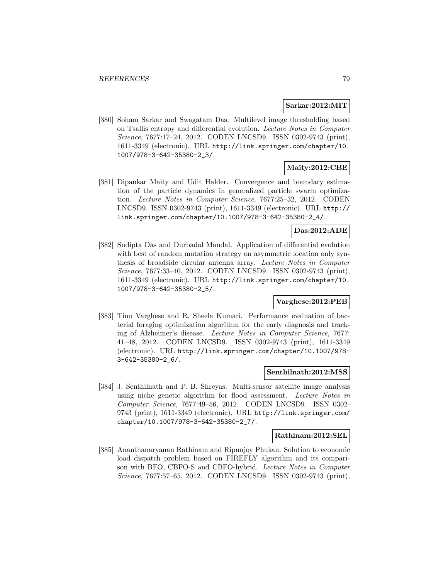#### **Sarkar:2012:MIT**

[380] Soham Sarkar and Swagatam Das. Multilevel image thresholding based on Tsallis entropy and differential evolution. Lecture Notes in Computer Science, 7677:17–24, 2012. CODEN LNCSD9. ISSN 0302-9743 (print), 1611-3349 (electronic). URL http://link.springer.com/chapter/10. 1007/978-3-642-35380-2\_3/.

# **Maity:2012:CBE**

[381] Dipankar Maity and Udit Halder. Convergence and boundary estimation of the particle dynamics in generalized particle swarm optimization. Lecture Notes in Computer Science, 7677:25–32, 2012. CODEN LNCSD9. ISSN 0302-9743 (print), 1611-3349 (electronic). URL http:// link.springer.com/chapter/10.1007/978-3-642-35380-2\_4/.

#### **Das:2012:ADE**

[382] Sudipta Das and Durbadal Mandal. Application of differential evolution with best of random mutation strategy on asymmetric location only synthesis of broadside circular antenna array. Lecture Notes in Computer Science, 7677:33–40, 2012. CODEN LNCSD9. ISSN 0302-9743 (print), 1611-3349 (electronic). URL http://link.springer.com/chapter/10. 1007/978-3-642-35380-2\_5/.

# **Varghese:2012:PEB**

[383] Tinu Varghese and R. Sheela Kumari. Performance evaluation of bacterial foraging optimization algorithm for the early diagnosis and tracking of Alzheimer's disease. Lecture Notes in Computer Science, 7677: 41–48, 2012. CODEN LNCSD9. ISSN 0302-9743 (print), 1611-3349 (electronic). URL http://link.springer.com/chapter/10.1007/978- 3-642-35380-2\_6/.

#### **Senthilnath:2012:MSS**

[384] J. Senthilnath and P. B. Shreyas. Multi-sensor satellite image analysis using niche genetic algorithm for flood assessment. Lecture Notes in Computer Science, 7677:49–56, 2012. CODEN LNCSD9. ISSN 0302- 9743 (print), 1611-3349 (electronic). URL http://link.springer.com/ chapter/10.1007/978-3-642-35380-2\_7/.

#### **Rathinam:2012:SEL**

[385] Ananthanaryanan Rathinam and Ripunjoy Phukan. Solution to economic load dispatch problem based on FIREFLY algorithm and its comparison with BFO, CBFO-S and CBFO-hybrid. Lecture Notes in Computer Science, 7677:57–65, 2012. CODEN LNCSD9. ISSN 0302-9743 (print),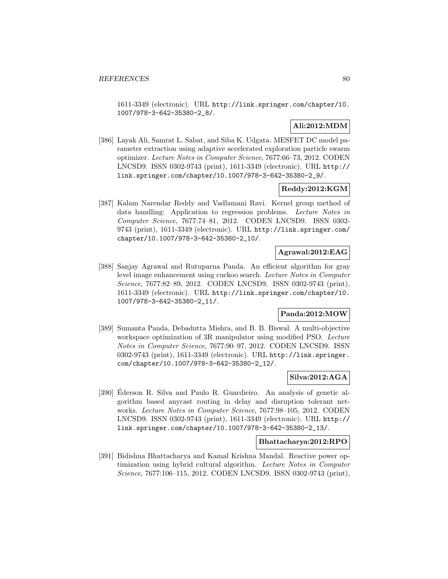1611-3349 (electronic). URL http://link.springer.com/chapter/10. 1007/978-3-642-35380-2\_8/.

# **Ali:2012:MDM**

[386] Layak Ali, Samrat L. Sabat, and Siba K. Udgata. MESFET DC model parameter extraction using adaptive accelerated exploration particle swarm optimizer. Lecture Notes in Computer Science, 7677:66–73, 2012. CODEN LNCSD9. ISSN 0302-9743 (print), 1611-3349 (electronic). URL http:// link.springer.com/chapter/10.1007/978-3-642-35380-2\_9/.

### **Reddy:2012:KGM**

[387] Kalam Narendar Reddy and Vadlamani Ravi. Kernel group method of data handling: Application to regression problems. Lecture Notes in Computer Science, 7677:74–81, 2012. CODEN LNCSD9. ISSN 0302- 9743 (print), 1611-3349 (electronic). URL http://link.springer.com/ chapter/10.1007/978-3-642-35380-2\_10/.

# **Agrawal:2012:EAG**

[388] Sanjay Agrawal and Rutuparna Panda. An efficient algorithm for gray level image enhancement using cuckoo search. Lecture Notes in Computer Science, 7677:82–89, 2012. CODEN LNCSD9. ISSN 0302-9743 (print), 1611-3349 (electronic). URL http://link.springer.com/chapter/10. 1007/978-3-642-35380-2\_11/.

# **Panda:2012:MOW**

[389] Sumanta Panda, Debadutta Mishra, and B. B. Biswal. A multi-objective workspace optimization of 3R manipulator using modified PSO. Lecture Notes in Computer Science, 7677:90–97, 2012. CODEN LNCSD9. ISSN 0302-9743 (print), 1611-3349 (electronic). URL http://link.springer. com/chapter/10.1007/978-3-642-35380-2\_12/.

### **Silva:2012:AGA**

[390] Ederson R. Silva and Paulo R. Guardieiro. An analysis of genetic algorithm based anycast routing in delay and disruption tolerant networks. Lecture Notes in Computer Science, 7677:98–105, 2012. CODEN LNCSD9. ISSN 0302-9743 (print), 1611-3349 (electronic). URL http:// link.springer.com/chapter/10.1007/978-3-642-35380-2\_13/.

### **Bhattacharya:2012:RPO**

[391] Bidishna Bhattacharya and Kamal Krishna Mandal. Reactive power optimization using hybrid cultural algorithm. Lecture Notes in Computer Science, 7677:106–115, 2012. CODEN LNCSD9. ISSN 0302-9743 (print),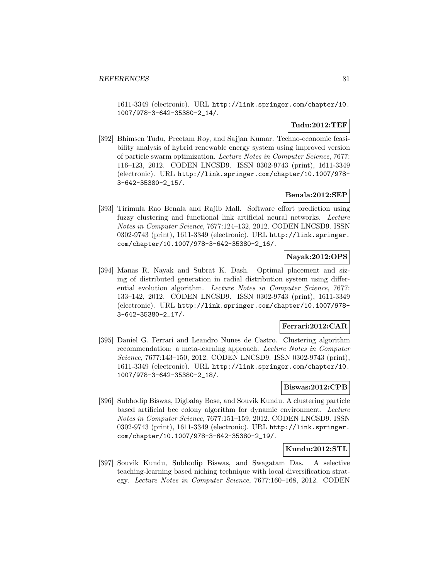1611-3349 (electronic). URL http://link.springer.com/chapter/10. 1007/978-3-642-35380-2\_14/.

## **Tudu:2012:TEF**

[392] Bhimsen Tudu, Preetam Roy, and Sajjan Kumar. Techno-economic feasibility analysis of hybrid renewable energy system using improved version of particle swarm optimization. Lecture Notes in Computer Science, 7677: 116–123, 2012. CODEN LNCSD9. ISSN 0302-9743 (print), 1611-3349 (electronic). URL http://link.springer.com/chapter/10.1007/978- 3-642-35380-2\_15/.

# **Benala:2012:SEP**

[393] Tirimula Rao Benala and Rajib Mall. Software effort prediction using fuzzy clustering and functional link artificial neural networks. Lecture Notes in Computer Science, 7677:124–132, 2012. CODEN LNCSD9. ISSN 0302-9743 (print), 1611-3349 (electronic). URL http://link.springer. com/chapter/10.1007/978-3-642-35380-2\_16/.

# **Nayak:2012:OPS**

[394] Manas R. Nayak and Subrat K. Dash. Optimal placement and sizing of distributed generation in radial distribution system using differential evolution algorithm. Lecture Notes in Computer Science, 7677: 133–142, 2012. CODEN LNCSD9. ISSN 0302-9743 (print), 1611-3349 (electronic). URL http://link.springer.com/chapter/10.1007/978- 3-642-35380-2\_17/.

## **Ferrari:2012:CAR**

[395] Daniel G. Ferrari and Leandro Nunes de Castro. Clustering algorithm recommendation: a meta-learning approach. Lecture Notes in Computer Science, 7677:143–150, 2012. CODEN LNCSD9. ISSN 0302-9743 (print), 1611-3349 (electronic). URL http://link.springer.com/chapter/10. 1007/978-3-642-35380-2\_18/.

#### **Biswas:2012:CPB**

[396] Subhodip Biswas, Digbalay Bose, and Souvik Kundu. A clustering particle based artificial bee colony algorithm for dynamic environment. Lecture Notes in Computer Science, 7677:151–159, 2012. CODEN LNCSD9. ISSN 0302-9743 (print), 1611-3349 (electronic). URL http://link.springer. com/chapter/10.1007/978-3-642-35380-2\_19/.

## **Kundu:2012:STL**

[397] Souvik Kundu, Subhodip Biswas, and Swagatam Das. A selective teaching-learning based niching technique with local diversification strategy. Lecture Notes in Computer Science, 7677:160–168, 2012. CODEN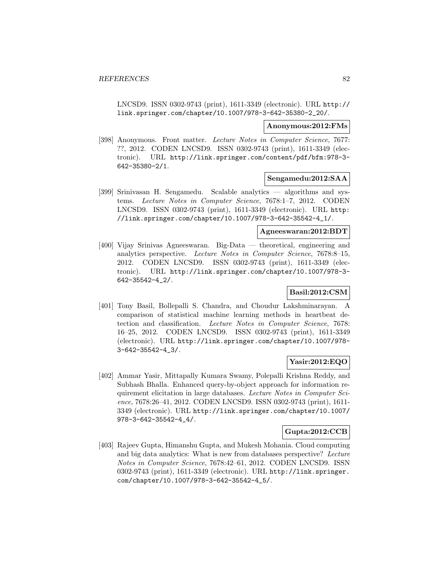LNCSD9. ISSN 0302-9743 (print), 1611-3349 (electronic). URL http:// link.springer.com/chapter/10.1007/978-3-642-35380-2\_20/.

### **Anonymous:2012:FMs**

[398] Anonymous. Front matter. Lecture Notes in Computer Science, 7677: ??, 2012. CODEN LNCSD9. ISSN 0302-9743 (print), 1611-3349 (electronic). URL http://link.springer.com/content/pdf/bfm:978-3- 642-35380-2/1.

#### **Sengamedu:2012:SAA**

[399] Srinivasan H. Sengamedu. Scalable analytics — algorithms and systems. Lecture Notes in Computer Science, 7678:1–7, 2012. CODEN LNCSD9. ISSN 0302-9743 (print), 1611-3349 (electronic). URL http: //link.springer.com/chapter/10.1007/978-3-642-35542-4\_1/.

#### **Agneeswaran:2012:BDT**

[400] Vijay Srinivas Agneeswaran. Big-Data — theoretical, engineering and analytics perspective. Lecture Notes in Computer Science, 7678:8–15, 2012. CODEN LNCSD9. ISSN 0302-9743 (print), 1611-3349 (electronic). URL http://link.springer.com/chapter/10.1007/978-3- 642-35542-4\_2/.

# **Basil:2012:CSM**

[401] Tony Basil, Bollepalli S. Chandra, and Choudur Lakshminarayan. A comparison of statistical machine learning methods in heartbeat detection and classification. Lecture Notes in Computer Science, 7678: 16–25, 2012. CODEN LNCSD9. ISSN 0302-9743 (print), 1611-3349 (electronic). URL http://link.springer.com/chapter/10.1007/978- 3-642-35542-4\_3/.

## **Yasir:2012:EQO**

[402] Ammar Yasir, Mittapally Kumara Swamy, Polepalli Krishna Reddy, and Subhash Bhalla. Enhanced query-by-object approach for information requirement elicitation in large databases. Lecture Notes in Computer Science, 7678:26–41, 2012. CODEN LNCSD9. ISSN 0302-9743 (print), 1611- 3349 (electronic). URL http://link.springer.com/chapter/10.1007/ 978-3-642-35542-4\_4/.

#### **Gupta:2012:CCB**

[403] Rajeev Gupta, Himanshu Gupta, and Mukesh Mohania. Cloud computing and big data analytics: What is new from databases perspective? Lecture Notes in Computer Science, 7678:42–61, 2012. CODEN LNCSD9. ISSN 0302-9743 (print), 1611-3349 (electronic). URL http://link.springer. com/chapter/10.1007/978-3-642-35542-4\_5/.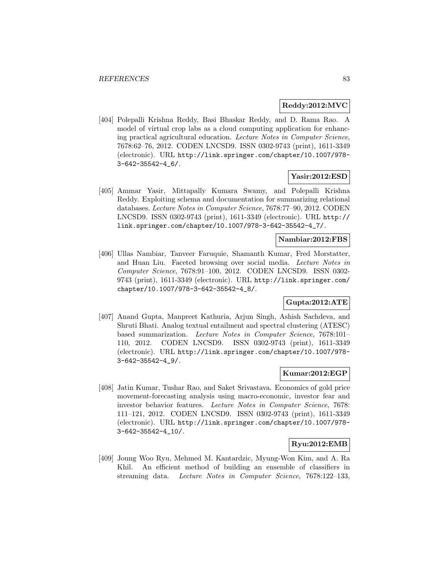#### **Reddy:2012:MVC**

[404] Polepalli Krishna Reddy, Basi Bhaskar Reddy, and D. Rama Rao. A model of virtual crop labs as a cloud computing application for enhancing practical agricultural education. Lecture Notes in Computer Science, 7678:62–76, 2012. CODEN LNCSD9. ISSN 0302-9743 (print), 1611-3349 (electronic). URL http://link.springer.com/chapter/10.1007/978- 3-642-35542-4\_6/.

### **Yasir:2012:ESD**

[405] Ammar Yasir, Mittapally Kumara Swamy, and Polepalli Krishna Reddy. Exploiting schema and documentation for summarizing relational databases. Lecture Notes in Computer Science, 7678:77–90, 2012. CODEN LNCSD9. ISSN 0302-9743 (print), 1611-3349 (electronic). URL http:// link.springer.com/chapter/10.1007/978-3-642-35542-4\_7/.

# **Nambiar:2012:FBS**

[406] Ullas Nambiar, Tanveer Faruquie, Shamanth Kumar, Fred Morstatter, and Huan Liu. Faceted browsing over social media. Lecture Notes in Computer Science, 7678:91–100, 2012. CODEN LNCSD9. ISSN 0302- 9743 (print), 1611-3349 (electronic). URL http://link.springer.com/ chapter/10.1007/978-3-642-35542-4\_8/.

# **Gupta:2012:ATE**

[407] Anand Gupta, Manpreet Kathuria, Arjun Singh, Ashish Sachdeva, and Shruti Bhati. Analog textual entailment and spectral clustering (ATESC) based summarization. Lecture Notes in Computer Science, 7678:101– 110, 2012. CODEN LNCSD9. ISSN 0302-9743 (print), 1611-3349 (electronic). URL http://link.springer.com/chapter/10.1007/978- 3-642-35542-4\_9/.

# **Kumar:2012:EGP**

[408] Jatin Kumar, Tushar Rao, and Saket Srivastava. Economics of gold price movement-forecasting analysis using macro-economic, investor fear and investor behavior features. Lecture Notes in Computer Science, 7678: 111–121, 2012. CODEN LNCSD9. ISSN 0302-9743 (print), 1611-3349 (electronic). URL http://link.springer.com/chapter/10.1007/978- 3-642-35542-4\_10/.

#### **Ryu:2012:EMB**

[409] Joung Woo Ryu, Mehmed M. Kantardzic, Myung-Won Kim, and A. Ra Khil. An efficient method of building an ensemble of classifiers in streaming data. Lecture Notes in Computer Science, 7678:122–133,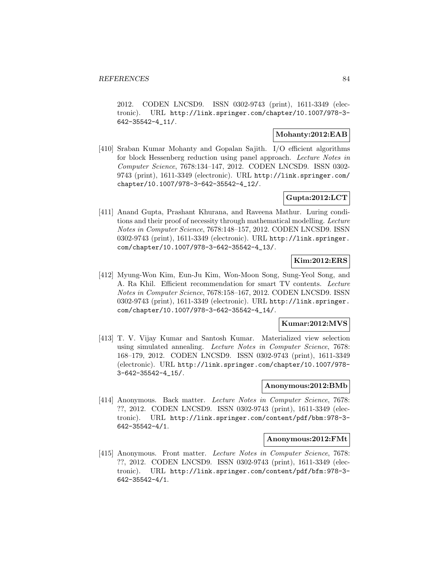2012. CODEN LNCSD9. ISSN 0302-9743 (print), 1611-3349 (electronic). URL http://link.springer.com/chapter/10.1007/978-3- 642-35542-4\_11/.

#### **Mohanty:2012:EAB**

[410] Sraban Kumar Mohanty and Gopalan Sajith. I/O efficient algorithms for block Hessenberg reduction using panel approach. Lecture Notes in Computer Science, 7678:134–147, 2012. CODEN LNCSD9. ISSN 0302- 9743 (print), 1611-3349 (electronic). URL http://link.springer.com/ chapter/10.1007/978-3-642-35542-4\_12/.

# **Gupta:2012:LCT**

[411] Anand Gupta, Prashant Khurana, and Raveena Mathur. Luring conditions and their proof of necessity through mathematical modelling. Lecture Notes in Computer Science, 7678:148–157, 2012. CODEN LNCSD9. ISSN 0302-9743 (print), 1611-3349 (electronic). URL http://link.springer. com/chapter/10.1007/978-3-642-35542-4\_13/.

### **Kim:2012:ERS**

[412] Myung-Won Kim, Eun-Ju Kim, Won-Moon Song, Sung-Yeol Song, and A. Ra Khil. Efficient recommendation for smart TV contents. Lecture Notes in Computer Science, 7678:158–167, 2012. CODEN LNCSD9. ISSN 0302-9743 (print), 1611-3349 (electronic). URL http://link.springer. com/chapter/10.1007/978-3-642-35542-4\_14/.

#### **Kumar:2012:MVS**

[413] T. V. Vijay Kumar and Santosh Kumar. Materialized view selection using simulated annealing. Lecture Notes in Computer Science, 7678: 168–179, 2012. CODEN LNCSD9. ISSN 0302-9743 (print), 1611-3349 (electronic). URL http://link.springer.com/chapter/10.1007/978- 3-642-35542-4\_15/.

### **Anonymous:2012:BMb**

[414] Anonymous. Back matter. Lecture Notes in Computer Science, 7678: ??, 2012. CODEN LNCSD9. ISSN 0302-9743 (print), 1611-3349 (electronic). URL http://link.springer.com/content/pdf/bbm:978-3- 642-35542-4/1.

#### **Anonymous:2012:FMt**

[415] Anonymous. Front matter. Lecture Notes in Computer Science, 7678: ??, 2012. CODEN LNCSD9. ISSN 0302-9743 (print), 1611-3349 (electronic). URL http://link.springer.com/content/pdf/bfm:978-3- 642-35542-4/1.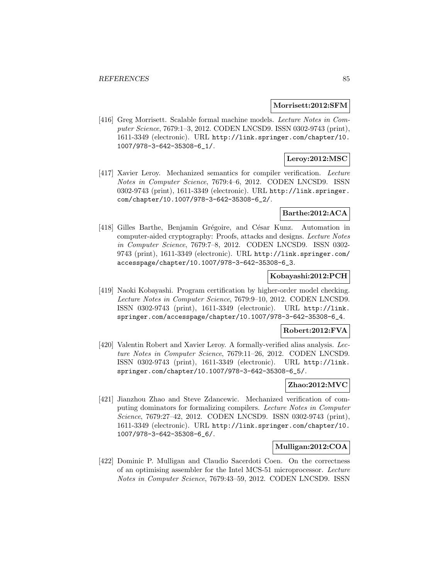#### **Morrisett:2012:SFM**

[416] Greg Morrisett. Scalable formal machine models. Lecture Notes in Computer Science, 7679:1–3, 2012. CODEN LNCSD9. ISSN 0302-9743 (print), 1611-3349 (electronic). URL http://link.springer.com/chapter/10. 1007/978-3-642-35308-6\_1/.

# **Leroy:2012:MSC**

[417] Xavier Leroy. Mechanized semantics for compiler verification. Lecture Notes in Computer Science, 7679:4–6, 2012. CODEN LNCSD9. ISSN 0302-9743 (print), 1611-3349 (electronic). URL http://link.springer. com/chapter/10.1007/978-3-642-35308-6\_2/.

### **Barthe:2012:ACA**

[418] Gilles Barthe, Benjamin Grégoire, and César Kunz. Automation in computer-aided cryptography: Proofs, attacks and designs. Lecture Notes in Computer Science, 7679:7–8, 2012. CODEN LNCSD9. ISSN 0302- 9743 (print), 1611-3349 (electronic). URL http://link.springer.com/ accesspage/chapter/10.1007/978-3-642-35308-6\_3.

### **Kobayashi:2012:PCH**

[419] Naoki Kobayashi. Program certification by higher-order model checking. Lecture Notes in Computer Science, 7679:9–10, 2012. CODEN LNCSD9. ISSN 0302-9743 (print), 1611-3349 (electronic). URL http://link. springer.com/accesspage/chapter/10.1007/978-3-642-35308-6\_4.

#### **Robert:2012:FVA**

[420] Valentin Robert and Xavier Leroy. A formally-verified alias analysis. Lecture Notes in Computer Science, 7679:11–26, 2012. CODEN LNCSD9. ISSN 0302-9743 (print), 1611-3349 (electronic). URL http://link. springer.com/chapter/10.1007/978-3-642-35308-6\_5/.

# **Zhao:2012:MVC**

[421] Jianzhou Zhao and Steve Zdancewic. Mechanized verification of computing dominators for formalizing compilers. Lecture Notes in Computer Science, 7679:27–42, 2012. CODEN LNCSD9. ISSN 0302-9743 (print), 1611-3349 (electronic). URL http://link.springer.com/chapter/10. 1007/978-3-642-35308-6\_6/.

### **Mulligan:2012:COA**

[422] Dominic P. Mulligan and Claudio Sacerdoti Coen. On the correctness of an optimising assembler for the Intel MCS-51 microprocessor. Lecture Notes in Computer Science, 7679:43–59, 2012. CODEN LNCSD9. ISSN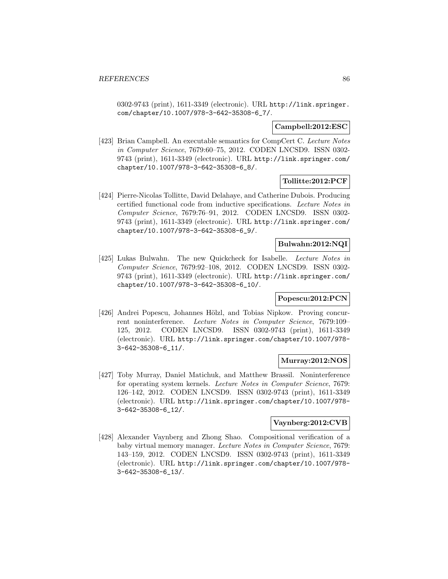0302-9743 (print), 1611-3349 (electronic). URL http://link.springer. com/chapter/10.1007/978-3-642-35308-6\_7/.

### **Campbell:2012:ESC**

[423] Brian Campbell. An executable semantics for CompCert C. Lecture Notes in Computer Science, 7679:60–75, 2012. CODEN LNCSD9. ISSN 0302- 9743 (print), 1611-3349 (electronic). URL http://link.springer.com/ chapter/10.1007/978-3-642-35308-6\_8/.

# **Tollitte:2012:PCF**

[424] Pierre-Nicolas Tollitte, David Delahaye, and Catherine Dubois. Producing certified functional code from inductive specifications. Lecture Notes in Computer Science, 7679:76–91, 2012. CODEN LNCSD9. ISSN 0302- 9743 (print), 1611-3349 (electronic). URL http://link.springer.com/ chapter/10.1007/978-3-642-35308-6\_9/.

### **Bulwahn:2012:NQI**

[425] Lukas Bulwahn. The new Quickcheck for Isabelle. Lecture Notes in Computer Science, 7679:92–108, 2012. CODEN LNCSD9. ISSN 0302- 9743 (print), 1611-3349 (electronic). URL http://link.springer.com/ chapter/10.1007/978-3-642-35308-6\_10/.

#### **Popescu:2012:PCN**

[426] Andrei Popescu, Johannes Hölzl, and Tobias Nipkow. Proving concurrent noninterference. Lecture Notes in Computer Science, 7679:109– 125, 2012. CODEN LNCSD9. ISSN 0302-9743 (print), 1611-3349 (electronic). URL http://link.springer.com/chapter/10.1007/978- 3-642-35308-6\_11/.

#### **Murray:2012:NOS**

[427] Toby Murray, Daniel Matichuk, and Matthew Brassil. Noninterference for operating system kernels. Lecture Notes in Computer Science, 7679: 126–142, 2012. CODEN LNCSD9. ISSN 0302-9743 (print), 1611-3349 (electronic). URL http://link.springer.com/chapter/10.1007/978- 3-642-35308-6\_12/.

# **Vaynberg:2012:CVB**

[428] Alexander Vaynberg and Zhong Shao. Compositional verification of a baby virtual memory manager. Lecture Notes in Computer Science, 7679: 143–159, 2012. CODEN LNCSD9. ISSN 0302-9743 (print), 1611-3349 (electronic). URL http://link.springer.com/chapter/10.1007/978- 3-642-35308-6\_13/.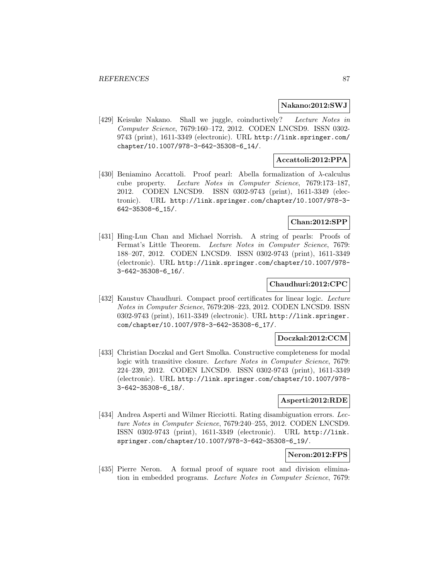#### **Nakano:2012:SWJ**

[429] Keisuke Nakano. Shall we juggle, coinductively? Lecture Notes in Computer Science, 7679:160–172, 2012. CODEN LNCSD9. ISSN 0302- 9743 (print), 1611-3349 (electronic). URL http://link.springer.com/ chapter/10.1007/978-3-642-35308-6\_14/.

### **Accattoli:2012:PPA**

[430] Beniamino Accattoli. Proof pearl: Abella formalization of  $\lambda$ -calculus cube property. Lecture Notes in Computer Science, 7679:173–187, 2012. CODEN LNCSD9. ISSN 0302-9743 (print), 1611-3349 (electronic). URL http://link.springer.com/chapter/10.1007/978-3- 642-35308-6\_15/.

#### **Chan:2012:SPP**

[431] Hing-Lun Chan and Michael Norrish. A string of pearls: Proofs of Fermat's Little Theorem. Lecture Notes in Computer Science, 7679: 188–207, 2012. CODEN LNCSD9. ISSN 0302-9743 (print), 1611-3349 (electronic). URL http://link.springer.com/chapter/10.1007/978- 3-642-35308-6\_16/.

#### **Chaudhuri:2012:CPC**

[432] Kaustuv Chaudhuri. Compact proof certificates for linear logic. Lecture Notes in Computer Science, 7679:208–223, 2012. CODEN LNCSD9. ISSN 0302-9743 (print), 1611-3349 (electronic). URL http://link.springer. com/chapter/10.1007/978-3-642-35308-6\_17/.

### **Doczkal:2012:CCM**

[433] Christian Doczkal and Gert Smolka. Constructive completeness for modal logic with transitive closure. Lecture Notes in Computer Science, 7679: 224–239, 2012. CODEN LNCSD9. ISSN 0302-9743 (print), 1611-3349 (electronic). URL http://link.springer.com/chapter/10.1007/978- 3-642-35308-6\_18/.

#### **Asperti:2012:RDE**

[434] Andrea Asperti and Wilmer Ricciotti. Rating disambiguation errors. Lecture Notes in Computer Science, 7679:240–255, 2012. CODEN LNCSD9. ISSN 0302-9743 (print), 1611-3349 (electronic). URL http://link. springer.com/chapter/10.1007/978-3-642-35308-6\_19/.

### **Neron:2012:FPS**

[435] Pierre Neron. A formal proof of square root and division elimination in embedded programs. Lecture Notes in Computer Science, 7679: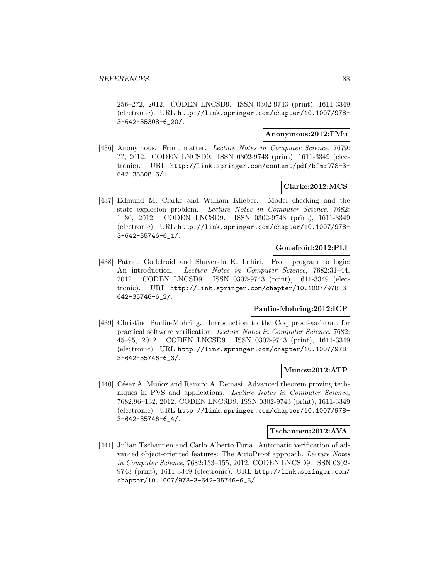256–272, 2012. CODEN LNCSD9. ISSN 0302-9743 (print), 1611-3349 (electronic). URL http://link.springer.com/chapter/10.1007/978- 3-642-35308-6\_20/.

#### **Anonymous:2012:FMu**

[436] Anonymous. Front matter. Lecture Notes in Computer Science, 7679: ??, 2012. CODEN LNCSD9. ISSN 0302-9743 (print), 1611-3349 (electronic). URL http://link.springer.com/content/pdf/bfm:978-3- 642-35308-6/1.

#### **Clarke:2012:MCS**

[437] Edmund M. Clarke and William Klieber. Model checking and the state explosion problem. Lecture Notes in Computer Science, 7682: 1–30, 2012. CODEN LNCSD9. ISSN 0302-9743 (print), 1611-3349 (electronic). URL http://link.springer.com/chapter/10.1007/978- 3-642-35746-6\_1/.

### **Godefroid:2012:PLI**

[438] Patrice Godefroid and Shuvendu K. Lahiri. From program to logic: An introduction. Lecture Notes in Computer Science, 7682:31-44, 2012. CODEN LNCSD9. ISSN 0302-9743 (print), 1611-3349 (electronic). URL http://link.springer.com/chapter/10.1007/978-3- 642-35746-6\_2/.

#### **Paulin-Mohring:2012:ICP**

[439] Christine Paulin-Mohring. Introduction to the Coq proof-assistant for practical software verification. Lecture Notes in Computer Science, 7682: 45–95, 2012. CODEN LNCSD9. ISSN 0302-9743 (print), 1611-3349 (electronic). URL http://link.springer.com/chapter/10.1007/978- 3-642-35746-6\_3/.

#### **Munoz:2012:ATP**

[440] César A. Muñoz and Ramiro A. Demasi. Advanced theorem proving techniques in PVS and applications. Lecture Notes in Computer Science, 7682:96–132, 2012. CODEN LNCSD9. ISSN 0302-9743 (print), 1611-3349 (electronic). URL http://link.springer.com/chapter/10.1007/978- 3-642-35746-6\_4/.

#### **Tschannen:2012:AVA**

[441] Julian Tschannen and Carlo Alberto Furia. Automatic verification of advanced object-oriented features: The AutoProof approach. Lecture Notes in Computer Science, 7682:133–155, 2012. CODEN LNCSD9. ISSN 0302- 9743 (print), 1611-3349 (electronic). URL http://link.springer.com/ chapter/10.1007/978-3-642-35746-6\_5/.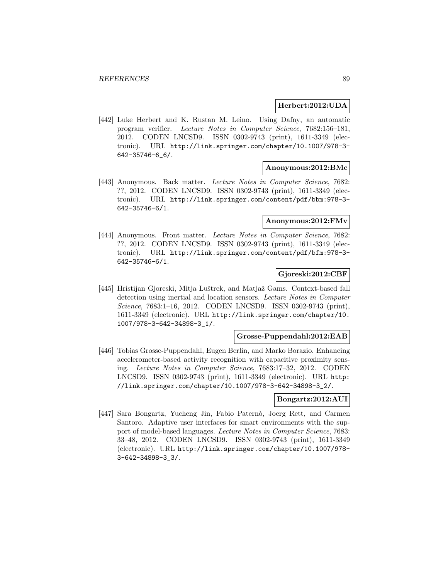#### **Herbert:2012:UDA**

[442] Luke Herbert and K. Rustan M. Leino. Using Dafny, an automatic program verifier. Lecture Notes in Computer Science, 7682:156–181, 2012. CODEN LNCSD9. ISSN 0302-9743 (print), 1611-3349 (electronic). URL http://link.springer.com/chapter/10.1007/978-3- 642-35746-6\_6/.

#### **Anonymous:2012:BMc**

[443] Anonymous. Back matter. Lecture Notes in Computer Science, 7682: ??, 2012. CODEN LNCSD9. ISSN 0302-9743 (print), 1611-3349 (electronic). URL http://link.springer.com/content/pdf/bbm:978-3- 642-35746-6/1.

# **Anonymous:2012:FMv**

[444] Anonymous. Front matter. Lecture Notes in Computer Science, 7682: ??, 2012. CODEN LNCSD9. ISSN 0302-9743 (print), 1611-3349 (electronic). URL http://link.springer.com/content/pdf/bfm:978-3- 642-35746-6/1.

#### **Gjoreski:2012:CBF**

[445] Hristijan Gjoreski, Mitja Luštrek, and Matjaž Gams. Context-based fall detection using inertial and location sensors. Lecture Notes in Computer Science, 7683:1–16, 2012. CODEN LNCSD9. ISSN 0302-9743 (print), 1611-3349 (electronic). URL http://link.springer.com/chapter/10. 1007/978-3-642-34898-3\_1/.

#### **Grosse-Puppendahl:2012:EAB**

[446] Tobias Grosse-Puppendahl, Eugen Berlin, and Marko Borazio. Enhancing accelerometer-based activity recognition with capacitive proximity sensing. Lecture Notes in Computer Science, 7683:17–32, 2012. CODEN LNCSD9. ISSN 0302-9743 (print), 1611-3349 (electronic). URL http: //link.springer.com/chapter/10.1007/978-3-642-34898-3\_2/.

#### **Bongartz:2012:AUI**

[447] Sara Bongartz, Yucheng Jin, Fabio Paternò, Joerg Rett, and Carmen Santoro. Adaptive user interfaces for smart environments with the support of model-based languages. Lecture Notes in Computer Science, 7683: 33–48, 2012. CODEN LNCSD9. ISSN 0302-9743 (print), 1611-3349 (electronic). URL http://link.springer.com/chapter/10.1007/978- 3-642-34898-3\_3/.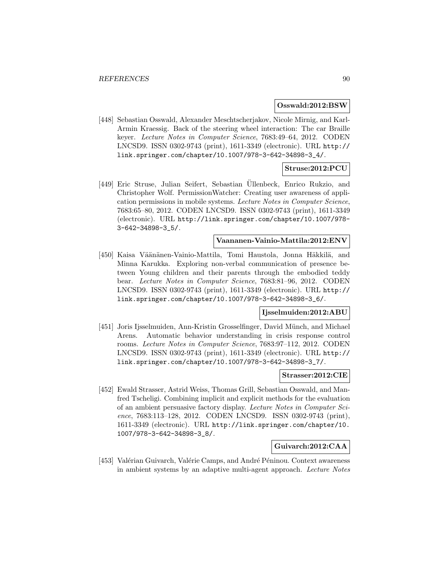#### **Osswald:2012:BSW**

[448] Sebastian Osswald, Alexander Meschtscherjakov, Nicole Mirnig, and Karl-Armin Kraessig. Back of the steering wheel interaction: The car Braille keyer. Lecture Notes in Computer Science, 7683:49–64, 2012. CODEN LNCSD9. ISSN 0302-9743 (print), 1611-3349 (electronic). URL http:// link.springer.com/chapter/10.1007/978-3-642-34898-3\_4/.

# **Struse:2012:PCU**

[449] Eric Struse, Julian Seifert, Sebastian Ullenbeck, Enrico Rukzio, and ¨ Christopher Wolf. PermissionWatcher: Creating user awareness of application permissions in mobile systems. Lecture Notes in Computer Science, 7683:65–80, 2012. CODEN LNCSD9. ISSN 0302-9743 (print), 1611-3349 (electronic). URL http://link.springer.com/chapter/10.1007/978- 3-642-34898-3\_5/.

## **Vaananen-Vainio-Mattila:2012:ENV**

[450] Kaisa Väänänen-Vainio-Mattila, Tomi Haustola, Jonna Häkkilä, and Minna Karukka. Exploring non-verbal communication of presence between Young children and their parents through the embodied teddy bear. Lecture Notes in Computer Science, 7683:81–96, 2012. CODEN LNCSD9. ISSN 0302-9743 (print), 1611-3349 (electronic). URL http:// link.springer.com/chapter/10.1007/978-3-642-34898-3\_6/.

#### **Ijsselmuiden:2012:ABU**

[451] Joris Ijsselmuiden, Ann-Kristin Grosselfinger, David Münch, and Michael Arens. Automatic behavior understanding in crisis response control rooms. Lecture Notes in Computer Science, 7683:97–112, 2012. CODEN LNCSD9. ISSN 0302-9743 (print), 1611-3349 (electronic). URL http:// link.springer.com/chapter/10.1007/978-3-642-34898-3\_7/.

#### **Strasser:2012:CIE**

[452] Ewald Strasser, Astrid Weiss, Thomas Grill, Sebastian Osswald, and Manfred Tscheligi. Combining implicit and explicit methods for the evaluation of an ambient persuasive factory display. Lecture Notes in Computer Science, 7683:113–128, 2012. CODEN LNCSD9. ISSN 0302-9743 (print), 1611-3349 (electronic). URL http://link.springer.com/chapter/10. 1007/978-3-642-34898-3\_8/.

### **Guivarch:2012:CAA**

[453] Valérian Guivarch, Valérie Camps, and André Péninou. Context awareness in ambient systems by an adaptive multi-agent approach. Lecture Notes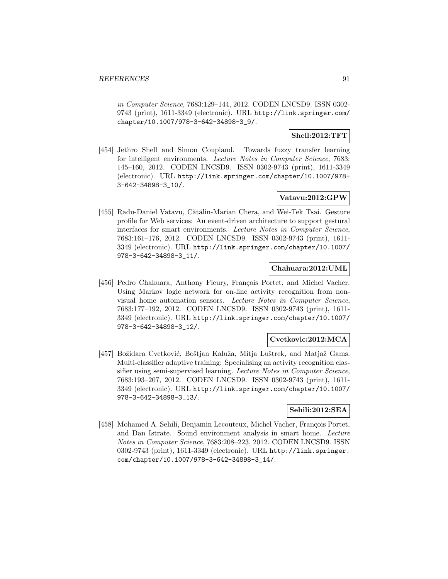in Computer Science, 7683:129–144, 2012. CODEN LNCSD9. ISSN 0302- 9743 (print), 1611-3349 (electronic). URL http://link.springer.com/ chapter/10.1007/978-3-642-34898-3\_9/.

### **Shell:2012:TFT**

[454] Jethro Shell and Simon Coupland. Towards fuzzy transfer learning for intelligent environments. Lecture Notes in Computer Science, 7683: 145–160, 2012. CODEN LNCSD9. ISSN 0302-9743 (print), 1611-3349 (electronic). URL http://link.springer.com/chapter/10.1007/978- 3-642-34898-3\_10/.

## **Vatavu:2012:GPW**

[455] Radu-Daniel Vatavu, Cătălin-Marian Chera, and Wei-Tek Tsai. Gesture profile for Web services: An event-driven architecture to support gestural interfaces for smart environments. Lecture Notes in Computer Science, 7683:161–176, 2012. CODEN LNCSD9. ISSN 0302-9743 (print), 1611- 3349 (electronic). URL http://link.springer.com/chapter/10.1007/ 978-3-642-34898-3\_11/.

### **Chahuara:2012:UML**

[456] Pedro Chahuara, Anthony Fleury, François Portet, and Michel Vacher. Using Markov logic network for on-line activity recognition from nonvisual home automation sensors. Lecture Notes in Computer Science, 7683:177–192, 2012. CODEN LNCSD9. ISSN 0302-9743 (print), 1611- 3349 (electronic). URL http://link.springer.com/chapter/10.1007/ 978-3-642-34898-3\_12/.

#### **Cvetkovic:2012:MCA**

[457] Božidara Cvetković, Boštjan Kaluža, Mitja Luštrek, and Matjaž Gams. Multi-classifier adaptive training: Specialising an activity recognition classifier using semi-supervised learning. Lecture Notes in Computer Science, 7683:193–207, 2012. CODEN LNCSD9. ISSN 0302-9743 (print), 1611- 3349 (electronic). URL http://link.springer.com/chapter/10.1007/ 978-3-642-34898-3\_13/.

# **Sehili:2012:SEA**

[458] Mohamed A. Sehili, Benjamin Lecouteux, Michel Vacher, François Portet, and Dan Istrate. Sound environment analysis in smart home. Lecture Notes in Computer Science, 7683:208–223, 2012. CODEN LNCSD9. ISSN 0302-9743 (print), 1611-3349 (electronic). URL http://link.springer. com/chapter/10.1007/978-3-642-34898-3\_14/.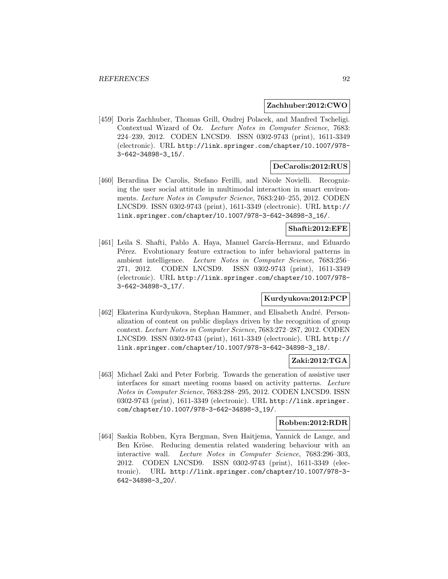### **Zachhuber:2012:CWO**

[459] Doris Zachhuber, Thomas Grill, Ondrej Polacek, and Manfred Tscheligi. Contextual Wizard of Oz. Lecture Notes in Computer Science, 7683: 224–239, 2012. CODEN LNCSD9. ISSN 0302-9743 (print), 1611-3349 (electronic). URL http://link.springer.com/chapter/10.1007/978- 3-642-34898-3\_15/.

#### **DeCarolis:2012:RUS**

[460] Berardina De Carolis, Stefano Ferilli, and Nicole Novielli. Recognizing the user social attitude in multimodal interaction in smart environments. Lecture Notes in Computer Science, 7683:240–255, 2012. CODEN LNCSD9. ISSN 0302-9743 (print), 1611-3349 (electronic). URL http:// link.springer.com/chapter/10.1007/978-3-642-34898-3\_16/.

# **Shafti:2012:EFE**

[461] Leila S. Shafti, Pablo A. Haya, Manuel García-Herranz, and Eduardo Pérez. Evolutionary feature extraction to infer behavioral patterns in ambient intelligence. Lecture Notes in Computer Science, 7683:256– 271, 2012. CODEN LNCSD9. ISSN 0302-9743 (print), 1611-3349 (electronic). URL http://link.springer.com/chapter/10.1007/978- 3-642-34898-3\_17/.

#### **Kurdyukova:2012:PCP**

[462] Ekaterina Kurdyukova, Stephan Hammer, and Elisabeth André. Personalization of content on public displays driven by the recognition of group context. Lecture Notes in Computer Science, 7683:272–287, 2012. CODEN LNCSD9. ISSN 0302-9743 (print), 1611-3349 (electronic). URL http:// link.springer.com/chapter/10.1007/978-3-642-34898-3\_18/.

# **Zaki:2012:TGA**

[463] Michael Zaki and Peter Forbrig. Towards the generation of assistive user interfaces for smart meeting rooms based on activity patterns. Lecture Notes in Computer Science, 7683:288–295, 2012. CODEN LNCSD9. ISSN 0302-9743 (print), 1611-3349 (electronic). URL http://link.springer. com/chapter/10.1007/978-3-642-34898-3\_19/.

### **Robben:2012:RDR**

[464] Saskia Robben, Kyra Bergman, Sven Haitjema, Yannick de Lange, and Ben Kröse. Reducing dementia related wandering behaviour with an interactive wall. Lecture Notes in Computer Science, 7683:296–303, 2012. CODEN LNCSD9. ISSN 0302-9743 (print), 1611-3349 (electronic). URL http://link.springer.com/chapter/10.1007/978-3- 642-34898-3\_20/.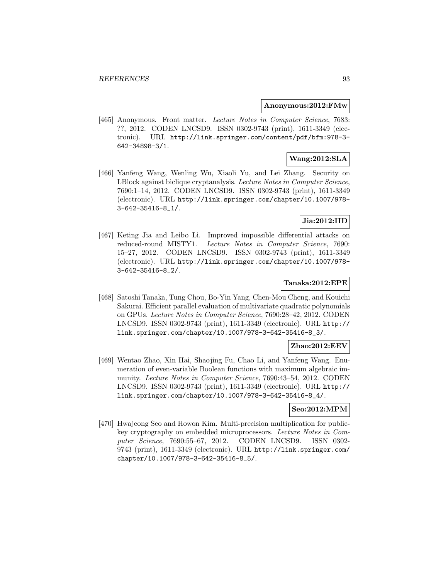#### **Anonymous:2012:FMw**

[465] Anonymous. Front matter. Lecture Notes in Computer Science, 7683: ??, 2012. CODEN LNCSD9. ISSN 0302-9743 (print), 1611-3349 (electronic). URL http://link.springer.com/content/pdf/bfm:978-3- 642-34898-3/1.

# **Wang:2012:SLA**

[466] Yanfeng Wang, Wenling Wu, Xiaoli Yu, and Lei Zhang. Security on LBlock against biclique cryptanalysis. Lecture Notes in Computer Science, 7690:1–14, 2012. CODEN LNCSD9. ISSN 0302-9743 (print), 1611-3349 (electronic). URL http://link.springer.com/chapter/10.1007/978- 3-642-35416-8\_1/.

# **Jia:2012:IID**

[467] Keting Jia and Leibo Li. Improved impossible differential attacks on reduced-round MISTY1. Lecture Notes in Computer Science, 7690: 15–27, 2012. CODEN LNCSD9. ISSN 0302-9743 (print), 1611-3349 (electronic). URL http://link.springer.com/chapter/10.1007/978- 3-642-35416-8\_2/.

### **Tanaka:2012:EPE**

[468] Satoshi Tanaka, Tung Chou, Bo-Yin Yang, Chen-Mou Cheng, and Kouichi Sakurai. Efficient parallel evaluation of multivariate quadratic polynomials on GPUs. Lecture Notes in Computer Science, 7690:28–42, 2012. CODEN LNCSD9. ISSN 0302-9743 (print), 1611-3349 (electronic). URL http:// link.springer.com/chapter/10.1007/978-3-642-35416-8\_3/.

#### **Zhao:2012:EEV**

[469] Wentao Zhao, Xin Hai, Shaojing Fu, Chao Li, and Yanfeng Wang. Enumeration of even-variable Boolean functions with maximum algebraic immunity. Lecture Notes in Computer Science, 7690:43–54, 2012. CODEN LNCSD9. ISSN 0302-9743 (print), 1611-3349 (electronic). URL http:// link.springer.com/chapter/10.1007/978-3-642-35416-8\_4/.

#### **Seo:2012:MPM**

[470] Hwajeong Seo and Howon Kim. Multi-precision multiplication for publickey cryptography on embedded microprocessors. Lecture Notes in Computer Science, 7690:55–67, 2012. CODEN LNCSD9. ISSN 0302- 9743 (print), 1611-3349 (electronic). URL http://link.springer.com/ chapter/10.1007/978-3-642-35416-8\_5/.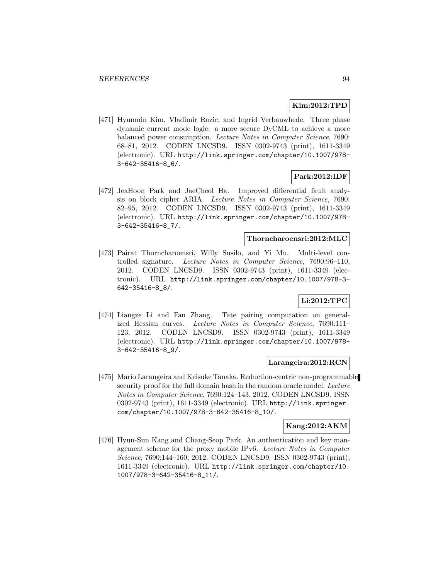### **Kim:2012:TPD**

[471] Hyunmin Kim, Vladimir Rozic, and Ingrid Verbauwhede. Three phase dynamic current mode logic: a more secure DyCML to achieve a more balanced power consumption. Lecture Notes in Computer Science, 7690: 68–81, 2012. CODEN LNCSD9. ISSN 0302-9743 (print), 1611-3349 (electronic). URL http://link.springer.com/chapter/10.1007/978- 3-642-35416-8\_6/.

### **Park:2012:IDF**

[472] JeaHoon Park and JaeCheol Ha. Improved differential fault analysis on block cipher ARIA. Lecture Notes in Computer Science, 7690: 82–95, 2012. CODEN LNCSD9. ISSN 0302-9743 (print), 1611-3349 (electronic). URL http://link.springer.com/chapter/10.1007/978- 3-642-35416-8\_7/.

#### **Thorncharoensri:2012:MLC**

[473] Pairat Thorncharoensri, Willy Susilo, and Yi Mu. Multi-level controlled signature. Lecture Notes in Computer Science, 7690:96–110, 2012. CODEN LNCSD9. ISSN 0302-9743 (print), 1611-3349 (electronic). URL http://link.springer.com/chapter/10.1007/978-3- 642-35416-8\_8/.

# **Li:2012:TPC**

[474] Liangze Li and Fan Zhang. Tate pairing computation on generalized Hessian curves. Lecture Notes in Computer Science, 7690:111– 123, 2012. CODEN LNCSD9. ISSN 0302-9743 (print), 1611-3349 (electronic). URL http://link.springer.com/chapter/10.1007/978- 3-642-35416-8\_9/.

### **Larangeira:2012:RCN**

[475] Mario Larangeira and Keisuke Tanaka. Reduction-centric non-programmable security proof for the full domain hash in the random oracle model. Lecture Notes in Computer Science, 7690:124–143, 2012. CODEN LNCSD9. ISSN 0302-9743 (print), 1611-3349 (electronic). URL http://link.springer. com/chapter/10.1007/978-3-642-35416-8\_10/.

## **Kang:2012:AKM**

[476] Hyun-Sun Kang and Chang-Seop Park. An authentication and key management scheme for the proxy mobile IPv6. Lecture Notes in Computer Science, 7690:144–160, 2012. CODEN LNCSD9. ISSN 0302-9743 (print), 1611-3349 (electronic). URL http://link.springer.com/chapter/10. 1007/978-3-642-35416-8\_11/.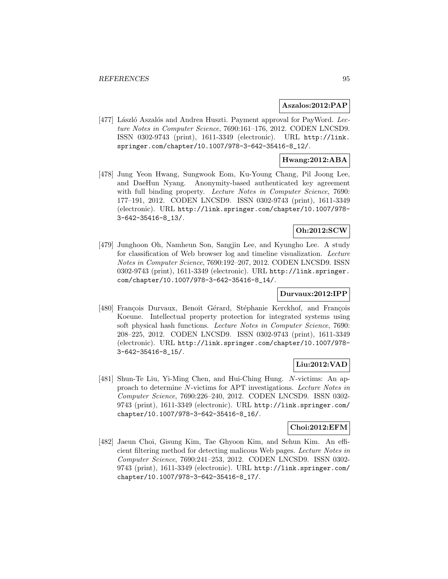#### **Aszalos:2012:PAP**

[477] László Aszalós and Andrea Huszti. Payment approval for PayWord. Lecture Notes in Computer Science, 7690:161–176, 2012. CODEN LNCSD9. ISSN 0302-9743 (print), 1611-3349 (electronic). URL http://link. springer.com/chapter/10.1007/978-3-642-35416-8\_12/.

### **Hwang:2012:ABA**

[478] Jung Yeon Hwang, Sungwook Eom, Ku-Young Chang, Pil Joong Lee, and DaeHun Nyang. Anonymity-based authenticated key agreement with full binding property. Lecture Notes in Computer Science, 7690: 177–191, 2012. CODEN LNCSD9. ISSN 0302-9743 (print), 1611-3349 (electronic). URL http://link.springer.com/chapter/10.1007/978- 3-642-35416-8\_13/.

### **Oh:2012:SCW**

[479] Junghoon Oh, Namheun Son, Sangjin Lee, and Kyungho Lee. A study for classification of Web browser log and timeline visualization. Lecture Notes in Computer Science, 7690:192–207, 2012. CODEN LNCSD9. ISSN 0302-9743 (print), 1611-3349 (electronic). URL http://link.springer. com/chapter/10.1007/978-3-642-35416-8\_14/.

### **Durvaux:2012:IPP**

[480] François Durvaux, Benoît Gérard, Stéphanie Kerckhof, and François Koeune. Intellectual property protection for integrated systems using soft physical hash functions. Lecture Notes in Computer Science, 7690: 208–225, 2012. CODEN LNCSD9. ISSN 0302-9743 (print), 1611-3349 (electronic). URL http://link.springer.com/chapter/10.1007/978- 3-642-35416-8\_15/.

#### **Liu:2012:VAD**

[481] Shun-Te Liu, Yi-Ming Chen, and Hui-Ching Hung. N-victims: An approach to determine N-victims for APT investigations. Lecture Notes in Computer Science, 7690:226–240, 2012. CODEN LNCSD9. ISSN 0302- 9743 (print), 1611-3349 (electronic). URL http://link.springer.com/ chapter/10.1007/978-3-642-35416-8\_16/.

#### **Choi:2012:EFM**

[482] Jaeun Choi, Gisung Kim, Tae Ghyoon Kim, and Sehun Kim. An efficient filtering method for detecting malicous Web pages. Lecture Notes in Computer Science, 7690:241–253, 2012. CODEN LNCSD9. ISSN 0302- 9743 (print), 1611-3349 (electronic). URL http://link.springer.com/ chapter/10.1007/978-3-642-35416-8\_17/.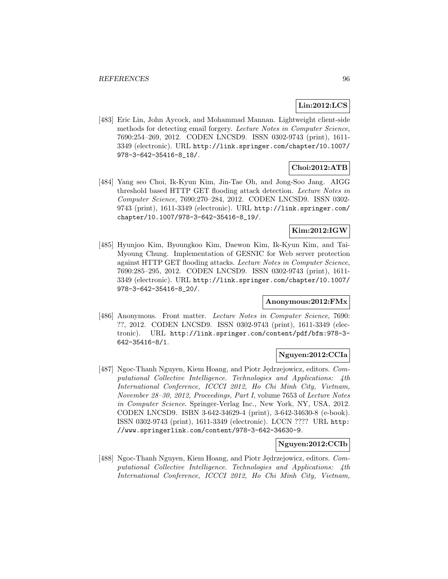# **Lin:2012:LCS**

[483] Eric Lin, John Aycock, and Mohammad Mannan. Lightweight client-side methods for detecting email forgery. Lecture Notes in Computer Science, 7690:254–269, 2012. CODEN LNCSD9. ISSN 0302-9743 (print), 1611- 3349 (electronic). URL http://link.springer.com/chapter/10.1007/ 978-3-642-35416-8\_18/.

### **Choi:2012:ATB**

[484] Yang seo Choi, Ik-Kyun Kim, Jin-Tae Oh, and Jong-Soo Jang. AIGG threshold based HTTP GET flooding attack detection. Lecture Notes in Computer Science, 7690:270–284, 2012. CODEN LNCSD9. ISSN 0302- 9743 (print), 1611-3349 (electronic). URL http://link.springer.com/ chapter/10.1007/978-3-642-35416-8\_19/.

### **Kim:2012:IGW**

[485] Hyunjoo Kim, Byoungkoo Kim, Daewon Kim, Ik-Kyun Kim, and Tai-Myoung Chung. Implementation of GESNIC for Web server protection against HTTP GET flooding attacks. Lecture Notes in Computer Science, 7690:285–295, 2012. CODEN LNCSD9. ISSN 0302-9743 (print), 1611- 3349 (electronic). URL http://link.springer.com/chapter/10.1007/ 978-3-642-35416-8\_20/.

# **Anonymous:2012:FMx**

[486] Anonymous. Front matter. Lecture Notes in Computer Science, 7690: ??, 2012. CODEN LNCSD9. ISSN 0302-9743 (print), 1611-3349 (electronic). URL http://link.springer.com/content/pdf/bfm:978-3- 642-35416-8/1.

#### **Nguyen:2012:CCIa**

[487] Ngoc-Thanh Nguyen, Kiem Hoang, and Piotr Jędrzejowicz, editors. Computational Collective Intelligence. Technologies and Applications: 4th International Conference, ICCCI 2012, Ho Chi Minh City, Vietnam, November 28–30, 2012, Proceedings, Part I, volume 7653 of Lecture Notes in Computer Science. Springer-Verlag Inc., New York, NY, USA, 2012. CODEN LNCSD9. ISBN 3-642-34629-4 (print), 3-642-34630-8 (e-book). ISSN 0302-9743 (print), 1611-3349 (electronic). LCCN ???? URL http: //www.springerlink.com/content/978-3-642-34630-9.

### **Nguyen:2012:CCIb**

[488] Ngoc-Thanh Nguyen, Kiem Hoang, and Piotr Jędrzejowicz, editors. Computational Collective Intelligence. Technologies and Applications: 4th International Conference, ICCCI 2012, Ho Chi Minh City, Vietnam,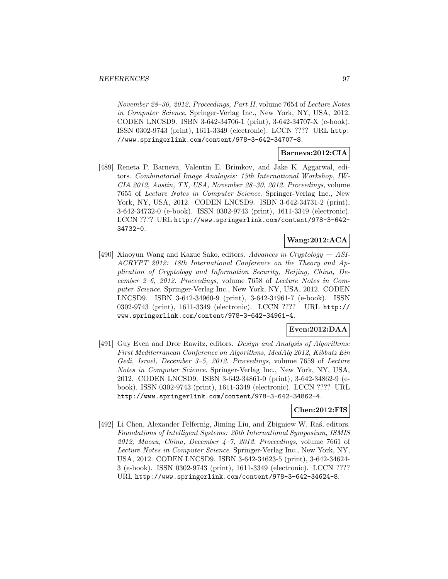November 28–30, 2012, Proceedings, Part II, volume 7654 of Lecture Notes in Computer Science. Springer-Verlag Inc., New York, NY, USA, 2012. CODEN LNCSD9. ISBN 3-642-34706-1 (print), 3-642-34707-X (e-book). ISSN 0302-9743 (print), 1611-3349 (electronic). LCCN ???? URL http: //www.springerlink.com/content/978-3-642-34707-8.

# **Barneva:2012:CIA**

[489] Reneta P. Barneva, Valentin E. Brimkov, and Jake K. Aggarwal, editors. Combinatorial Image Analaysis: 15th International Workshop, IW-CIA 2012, Austin, TX, USA, November 28–30, 2012. Proceedings, volume 7655 of Lecture Notes in Computer Science. Springer-Verlag Inc., New York, NY, USA, 2012. CODEN LNCSD9. ISBN 3-642-34731-2 (print), 3-642-34732-0 (e-book). ISSN 0302-9743 (print), 1611-3349 (electronic). LCCN ???? URL http://www.springerlink.com/content/978-3-642- 34732-0.

# **Wang:2012:ACA**

[490] Xiaoyun Wang and Kazue Sako, editors. Advances in Cryptology — ASI-ACRYPT 2012: 18th International Conference on the Theory and Application of Cryptology and Information Security, Beijing, China, December 2–6, 2012. Proceedings, volume 7658 of Lecture Notes in Computer Science. Springer-Verlag Inc., New York, NY, USA, 2012. CODEN LNCSD9. ISBN 3-642-34960-9 (print), 3-642-34961-7 (e-book). ISSN 0302-9743 (print), 1611-3349 (electronic). LCCN ???? URL http:// www.springerlink.com/content/978-3-642-34961-4.

# **Even:2012:DAA**

[491] Guy Even and Dror Rawitz, editors. *Design and Analysis of Algorithms:* First Mediterranean Conference on Algorithms, MedAlg 2012, Kibbutz Ein Gedi, Israel, December 3–5, 2012. Proceedings, volume 7659 of Lecture Notes in Computer Science. Springer-Verlag Inc., New York, NY, USA, 2012. CODEN LNCSD9. ISBN 3-642-34861-0 (print), 3-642-34862-9 (ebook). ISSN 0302-9743 (print), 1611-3349 (electronic). LCCN ???? URL http://www.springerlink.com/content/978-3-642-34862-4.

### **Chen:2012:FIS**

[492] Li Chen, Alexander Felfernig, Jiming Liu, and Zbigniew W. Ras, editors. Foundations of Intelligent Systems: 20th International Symposium, ISMIS  $2012$ , Macau, China, December  $4-7$ ,  $2012$ . Proceedings, volume 7661 of Lecture Notes in Computer Science. Springer-Verlag Inc., New York, NY, USA, 2012. CODEN LNCSD9. ISBN 3-642-34623-5 (print), 3-642-34624- 3 (e-book). ISSN 0302-9743 (print), 1611-3349 (electronic). LCCN ???? URL http://www.springerlink.com/content/978-3-642-34624-8.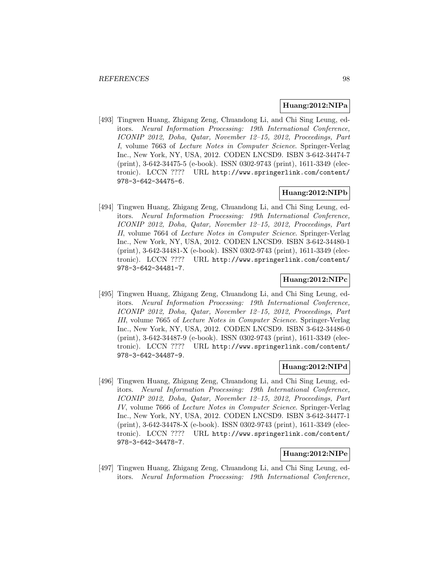#### **Huang:2012:NIPa**

[493] Tingwen Huang, Zhigang Zeng, Chuandong Li, and Chi Sing Leung, editors. Neural Information Processing: 19th International Conference, ICONIP 2012, Doha, Qatar, November 12–15, 2012, Proceedings, Part I, volume 7663 of Lecture Notes in Computer Science. Springer-Verlag Inc., New York, NY, USA, 2012. CODEN LNCSD9. ISBN 3-642-34474-7 (print), 3-642-34475-5 (e-book). ISSN 0302-9743 (print), 1611-3349 (electronic). LCCN ???? URL http://www.springerlink.com/content/ 978-3-642-34475-6.

#### **Huang:2012:NIPb**

[494] Tingwen Huang, Zhigang Zeng, Chuandong Li, and Chi Sing Leung, editors. Neural Information Processing: 19th International Conference, ICONIP 2012, Doha, Qatar, November 12–15, 2012, Proceedings, Part II, volume 7664 of Lecture Notes in Computer Science. Springer-Verlag Inc., New York, NY, USA, 2012. CODEN LNCSD9. ISBN 3-642-34480-1 (print), 3-642-34481-X (e-book). ISSN 0302-9743 (print), 1611-3349 (electronic). LCCN ???? URL http://www.springerlink.com/content/ 978-3-642-34481-7.

# **Huang:2012:NIPc**

[495] Tingwen Huang, Zhigang Zeng, Chuandong Li, and Chi Sing Leung, editors. Neural Information Processing: 19th International Conference, ICONIP 2012, Doha, Qatar, November 12–15, 2012, Proceedings, Part III, volume 7665 of Lecture Notes in Computer Science. Springer-Verlag Inc., New York, NY, USA, 2012. CODEN LNCSD9. ISBN 3-642-34486-0 (print), 3-642-34487-9 (e-book). ISSN 0302-9743 (print), 1611-3349 (electronic). LCCN ???? URL http://www.springerlink.com/content/ 978-3-642-34487-9.

#### **Huang:2012:NIPd**

[496] Tingwen Huang, Zhigang Zeng, Chuandong Li, and Chi Sing Leung, editors. Neural Information Processing: 19th International Conference, ICONIP 2012, Doha, Qatar, November 12–15, 2012, Proceedings, Part IV, volume 7666 of Lecture Notes in Computer Science. Springer-Verlag Inc., New York, NY, USA, 2012. CODEN LNCSD9. ISBN 3-642-34477-1 (print), 3-642-34478-X (e-book). ISSN 0302-9743 (print), 1611-3349 (electronic). LCCN ???? URL http://www.springerlink.com/content/ 978-3-642-34478-7.

## **Huang:2012:NIPe**

[497] Tingwen Huang, Zhigang Zeng, Chuandong Li, and Chi Sing Leung, editors. Neural Information Processing: 19th International Conference,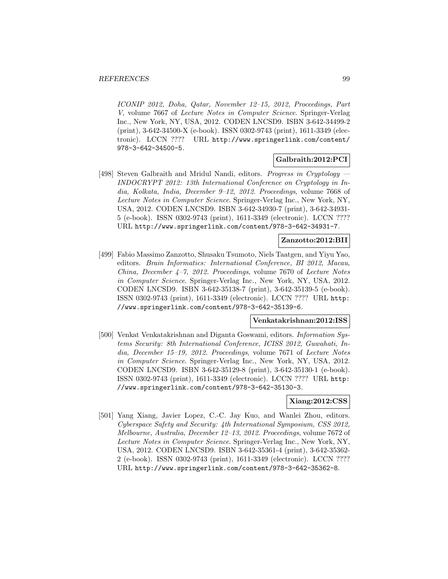ICONIP 2012, Doha, Qatar, November 12–15, 2012, Proceedings, Part V, volume 7667 of Lecture Notes in Computer Science. Springer-Verlag Inc., New York, NY, USA, 2012. CODEN LNCSD9. ISBN 3-642-34499-2 (print), 3-642-34500-X (e-book). ISSN 0302-9743 (print), 1611-3349 (electronic). LCCN ???? URL http://www.springerlink.com/content/ 978-3-642-34500-5.

# **Galbraith:2012:PCI**

[498] Steven Galbraith and Mridul Nandi, editors. Progress in Cryptology — INDOCRYPT 2012: 13th International Conference on Cryptology in India, Kolkata, India, December 9–12, 2012. Proceedings, volume 7668 of Lecture Notes in Computer Science. Springer-Verlag Inc., New York, NY, USA, 2012. CODEN LNCSD9. ISBN 3-642-34930-7 (print), 3-642-34931- 5 (e-book). ISSN 0302-9743 (print), 1611-3349 (electronic). LCCN ???? URL http://www.springerlink.com/content/978-3-642-34931-7.

### **Zanzotto:2012:BII**

[499] Fabio Massimo Zanzotto, Shusaku Tsumoto, Niels Taatgen, and Yiyu Yao, editors. Brain Informatics: International Conference, BI 2012, Macau, China, December  $\angle 4-7$ , 2012. Proceedings, volume 7670 of Lecture Notes in Computer Science. Springer-Verlag Inc., New York, NY, USA, 2012. CODEN LNCSD9. ISBN 3-642-35138-7 (print), 3-642-35139-5 (e-book). ISSN 0302-9743 (print), 1611-3349 (electronic). LCCN ???? URL http: //www.springerlink.com/content/978-3-642-35139-6.

#### **Venkatakrishnan:2012:ISS**

[500] Venkat Venkatakrishnan and Diganta Goswami, editors. Information Systems Security: 8th International Conference, ICISS 2012, Guwahati, India, December 15–19, 2012. Proceedings, volume 7671 of Lecture Notes in Computer Science. Springer-Verlag Inc., New York, NY, USA, 2012. CODEN LNCSD9. ISBN 3-642-35129-8 (print), 3-642-35130-1 (e-book). ISSN 0302-9743 (print), 1611-3349 (electronic). LCCN ???? URL http: //www.springerlink.com/content/978-3-642-35130-3.

### **Xiang:2012:CSS**

[501] Yang Xiang, Javier Lopez, C.-C. Jay Kuo, and Wanlei Zhou, editors. Cyberspace Safety and Security: 4th International Symposium, CSS 2012, Melbourne, Australia, December 12–13, 2012. Proceedings, volume 7672 of Lecture Notes in Computer Science. Springer-Verlag Inc., New York, NY, USA, 2012. CODEN LNCSD9. ISBN 3-642-35361-4 (print), 3-642-35362- 2 (e-book). ISSN 0302-9743 (print), 1611-3349 (electronic). LCCN ???? URL http://www.springerlink.com/content/978-3-642-35362-8.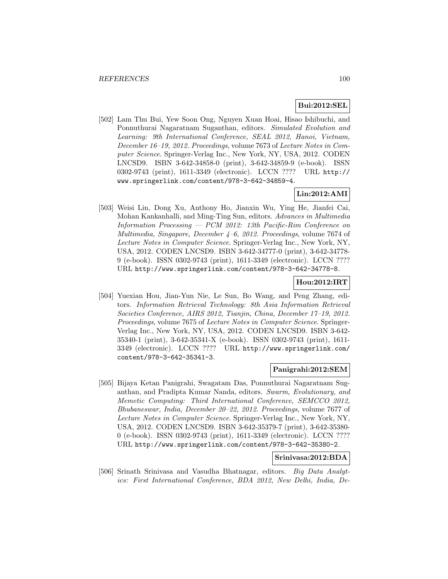# **Bui:2012:SEL**

[502] Lam Thu Bui, Yew Soon Ong, Nguyen Xuan Hoai, Hisao Ishibuchi, and Ponnuthurai Nagaratnam Suganthan, editors. Simulated Evolution and Learning: 9th International Conference, SEAL 2012, Hanoi, Vietnam, December 16–19, 2012. Proceedings, volume 7673 of Lecture Notes in Computer Science. Springer-Verlag Inc., New York, NY, USA, 2012. CODEN LNCSD9. ISBN 3-642-34858-0 (print), 3-642-34859-9 (e-book). ISSN 0302-9743 (print), 1611-3349 (electronic). LCCN ???? URL http:// www.springerlink.com/content/978-3-642-34859-4.

# **Lin:2012:AMI**

[503] Weisi Lin, Dong Xu, Anthony Ho, Jianxin Wu, Ying He, Jianfei Cai, Mohan Kankanhalli, and Ming-Ting Sun, editors. Advances in Multimedia Information Processing — PCM 2012: 13th Pacific-Rim Conference on Multimedia, Singapore, December 4–6, 2012. Proceedings, volume 7674 of Lecture Notes in Computer Science. Springer-Verlag Inc., New York, NY, USA, 2012. CODEN LNCSD9. ISBN 3-642-34777-0 (print), 3-642-34778- 9 (e-book). ISSN 0302-9743 (print), 1611-3349 (electronic). LCCN ???? URL http://www.springerlink.com/content/978-3-642-34778-8.

#### **Hou:2012:IRT**

[504] Yuexian Hou, Jian-Yun Nie, Le Sun, Bo Wang, and Peng Zhang, editors. Information Retrieval Technology: 8th Asia Information Retrieval Societies Conference, AIRS 2012, Tianjin, China, December 17–19, 2012. Proceedings, volume 7675 of Lecture Notes in Computer Science. Springer-Verlag Inc., New York, NY, USA, 2012. CODEN LNCSD9. ISBN 3-642- 35340-1 (print), 3-642-35341-X (e-book). ISSN 0302-9743 (print), 1611- 3349 (electronic). LCCN ???? URL http://www.springerlink.com/ content/978-3-642-35341-3.

#### **Panigrahi:2012:SEM**

[505] Bijaya Ketan Panigrahi, Swagatam Das, Ponnuthurai Nagaratnam Suganthan, and Pradipta Kumar Nanda, editors. Swarm, Evolutionary, and Memetic Computing: Third International Conference, SEMCCO 2012, Bhubaneswar, India, December 20–22, 2012. Proceedings, volume 7677 of Lecture Notes in Computer Science. Springer-Verlag Inc., New York, NY, USA, 2012. CODEN LNCSD9. ISBN 3-642-35379-7 (print), 3-642-35380- 0 (e-book). ISSN 0302-9743 (print), 1611-3349 (electronic). LCCN ???? URL http://www.springerlink.com/content/978-3-642-35380-2.

# **Srinivasa:2012:BDA**

[506] Srinath Srinivasa and Vasudha Bhatnagar, editors. Big Data Analytics: First International Conference, BDA 2012, New Delhi, India, De-